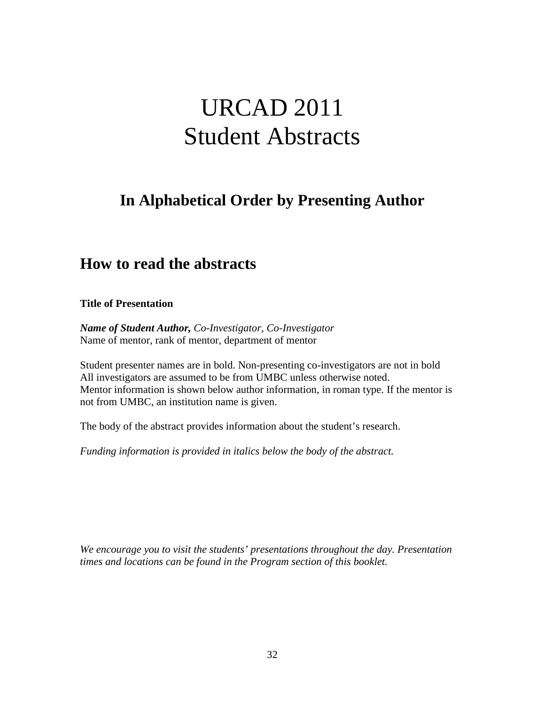# URCAD 2011 Student Abstracts

# **In Alphabetical Order by Presenting Author**

# **How to read the abstracts**

**Title of Presentation**

*Name of Student Author, Co-Investigator, Co-Investigator* Name of mentor, rank of mentor, department of mentor

Student presenter names are in bold. Non-presenting co-investigators are not in bold All investigators are assumed to be from UMBC unless otherwise noted. Mentor information is shown below author information, in roman type. If the mentor is not from UMBC, an institution name is given.

The body of the abstract provides information about the student's research.

*Funding information is provided in italics below the body of the abstract.*

*We encourage you to visit the students' presentations throughout the day. Presentation times and locations can be found in the Program section of this booklet.*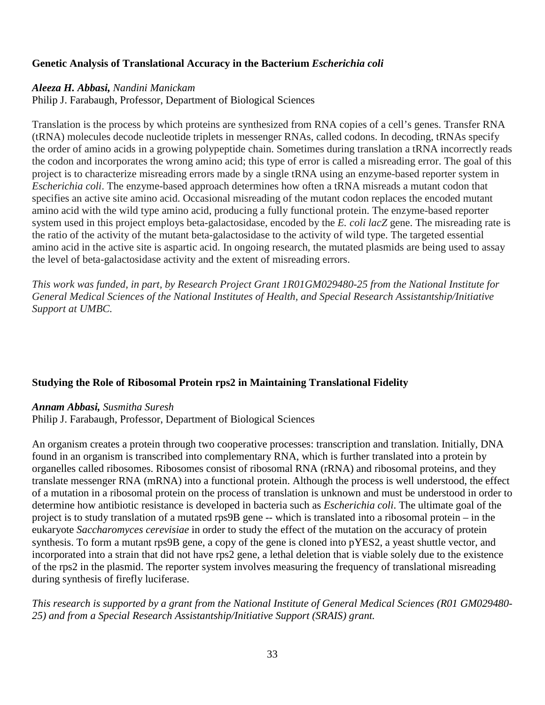# **Genetic Analysis of Translational Accuracy in the Bacterium** *Escherichia coli*

# *Aleeza H. Abbasi, Nandini Manickam*

Philip J. Farabaugh, Professor, Department of Biological Sciences

Translation is the process by which proteins are synthesized from RNA copies of a cell's genes. Transfer RNA (tRNA) molecules decode nucleotide triplets in messenger RNAs, called codons. In decoding, tRNAs specify the order of amino acids in a growing polypeptide chain. Sometimes during translation a tRNA incorrectly reads the codon and incorporates the wrong amino acid; this type of error is called a misreading error. The goal of this project is to characterize misreading errors made by a single tRNA using an enzyme-based reporter system in *Escherichia coli*. The enzyme-based approach determines how often a tRNA misreads a mutant codon that specifies an active site amino acid. Occasional misreading of the mutant codon replaces the encoded mutant amino acid with the wild type amino acid, producing a fully functional protein. The enzyme-based reporter system used in this project employs beta-galactosidase, encoded by the *E. coli lacZ* gene. The misreading rate is the ratio of the activity of the mutant beta-galactosidase to the activity of wild type. The targeted essential amino acid in the active site is aspartic acid. In ongoing research, the mutated plasmids are being used to assay the level of beta-galactosidase activity and the extent of misreading errors.

*This work was funded, in part, by Research Project Grant 1R01GM029480-25 from the National Institute for General Medical Sciences of the National Institutes of Health, and Special Research Assistantship/Initiative Support at UMBC.*

# **Studying the Role of Ribosomal Protein rps2 in Maintaining Translational Fidelity**

#### *Annam Abbasi, Susmitha Suresh*

Philip J. Farabaugh, Professor, Department of Biological Sciences

An organism creates a protein through two cooperative processes: transcription and translation. Initially, DNA found in an organism is transcribed into complementary RNA, which is further translated into a protein by organelles called ribosomes. Ribosomes consist of ribosomal RNA (rRNA) and ribosomal proteins, and they translate messenger RNA (mRNA) into a functional protein. Although the process is well understood, the effect of a mutation in a ribosomal protein on the process of translation is unknown and must be understood in order to determine how antibiotic resistance is developed in bacteria such as *Escherichia coli*. The ultimate goal of the project is to study translation of a mutated rps9B gene -- which is translated into a ribosomal protein – in the eukaryote *Saccharomyces cerevisiae* in order to study the effect of the mutation on the accuracy of protein synthesis. To form a mutant rps9B gene, a copy of the gene is cloned into pYES2, a yeast shuttle vector, and incorporated into a strain that did not have rps2 gene, a lethal deletion that is viable solely due to the existence of the rps2 in the plasmid. The reporter system involves measuring the frequency of translational misreading during synthesis of firefly luciferase.

*This research is supported by a grant from the National Institute of General Medical Sciences (R01 GM029480- 25) and from a Special Research Assistantship/Initiative Support (SRAIS) grant.*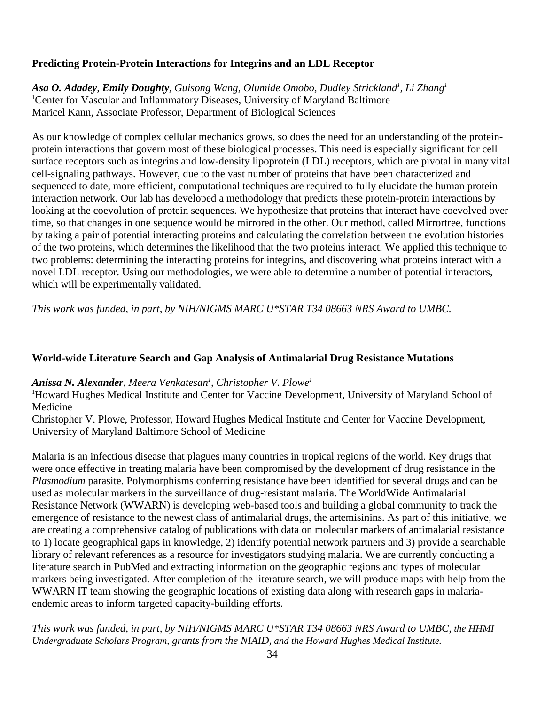# **Predicting Protein-Protein Interactions for Integrins and an LDL Receptor**

Asa O. Adadey, Emily Doughty, Guisong Wang, Olumide Omobo, Dudley Strickland<sup>1</sup>, Li Zhang<sup>1</sup> 1 Center for Vascular and Inflammatory Diseases, University of Maryland Baltimore Maricel Kann, Associate Professor, Department of Biological Sciences

As our knowledge of complex cellular mechanics grows, so does the need for an understanding of the proteinprotein interactions that govern most of these biological processes. This need is especially significant for cell surface receptors such as integrins and low-density lipoprotein (LDL) receptors, which are pivotal in many vital cell-signaling pathways. However, due to the vast number of proteins that have been characterized and sequenced to date, more efficient, computational techniques are required to fully elucidate the human protein interaction network. Our lab has developed a methodology that predicts these protein-protein interactions by looking at the coevolution of protein sequences. We hypothesize that proteins that interact have coevolved over time, so that changes in one sequence would be mirrored in the other. Our method, called Mirrortree, functions by taking a pair of potential interacting proteins and calculating the correlation between the evolution histories of the two proteins, which determines the likelihood that the two proteins interact. We applied this technique to two problems: determining the interacting proteins for integrins, and discovering what proteins interact with a novel LDL receptor. Using our methodologies, we were able to determine a number of potential interactors, which will be experimentally validated.

*This work was funded, in part, by NIH/NIGMS MARC U\*STAR T34 08663 NRS Award to UMBC.*

# **World-wide Literature Search and Gap Analysis of Antimalarial Drug Resistance Mutations**

# *Anissa N. Alexander, Meera Venkatesan1 , Christopher V. Plowe1*

1 Howard Hughes Medical Institute and Center for Vaccine Development, University of Maryland School of Medicine

Christopher V. Plowe, Professor, Howard Hughes Medical Institute and Center for Vaccine Development, University of Maryland Baltimore School of Medicine

Malaria is an infectious disease that plagues many countries in tropical regions of the world. Key drugs that were once effective in treating malaria have been compromised by the development of drug resistance in the *Plasmodium* parasite. Polymorphisms conferring resistance have been identified for several drugs and can be used as molecular markers in the surveillance of drug-resistant malaria. The WorldWide Antimalarial Resistance Network (WWARN) is developing web-based tools and building a global community to track the emergence of resistance to the newest class of antimalarial drugs, the artemisinins. As part of this initiative, we are creating a comprehensive catalog of publications with data on molecular markers of antimalarial resistance to 1) locate geographical gaps in knowledge, 2) identify potential network partners and 3) provide a searchable library of relevant references as a resource for investigators studying malaria. We are currently conducting a literature search in PubMed and extracting information on the geographic regions and types of molecular markers being investigated. After completion of the literature search, we will produce maps with help from the WWARN IT team showing the geographic locations of existing data along with research gaps in malariaendemic areas to inform targeted capacity-building efforts.

*This work was funded, in part, by NIH/NIGMS MARC U\*STAR T34 08663 NRS Award to UMBC, the HHMI Undergraduate Scholars Program, grants from the NIAID, and the Howard Hughes Medical Institute.*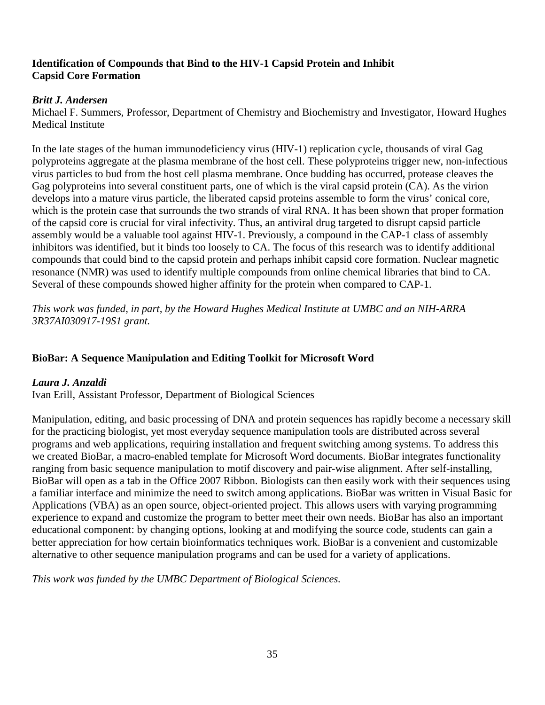# **Identification of Compounds that Bind to the HIV-1 Capsid Protein and Inhibit Capsid Core Formation**

# *Britt J. Andersen*

Michael F. Summers, Professor, Department of Chemistry and Biochemistry and Investigator, Howard Hughes Medical Institute

In the late stages of the human immunodeficiency virus (HIV-1) replication cycle, thousands of viral Gag polyproteins aggregate at the plasma membrane of the host cell. These polyproteins trigger new, non-infectious virus particles to bud from the host cell plasma membrane. Once budding has occurred, protease cleaves the Gag polyproteins into several constituent parts, one of which is the viral capsid protein (CA). As the virion develops into a mature virus particle, the liberated capsid proteins assemble to form the virus' conical core, which is the protein case that surrounds the two strands of viral RNA. It has been shown that proper formation of the capsid core is crucial for viral infectivity. Thus, an antiviral drug targeted to disrupt capsid particle assembly would be a valuable tool against HIV-1. Previously, a compound in the CAP-1 class of assembly inhibitors was identified, but it binds too loosely to CA. The focus of this research was to identify additional compounds that could bind to the capsid protein and perhaps inhibit capsid core formation. Nuclear magnetic resonance (NMR) was used to identify multiple compounds from online chemical libraries that bind to CA. Several of these compounds showed higher affinity for the protein when compared to CAP-1.

*This work was funded, in part, by the Howard Hughes Medical Institute at UMBC and an NIH-ARRA 3R37AI030917-19S1 grant.*

# **BioBar: A Sequence Manipulation and Editing Toolkit for Microsoft Word**

# *Laura J. Anzaldi*

Ivan Erill, Assistant Professor, Department of Biological Sciences

Manipulation, editing, and basic processing of DNA and protein sequences has rapidly become a necessary skill for the practicing biologist, yet most everyday sequence manipulation tools are distributed across several programs and web applications, requiring installation and frequent switching among systems. To address this we created BioBar, a macro-enabled template for Microsoft Word documents. BioBar integrates functionality ranging from basic sequence manipulation to motif discovery and pair-wise alignment. After self-installing, BioBar will open as a tab in the Office 2007 Ribbon. Biologists can then easily work with their sequences using a familiar interface and minimize the need to switch among applications. BioBar was written in Visual Basic for Applications (VBA) as an open source, object-oriented project. This allows users with varying programming experience to expand and customize the program to better meet their own needs. BioBar has also an important educational component: by changing options, looking at and modifying the source code, students can gain a better appreciation for how certain bioinformatics techniques work. BioBar is a convenient and customizable alternative to other sequence manipulation programs and can be used for a variety of applications.

*This work was funded by the UMBC Department of Biological Sciences.*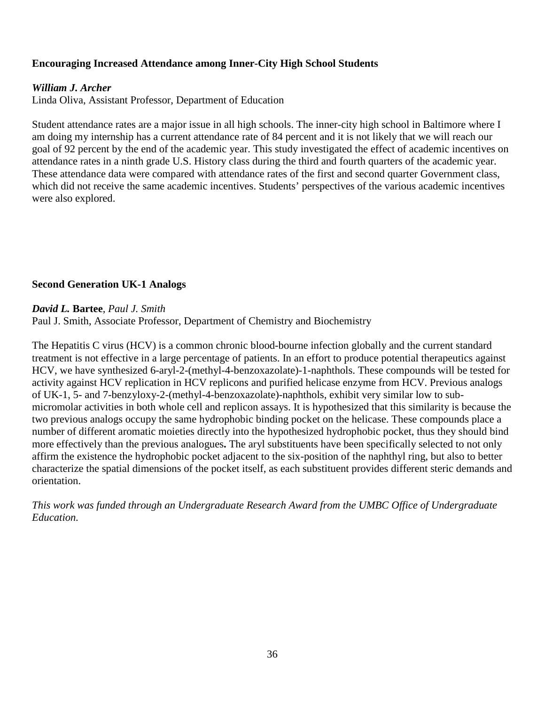# **Encouraging Increased Attendance among Inner-City High School Students**

#### *William J. Archer*

Linda Oliva, Assistant Professor, Department of Education

Student attendance rates are a major issue in all high schools. The inner-city high school in Baltimore where I am doing my internship has a current attendance rate of 84 percent and it is not likely that we will reach our goal of 92 percent by the end of the academic year. This study investigated the effect of academic incentives on attendance rates in a ninth grade U.S. History class during the third and fourth quarters of the academic year. These attendance data were compared with attendance rates of the first and second quarter Government class, which did not receive the same academic incentives. Students' perspectives of the various academic incentives were also explored.

#### **Second Generation UK-1 Analogs**

#### *David L.* **Bartee**, *Paul J. Smith*

Paul J. Smith, Associate Professor, Department of Chemistry and Biochemistry

The Hepatitis C virus (HCV) is a common chronic blood-bourne infection globally and the current standard treatment is not effective in a large percentage of patients. In an effort to produce potential therapeutics against HCV, we have synthesized 6-aryl-2-(methyl-4-benzoxazolate)-1-naphthols. These compounds will be tested for activity against HCV replication in HCV replicons and purified helicase enzyme from HCV. Previous analogs of UK-1, 5- and 7-benzyloxy-2-(methyl-4-benzoxazolate)-naphthols, exhibit very similar low to submicromolar activities in both whole cell and replicon assays. It is hypothesized that this similarity is because the two previous analogs occupy the same hydrophobic binding pocket on the helicase. These compounds place a number of different aromatic moieties directly into the hypothesized hydrophobic pocket, thus they should bind more effectively than the previous analogues**.** The aryl substituents have been specifically selected to not only affirm the existence the hydrophobic pocket adjacent to the six-position of the naphthyl ring, but also to better characterize the spatial dimensions of the pocket itself, as each substituent provides different steric demands and orientation.

*This work was funded through an Undergraduate Research Award from the UMBC Office of Undergraduate Education.*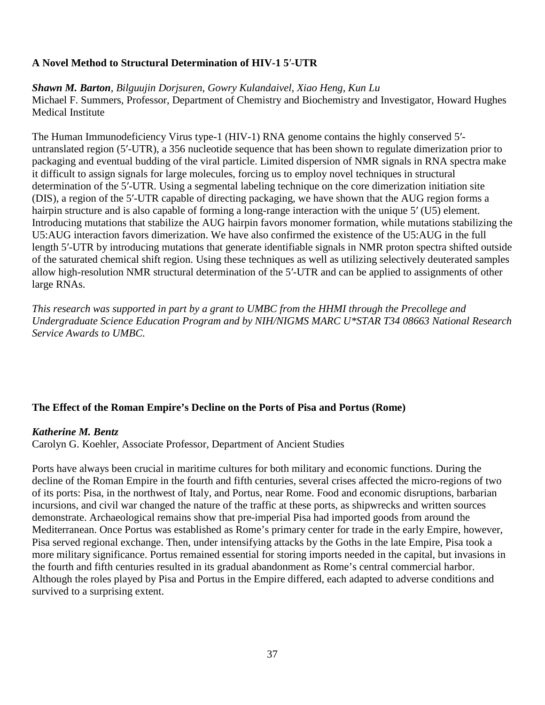# **A Novel Method to Structural Determination of HIV-1 5**′**-UTR**

*Shawn M. Barton, Bilguujin Dorjsuren, Gowry Kulandaivel, Xiao Heng, Kun Lu* Michael F. Summers, Professor, Department of Chemistry and Biochemistry and Investigator, Howard Hughes Medical Institute

The Human Immunodeficiency Virus type-1 (HIV-1) RNA genome contains the highly conserved 5′ untranslated region (5′-UTR), a 356 nucleotide sequence that has been shown to regulate dimerization prior to packaging and eventual budding of the viral particle. Limited dispersion of NMR signals in RNA spectra make it difficult to assign signals for large molecules, forcing us to employ novel techniques in structural determination of the 5′-UTR. Using a segmental labeling technique on the core dimerization initiation site (DIS), a region of the 5′-UTR capable of directing packaging, we have shown that the AUG region forms a hairpin structure and is also capable of forming a long-range interaction with the unique 5′ (U5) element. Introducing mutations that stabilize the AUG hairpin favors monomer formation, while mutations stabilizing the U5:AUG interaction favors dimerization. We have also confirmed the existence of the U5:AUG in the full length 5′-UTR by introducing mutations that generate identifiable signals in NMR proton spectra shifted outside of the saturated chemical shift region. Using these techniques as well as utilizing selectively deuterated samples allow high-resolution NMR structural determination of the 5′-UTR and can be applied to assignments of other large RNAs.

*This research was supported in part by a grant to UMBC from the HHMI through the Precollege and Undergraduate Science Education Program and by NIH/NIGMS MARC U\*STAR T34 08663 National Research Service Awards to UMBC.*

# **The Effect of the Roman Empire's Decline on the Ports of Pisa and Portus (Rome)**

#### *Katherine M. Bentz*

Carolyn G. Koehler, Associate Professor, Department of Ancient Studies

Ports have always been crucial in maritime cultures for both military and economic functions. During the decline of the Roman Empire in the fourth and fifth centuries, several crises affected the micro-regions of two of its ports: Pisa, in the northwest of Italy, and Portus, near Rome. Food and economic disruptions, barbarian incursions, and civil war changed the nature of the traffic at these ports, as shipwrecks and written sources demonstrate. Archaeological remains show that pre-imperial Pisa had imported goods from around the Mediterranean. Once Portus was established as Rome's primary center for trade in the early Empire, however, Pisa served regional exchange. Then, under intensifying attacks by the Goths in the late Empire, Pisa took a more military significance. Portus remained essential for storing imports needed in the capital, but invasions in the fourth and fifth centuries resulted in its gradual abandonment as Rome's central commercial harbor. Although the roles played by Pisa and Portus in the Empire differed, each adapted to adverse conditions and survived to a surprising extent.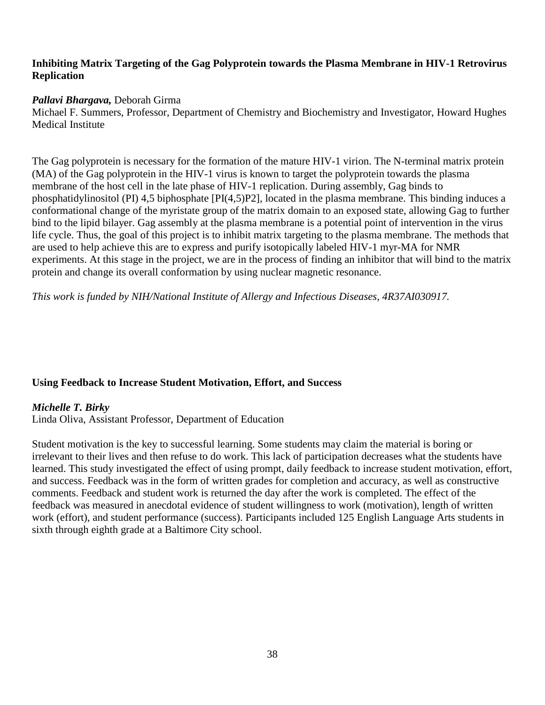### **Inhibiting Matrix Targeting of the Gag Polyprotein towards the Plasma Membrane in HIV-1 Retrovirus Replication**

# *Pallavi Bhargava,* Deborah Girma

Michael F. Summers, Professor, Department of Chemistry and Biochemistry and Investigator, Howard Hughes Medical Institute

The Gag polyprotein is necessary for the formation of the mature HIV-1 virion. The N-terminal matrix protein (MA) of the Gag polyprotein in the HIV-1 virus is known to target the polyprotein towards the plasma membrane of the host cell in the late phase of HIV-1 replication. During assembly, Gag binds to phosphatidylinositol (PI) 4,5 biphosphate [PI(4,5)P2], located in the plasma membrane. This binding induces a conformational change of the myristate group of the matrix domain to an exposed state, allowing Gag to further bind to the lipid bilayer. Gag assembly at the plasma membrane is a potential point of intervention in the virus life cycle. Thus, the goal of this project is to inhibit matrix targeting to the plasma membrane. The methods that are used to help achieve this are to express and purify isotopically labeled HIV-1 myr-MA for NMR experiments. At this stage in the project, we are in the process of finding an inhibitor that will bind to the matrix protein and change its overall conformation by using nuclear magnetic resonance.

*This work is funded by NIH/National Institute of Allergy and Infectious Diseases, 4R37AI030917.*

# **Using Feedback to Increase Student Motivation, Effort, and Success**

# *Michelle T. Birky*

Linda Oliva, Assistant Professor, Department of Education

Student motivation is the key to successful learning. Some students may claim the material is boring or irrelevant to their lives and then refuse to do work. This lack of participation decreases what the students have learned. This study investigated the effect of using prompt, daily feedback to increase student motivation, effort, and success. Feedback was in the form of written grades for completion and accuracy, as well as constructive comments. Feedback and student work is returned the day after the work is completed. The effect of the feedback was measured in anecdotal evidence of student willingness to work (motivation), length of written work (effort), and student performance (success). Participants included 125 English Language Arts students in sixth through eighth grade at a Baltimore City school.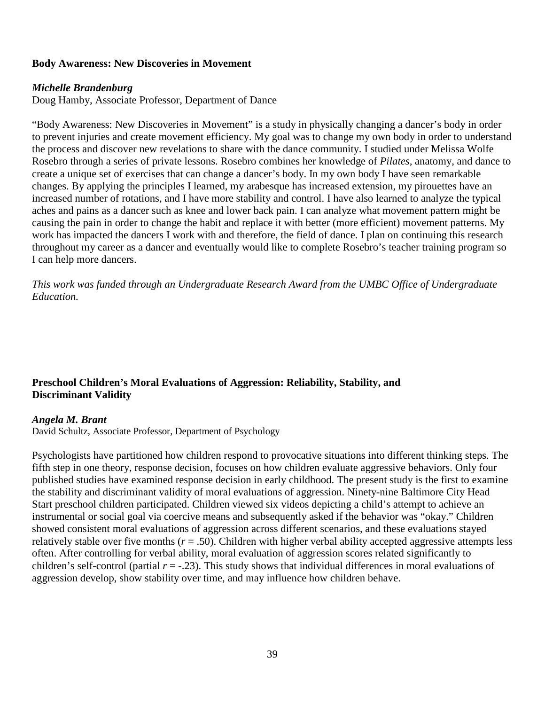#### **Body Awareness: New Discoveries in Movement**

#### *Michelle Brandenburg*

Doug Hamby, Associate Professor, Department of Dance

"Body Awareness: New Discoveries in Movement" is a study in physically changing a dancer's body in order to prevent injuries and create movement efficiency. My goal was to change my own body in order to understand the process and discover new revelations to share with the dance community. I studied under Melissa Wolfe Rosebro through a series of private lessons. Rosebro combines her knowledge of *Pilates,* anatomy, and dance to create a unique set of exercises that can change a dancer's body. In my own body I have seen remarkable changes. By applying the principles I learned, my arabesque has increased extension, my pirouettes have an increased number of rotations, and I have more stability and control. I have also learned to analyze the typical aches and pains as a dancer such as knee and lower back pain. I can analyze what movement pattern might be causing the pain in order to change the habit and replace it with better (more efficient) movement patterns. My work has impacted the dancers I work with and therefore, the field of dance. I plan on continuing this research throughout my career as a dancer and eventually would like to complete Rosebro's teacher training program so I can help more dancers.

*This work was funded through an Undergraduate Research Award from the UMBC Office of Undergraduate Education.*

# **Preschool Children's Moral Evaluations of Aggression: Reliability, Stability, and Discriminant Validity**

#### *Angela M. Brant*

David Schultz, Associate Professor, Department of Psychology

Psychologists have partitioned how children respond to provocative situations into different thinking steps. The fifth step in one theory, response decision, focuses on how children evaluate aggressive behaviors. Only four published studies have examined response decision in early childhood. The present study is the first to examine the stability and discriminant validity of moral evaluations of aggression. Ninety-nine Baltimore City Head Start preschool children participated. Children viewed six videos depicting a child's attempt to achieve an instrumental or social goal via coercive means and subsequently asked if the behavior was "okay." Children showed consistent moral evaluations of aggression across different scenarios, and these evaluations stayed relatively stable over five months  $(r = .50)$ . Children with higher verbal ability accepted aggressive attempts less often. After controlling for verbal ability, moral evaluation of aggression scores related significantly to children's self-control (partial  $r = -.23$ ). This study shows that individual differences in moral evaluations of aggression develop, show stability over time, and may influence how children behave.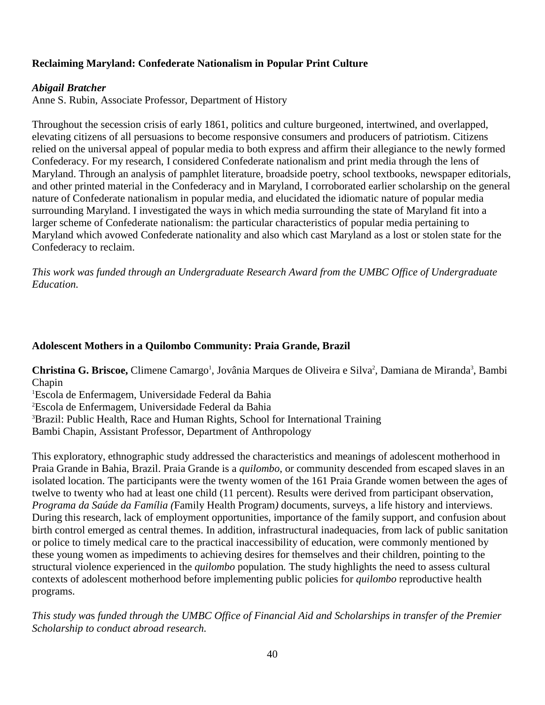# **Reclaiming Maryland: Confederate Nationalism in Popular Print Culture**

### *Abigail Bratcher*

Anne S. Rubin, Associate Professor, Department of History

Throughout the secession crisis of early 1861, politics and culture burgeoned, intertwined, and overlapped, elevating citizens of all persuasions to become responsive consumers and producers of patriotism. Citizens relied on the universal appeal of popular media to both express and affirm their allegiance to the newly formed Confederacy. For my research, I considered Confederate nationalism and print media through the lens of Maryland. Through an analysis of pamphlet literature, broadside poetry, school textbooks, newspaper editorials, and other printed material in the Confederacy and in Maryland, I corroborated earlier scholarship on the general nature of Confederate nationalism in popular media, and elucidated the idiomatic nature of popular media surrounding Maryland. I investigated the ways in which media surrounding the state of Maryland fit into a larger scheme of Confederate nationalism: the particular characteristics of popular media pertaining to Maryland which avowed Confederate nationality and also which cast Maryland as a lost or stolen state for the Confederacy to reclaim.

*This work was funded through an Undergraduate Research Award from the UMBC Office of Undergraduate Education.*

#### **Adolescent Mothers in a Quilombo Community: Praia Grande, Brazil**

Christina G. Briscoe, Climene Camargo<sup>1</sup>, Jovânia Marques de Oliveira e Silva<sup>2</sup>, Damiana de Miranda<sup>3</sup>, Bambi Chapin

1 Escola de Enfermagem, Universidade Federal da Bahia 2 Escola de Enfermagem, Universidade Federal da Bahia <sup>3</sup>Brazil: Public Health, Race and Human Rights, School for International Training Bambi Chapin, Assistant Professor, Department of Anthropology

This exploratory, ethnographic study addressed the characteristics and meanings of adolescent motherhood in Praia Grande in Bahia, Brazil. Praia Grande is a *quilombo*, or community descended from escaped slaves in an isolated location. The participants were the twenty women of the 161 Praia Grande women between the ages of twelve to twenty who had at least one child (11 percent). Results were derived from participant observation, *Programa da Saúde da Família (*Family Health Program*)* documents, surveys, a life history and interviews. During this research, lack of employment opportunities, importance of the family support, and confusion about birth control emerged as central themes. In addition, infrastructural inadequacies, from lack of public sanitation or police to timely medical care to the practical inaccessibility of education, were commonly mentioned by these young women as impediments to achieving desires for themselves and their children, pointing to the structural violence experienced in the *quilombo* population*.* The study highlights the need to assess cultural contexts of adolescent motherhood before implementing public policies for *quilombo* reproductive health programs.

*This study wa*s *funded through the UMBC Office of Financial Aid and Scholarships in transfer of the Premier Scholarship to conduct abroad research.*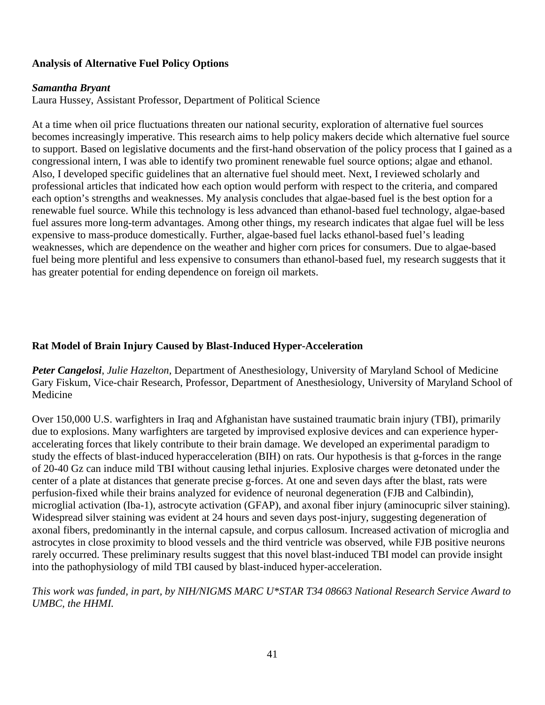# **Analysis of Alternative Fuel Policy Options**

#### *Samantha Bryant*

Laura Hussey, Assistant Professor, Department of Political Science

At a time when oil price fluctuations threaten our national security, exploration of alternative fuel sources becomes increasingly imperative. This research aims to help policy makers decide which alternative fuel source to support. Based on legislative documents and the first-hand observation of the policy process that I gained as a congressional intern, I was able to identify two prominent renewable fuel source options; algae and ethanol. Also, I developed specific guidelines that an alternative fuel should meet. Next, I reviewed scholarly and professional articles that indicated how each option would perform with respect to the criteria, and compared each option's strengths and weaknesses. My analysis concludes that algae-based fuel is the best option for a renewable fuel source. While this technology is less advanced than ethanol-based fuel technology, algae-based fuel assures more long-term advantages. Among other things, my research indicates that algae fuel will be less expensive to mass-produce domestically. Further, algae-based fuel lacks ethanol-based fuel's leading weaknesses, which are dependence on the weather and higher corn prices for consumers. Due to algae-based fuel being more plentiful and less expensive to consumers than ethanol-based fuel, my research suggests that it has greater potential for ending dependence on foreign oil markets.

# **Rat Model of Brain Injury Caused by Blast-Induced Hyper-Acceleration**

*Peter Cangelosi*, *Julie Hazelton,* Department of Anesthesiology, University of Maryland School of Medicine Gary Fiskum, Vice-chair Research, Professor, Department of Anesthesiology, University of Maryland School of Medicine

Over 150,000 U.S. warfighters in Iraq and Afghanistan have sustained traumatic brain injury (TBI), primarily due to explosions. Many warfighters are targeted by improvised explosive devices and can experience hyperaccelerating forces that likely contribute to their brain damage. We developed an experimental paradigm to study the effects of blast-induced hyperacceleration (BIH) on rats. Our hypothesis is that g-forces in the range of 20-40 Gz can induce mild TBI without causing lethal injuries. Explosive charges were detonated under the center of a plate at distances that generate precise g-forces. At one and seven days after the blast, rats were perfusion-fixed while their brains analyzed for evidence of neuronal degeneration (FJB and Calbindin), microglial activation (Iba-1), astrocyte activation (GFAP), and axonal fiber injury (aminocupric silver staining). Widespread silver staining was evident at 24 hours and seven days post-injury, suggesting degeneration of axonal fibers, predominantly in the internal capsule, and corpus callosum. Increased activation of microglia and astrocytes in close proximity to blood vessels and the third ventricle was observed, while FJB positive neurons rarely occurred. These preliminary results suggest that this novel blast-induced TBI model can provide insight into the pathophysiology of mild TBI caused by blast-induced hyper-acceleration.

# *This work was funded, in part, by NIH/NIGMS MARC U\*STAR T34 08663 National Research Service Award to UMBC, the HHMI.*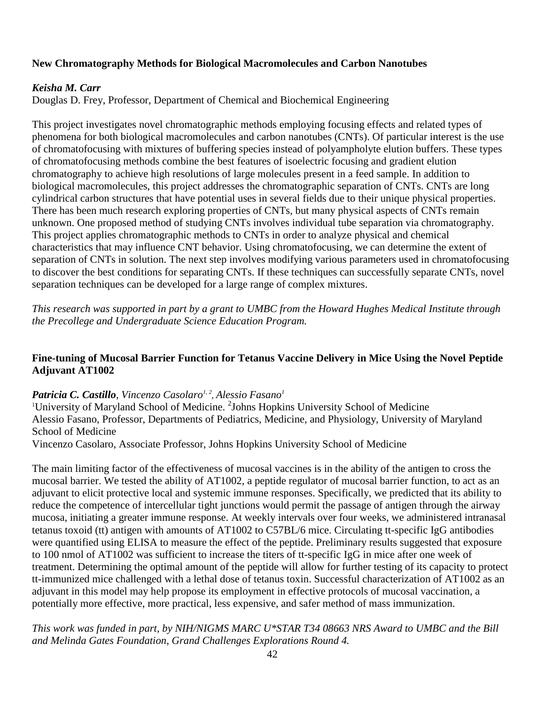#### **New Chromatography Methods for Biological Macromolecules and Carbon Nanotubes**

#### *Keisha M. Carr*

Douglas D. Frey, Professor, Department of Chemical and Biochemical Engineering

This project investigates novel chromatographic methods employing focusing effects and related types of phenomena for both biological macromolecules and carbon nanotubes (CNTs). Of particular interest is the use of chromatofocusing with mixtures of buffering species instead of polyampholyte elution buffers. These types of chromatofocusing methods combine the best features of isoelectric focusing and gradient elution chromatography to achieve high resolutions of large molecules present in a feed sample. In addition to biological macromolecules, this project addresses the chromatographic separation of CNTs. CNTs are long cylindrical carbon structures that have potential uses in several fields due to their unique physical properties. There has been much research exploring properties of CNTs, but many physical aspects of CNTs remain unknown. One proposed method of studying CNTs involves individual tube separation via chromatography. This project applies chromatographic methods to CNTs in order to analyze physical and chemical characteristics that may influence CNT behavior. Using chromatofocusing, we can determine the extent of separation of CNTs in solution. The next step involves modifying various parameters used in chromatofocusing to discover the best conditions for separating CNTs. If these techniques can successfully separate CNTs, novel separation techniques can be developed for a large range of complex mixtures.

*This research was supported in part by a grant to UMBC from the Howard Hughes Medical Institute through the Precollege and Undergraduate Science Education Program.*

#### **Fine-tuning of Mucosal Barrier Function for Tetanus Vaccine Delivery in Mice Using the Novel Peptide Adjuvant AT1002**

#### *Patricia C. Castillo, Vincenzo Casolaro<sup>1, 2</sup>, Alessio Fasano<sup>1</sup>*

<sup>1</sup>University of Maryland School of Medicine. <sup>2</sup>Johns Hopkins University School of Medicine Alessio Fasano, Professor, Departments of Pediatrics, Medicine, and Physiology, University of Maryland School of Medicine

Vincenzo Casolaro, Associate Professor, Johns Hopkins University School of Medicine

The main limiting factor of the effectiveness of mucosal vaccines is in the ability of the antigen to cross the mucosal barrier. We tested the ability of AT1002, a peptide regulator of mucosal barrier function, to act as an adjuvant to elicit protective local and systemic immune responses. Specifically, we predicted that its ability to reduce the competence of intercellular tight junctions would permit the passage of antigen through the airway mucosa, initiating a greater immune response. At weekly intervals over four weeks, we administered intranasal tetanus toxoid (tt) antigen with amounts of AT1002 to C57BL/6 mice. Circulating tt-specific IgG antibodies were quantified using ELISA to measure the effect of the peptide. Preliminary results suggested that exposure to 100 nmol of AT1002 was sufficient to increase the titers of tt-specific IgG in mice after one week of treatment. Determining the optimal amount of the peptide will allow for further testing of its capacity to protect tt-immunized mice challenged with a lethal dose of tetanus toxin. Successful characterization of AT1002 as an adjuvant in this model may help propose its employment in effective protocols of mucosal vaccination, a potentially more effective, more practical, less expensive, and safer method of mass immunization.

*This work was funded in part, by NIH/NIGMS MARC U\*STAR T34 08663 NRS Award to UMBC and the Bill and Melinda Gates Foundation, Grand Challenges Explorations Round 4.*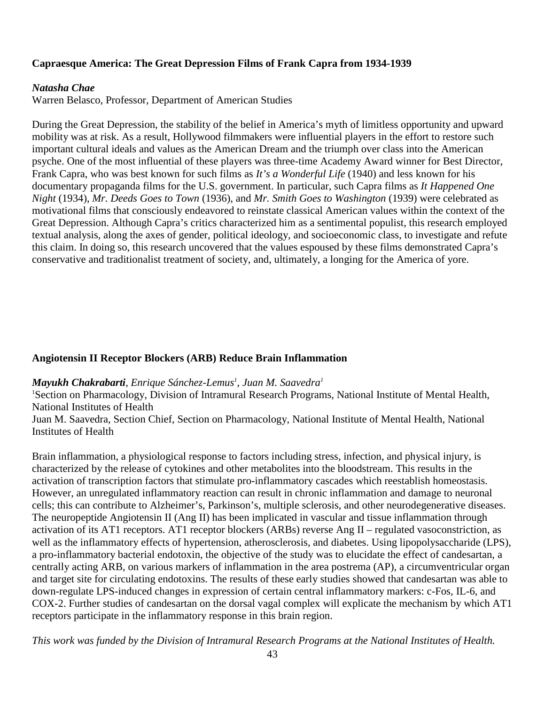#### **Capraesque America: The Great Depression Films of Frank Capra from 1934-1939**

#### *Natasha Chae*

Warren Belasco, Professor, Department of American Studies

During the Great Depression, the stability of the belief in America's myth of limitless opportunity and upward mobility was at risk. As a result, Hollywood filmmakers were influential players in the effort to restore such important cultural ideals and values as the American Dream and the triumph over class into the American psyche. One of the most influential of these players was three-time Academy Award winner for Best Director, Frank Capra, who was best known for such films as *It's a Wonderful Life* (1940) and less known for his documentary propaganda films for the U.S. government. In particular, such Capra films as *It Happened One Night* (1934), *Mr. Deeds Goes to Town* (1936), and *Mr. Smith Goes to Washington* (1939) were celebrated as motivational films that consciously endeavored to reinstate classical American values within the context of the Great Depression. Although Capra's critics characterized him as a sentimental populist, this research employed textual analysis, along the axes of gender, political ideology, and socioeconomic class, to investigate and refute this claim. In doing so, this research uncovered that the values espoused by these films demonstrated Capra's conservative and traditionalist treatment of society, and, ultimately, a longing for the America of yore.

#### **Angiotensin II Receptor Blockers (ARB) Reduce Brain Inflammation**

#### $M$ ayukh Chakrabarti, Enrique Sánchez-Lemus<sup>1</sup>, Juan M. Saavedra<sup>1</sup>

<sup>1</sup>Section on Pharmacology, Division of Intramural Research Programs, National Institute of Mental Health, National Institutes of Health

Juan M. Saavedra, Section Chief, Section on Pharmacology, National Institute of Mental Health, National Institutes of Health

Brain inflammation, a physiological response to factors including stress, infection, and physical injury, is characterized by the release of cytokines and other metabolites into the bloodstream. This results in the activation of transcription factors that stimulate pro-inflammatory cascades which reestablish homeostasis. However, an unregulated inflammatory reaction can result in chronic inflammation and damage to neuronal cells; this can contribute to Alzheimer's, Parkinson's, multiple sclerosis, and other neurodegenerative diseases. The neuropeptide Angiotensin II (Ang II) has been implicated in vascular and tissue inflammation through activation of its AT1 receptors. AT1 receptor blockers (ARBs) reverse Ang II – regulated vasoconstriction, as well as the inflammatory effects of hypertension, atherosclerosis, and diabetes. Using lipopolysaccharide (LPS), a pro-inflammatory bacterial endotoxin, the objective of the study was to elucidate the effect of candesartan, a centrally acting ARB, on various markers of inflammation in the area postrema (AP), a circumventricular organ and target site for circulating endotoxins. The results of these early studies showed that candesartan was able to down-regulate LPS-induced changes in expression of certain central inflammatory markers: c-Fos, IL-6, and COX-2. Further studies of candesartan on the dorsal vagal complex will explicate the mechanism by which AT1 receptors participate in the inflammatory response in this brain region.

*This work was funded by the Division of Intramural Research Programs at the National Institutes of Health.*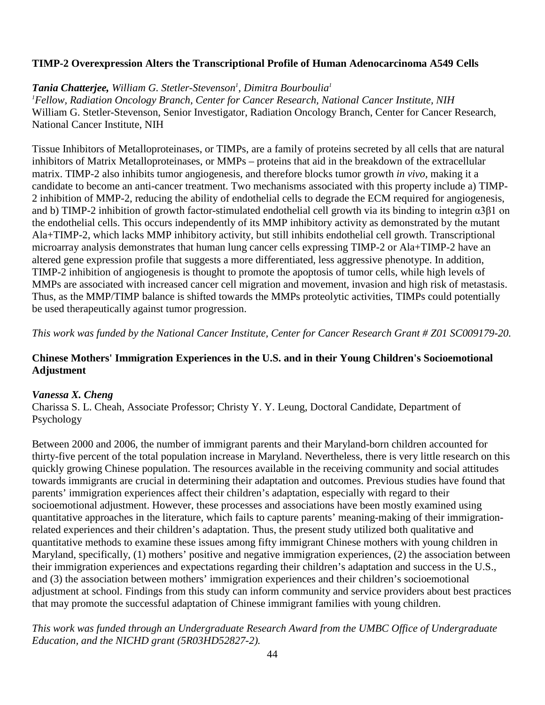# **TIMP-2 Overexpression Alters the Transcriptional Profile of Human Adenocarcinoma A549 Cells**

 $\bm{T}$ ania Chatterjee, William G. Stetler-Stevenson<sup>1</sup>, Dimitra Bourboulia<sup>1</sup> *1 Fellow, Radiation Oncology Branch, Center for Cancer Research, National Cancer Institute, NIH* William G. Stetler-Stevenson, Senior Investigator, Radiation Oncology Branch, Center for Cancer Research, National Cancer Institute, NIH

Tissue Inhibitors of Metalloproteinases, or TIMPs, are a family of proteins secreted by all cells that are natural inhibitors of Matrix Metalloproteinases, or MMPs – proteins that aid in the breakdown of the extracellular matrix. TIMP-2 also inhibits tumor angiogenesis, and therefore blocks tumor growth *in vivo*, making it a candidate to become an anti-cancer treatment. Two mechanisms associated with this property include a) TIMP-2 inhibition of MMP-2, reducing the ability of endothelial cells to degrade the ECM required for angiogenesis, and b) TIMP-2 inhibition of growth factor-stimulated endothelial cell growth via its binding to integrin α3β1 on the endothelial cells. This occurs independently of its MMP inhibitory activity as demonstrated by the mutant Ala+TIMP-2, which lacks MMP inhibitory activity, but still inhibits endothelial cell growth. Transcriptional microarray analysis demonstrates that human lung cancer cells expressing TIMP-2 or Ala+TIMP-2 have an altered gene expression profile that suggests a more differentiated, less aggressive phenotype. In addition, TIMP-2 inhibition of angiogenesis is thought to promote the apoptosis of tumor cells, while high levels of MMPs are associated with increased cancer cell migration and movement, invasion and high risk of metastasis. Thus, as the MMP/TIMP balance is shifted towards the MMPs proteolytic activities, TIMPs could potentially be used therapeutically against tumor progression.

*This work was funded by the National Cancer Institute, Center for Cancer Research Grant # Z01 SC009179-20.* 

#### **Chinese Mothers' Immigration Experiences in the U.S. and in their Young Children's Socioemotional Adjustment**

#### *Vanessa X. Cheng*

Charissa S. L. Cheah, Associate Professor; Christy Y. Y. Leung, Doctoral Candidate, Department of Psychology

Between 2000 and 2006, the number of immigrant parents and their Maryland-born children accounted for thirty-five percent of the total population increase in Maryland. Nevertheless, there is very little research on this quickly growing Chinese population. The resources available in the receiving community and social attitudes towards immigrants are crucial in determining their adaptation and outcomes. Previous studies have found that parents' immigration experiences affect their children's adaptation, especially with regard to their socioemotional adjustment. However, these processes and associations have been mostly examined using quantitative approaches in the literature, which fails to capture parents' meaning-making of their immigrationrelated experiences and their children's adaptation. Thus, the present study utilized both qualitative and quantitative methods to examine these issues among fifty immigrant Chinese mothers with young children in Maryland, specifically, (1) mothers' positive and negative immigration experiences, (2) the association between their immigration experiences and expectations regarding their children's adaptation and success in the U.S., and (3) the association between mothers' immigration experiences and their children's socioemotional adjustment at school. Findings from this study can inform community and service providers about best practices that may promote the successful adaptation of Chinese immigrant families with young children.

*This work was funded through an Undergraduate Research Award from the UMBC Office of Undergraduate Education, and the NICHD grant (5R03HD52827-2).*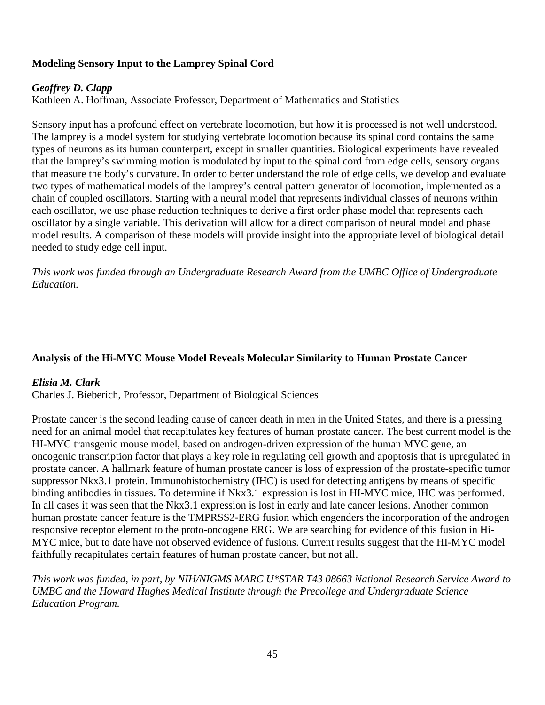# **Modeling Sensory Input to the Lamprey Spinal Cord**

#### *Geoffrey D. Clapp*

Kathleen A. Hoffman, Associate Professor, Department of Mathematics and Statistics

Sensory input has a profound effect on vertebrate locomotion, but how it is processed is not well understood. The lamprey is a model system for studying vertebrate locomotion because its spinal cord contains the same types of neurons as its human counterpart, except in smaller quantities. Biological experiments have revealed that the lamprey's swimming motion is modulated by input to the spinal cord from edge cells, sensory organs that measure the body's curvature. In order to better understand the role of edge cells, we develop and evaluate two types of mathematical models of the lamprey's central pattern generator of locomotion, implemented as a chain of coupled oscillators. Starting with a neural model that represents individual classes of neurons within each oscillator, we use phase reduction techniques to derive a first order phase model that represents each oscillator by a single variable. This derivation will allow for a direct comparison of neural model and phase model results. A comparison of these models will provide insight into the appropriate level of biological detail needed to study edge cell input.

*This work was funded through an Undergraduate Research Award from the UMBC Office of Undergraduate Education.*

#### **Analysis of the Hi-MYC Mouse Model Reveals Molecular Similarity to Human Prostate Cancer**

#### *Elisia M. Clark*

Charles J. Bieberich, Professor, Department of Biological Sciences

Prostate cancer is the second leading cause of cancer death in men in the United States, and there is a pressing need for an animal model that recapitulates key features of human prostate cancer. The best current model is the HI-MYC transgenic mouse model, based on androgen-driven expression of the human MYC gene, an oncogenic transcription factor that plays a key role in regulating cell growth and apoptosis that is upregulated in prostate cancer. A hallmark feature of human prostate cancer is loss of expression of the prostate-specific tumor suppressor Nkx3.1 protein. Immunohistochemistry (IHC) is used for detecting antigens by means of specific binding antibodies in tissues. To determine if Nkx3.1 expression is lost in HI-MYC mice, IHC was performed. In all cases it was seen that the Nkx3.1 expression is lost in early and late cancer lesions. Another common human prostate cancer feature is the TMPRSS2-ERG fusion which engenders the incorporation of the androgen responsive receptor element to the proto-oncogene ERG. We are searching for evidence of this fusion in Hi-MYC mice, but to date have not observed evidence of fusions. Current results suggest that the HI-MYC model faithfully recapitulates certain features of human prostate cancer, but not all.

*This work was funded, in part, by NIH/NIGMS MARC U\*STAR T43 08663 National Research Service Award to UMBC and the Howard Hughes Medical Institute through the Precollege and Undergraduate Science Education Program.*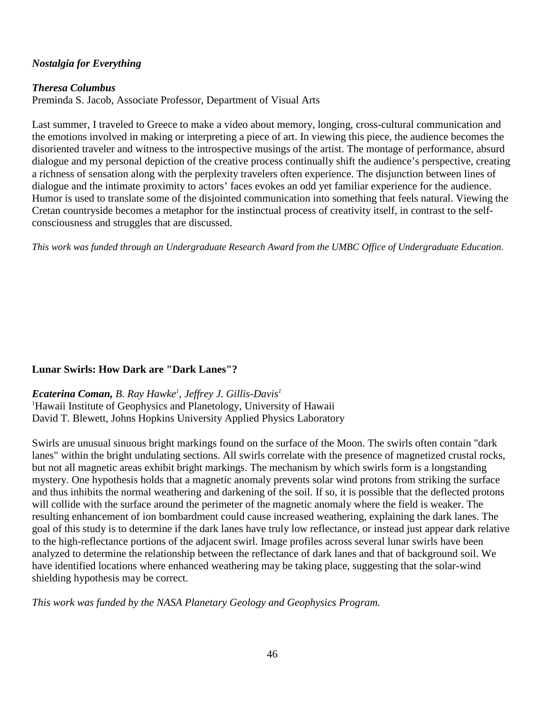# *Nostalgia for Everything*

#### *Theresa Columbus*

Preminda S. Jacob, Associate Professor, Department of Visual Arts

Last summer, I traveled to Greece to make a video about memory, longing, cross-cultural communication and the emotions involved in making or interpreting a piece of art. In viewing this piece, the audience becomes the disoriented traveler and witness to the introspective musings of the artist. The montage of performance, absurd dialogue and my personal depiction of the creative process continually shift the audience's perspective, creating a richness of sensation along with the perplexity travelers often experience. The disjunction between lines of dialogue and the intimate proximity to actors' faces evokes an odd yet familiar experience for the audience. Humor is used to translate some of the disjointed communication into something that feels natural. Viewing the Cretan countryside becomes a metaphor for the instinctual process of creativity itself, in contrast to the selfconsciousness and struggles that are discussed.

*This work was funded through an Undergraduate Research Award from the UMBC Office of Undergraduate Education.*

# **Lunar Swirls: How Dark are "Dark Lanes"?**

*Ecaterina Coman, B. Ray Hawke1 , Jeffrey J. Gillis-Davis1* <sup>1</sup>Hawaii Institute of Geophysics and Planetology, University of Hawaii

David T. Blewett, Johns Hopkins University Applied Physics Laboratory

Swirls are unusual sinuous bright markings found on the surface of the Moon. The swirls often contain "dark lanes" within the bright undulating sections. All swirls correlate with the presence of magnetized crustal rocks, but not all magnetic areas exhibit bright markings. The mechanism by which swirls form is a longstanding mystery. One hypothesis holds that a magnetic anomaly prevents solar wind protons from striking the surface and thus inhibits the normal weathering and darkening of the soil. If so, it is possible that the deflected protons will collide with the surface around the perimeter of the magnetic anomaly where the field is weaker. The resulting enhancement of ion bombardment could cause increased weathering, explaining the dark lanes. The goal of this study is to determine if the dark lanes have truly low reflectance, or instead just appear dark relative to the high-reflectance portions of the adjacent swirl. Image profiles across several lunar swirls have been analyzed to determine the relationship between the reflectance of dark lanes and that of background soil. We have identified locations where enhanced weathering may be taking place, suggesting that the solar-wind shielding hypothesis may be correct.

*This work was funded by the NASA Planetary Geology and Geophysics Program.*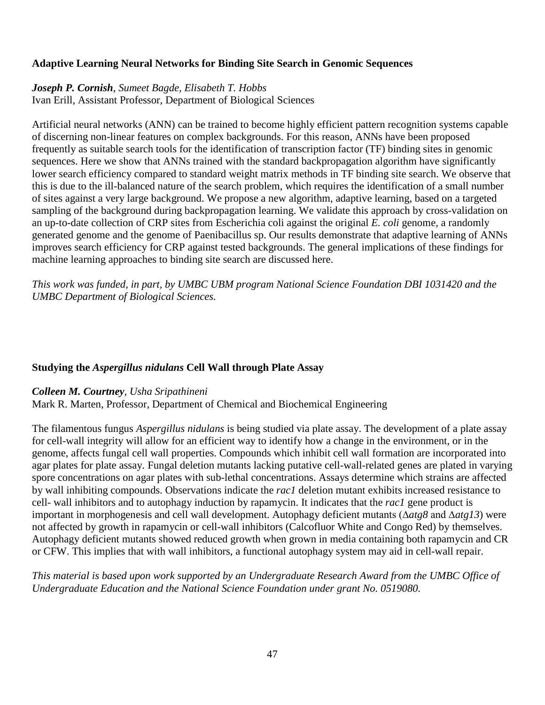# **Adaptive Learning Neural Networks for Binding Site Search in Genomic Sequences**

# *Joseph P. Cornish, Sumeet Bagde, Elisabeth T. Hobbs*

Ivan Erill, Assistant Professor, Department of Biological Sciences

Artificial neural networks (ANN) can be trained to become highly efficient pattern recognition systems capable of discerning non-linear features on complex backgrounds. For this reason, ANNs have been proposed frequently as suitable search tools for the identification of transcription factor (TF) binding sites in genomic sequences. Here we show that ANNs trained with the standard backpropagation algorithm have significantly lower search efficiency compared to standard weight matrix methods in TF binding site search. We observe that this is due to the ill-balanced nature of the search problem, which requires the identification of a small number of sites against a very large background. We propose a new algorithm, adaptive learning, based on a targeted sampling of the background during backpropagation learning. We validate this approach by cross-validation on an up-to-date collection of CRP sites from Escherichia coli against the original *E. coli* genome, a randomly generated genome and the genome of Paenibacillus sp. Our results demonstrate that adaptive learning of ANNs improves search efficiency for CRP against tested backgrounds. The general implications of these findings for machine learning approaches to binding site search are discussed here.

*This work was funded, in part, by UMBC UBM program National Science Foundation DBI 1031420 and the UMBC Department of Biological Sciences.* 

# **Studying the** *Aspergillus nidulans* **Cell Wall through Plate Assay**

#### *Colleen M. Courtney, Usha Sripathineni*

Mark R. Marten, Professor, Department of Chemical and Biochemical Engineering

The filamentous fungus *Aspergillus nidulans* is being studied via plate assay. The development of a plate assay for cell-wall integrity will allow for an efficient way to identify how a change in the environment, or in the genome, affects fungal cell wall properties. Compounds which inhibit cell wall formation are incorporated into agar plates for plate assay. Fungal deletion mutants lacking putative cell-wall-related genes are plated in varying spore concentrations on agar plates with sub-lethal concentrations. Assays determine which strains are affected by wall inhibiting compounds. Observations indicate the *rac1* deletion mutant exhibits increased resistance to cell- wall inhibitors and to autophagy induction by rapamycin. It indicates that the *rac1* gene product is important in morphogenesis and cell wall development. Autophagy deficient mutants (∆*atg8* and ∆*atg13*) were not affected by growth in rapamycin or cell-wall inhibitors (Calcofluor White and Congo Red) by themselves. Autophagy deficient mutants showed reduced growth when grown in media containing both rapamycin and CR or CFW. This implies that with wall inhibitors, a functional autophagy system may aid in cell-wall repair.

*This material is based upon work supported by an Undergraduate Research Award from the UMBC Office of Undergraduate Education and the National Science Foundation under grant No. 0519080.*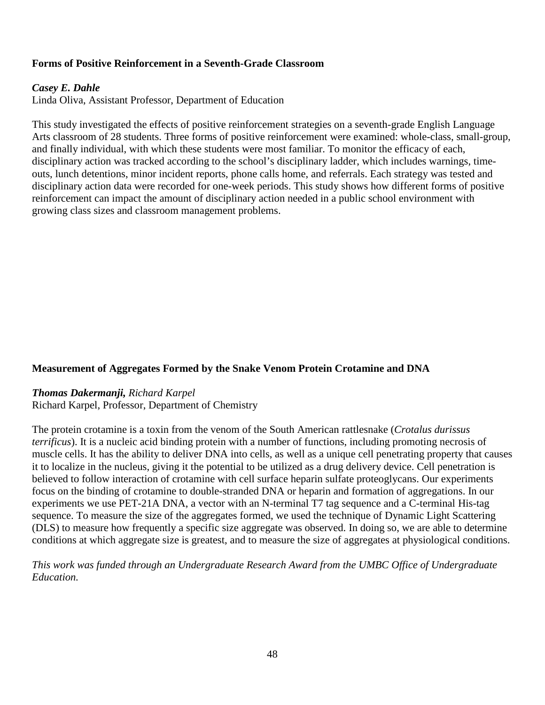# **Forms of Positive Reinforcement in a Seventh-Grade Classroom**

#### *Casey E. Dahle*

Linda Oliva, Assistant Professor, Department of Education

This study investigated the effects of positive reinforcement strategies on a seventh-grade English Language Arts classroom of 28 students. Three forms of positive reinforcement were examined: whole-class, small-group, and finally individual, with which these students were most familiar. To monitor the efficacy of each, disciplinary action was tracked according to the school's disciplinary ladder, which includes warnings, timeouts, lunch detentions, minor incident reports, phone calls home, and referrals. Each strategy was tested and disciplinary action data were recorded for one-week periods. This study shows how different forms of positive reinforcement can impact the amount of disciplinary action needed in a public school environment with growing class sizes and classroom management problems.

#### **Measurement of Aggregates Formed by the Snake Venom Protein Crotamine and DNA**

#### *Thomas Dakermanji, Richard Karpel*

Richard Karpel, Professor, Department of Chemistry

The protein crotamine is a toxin from the venom of the South American rattlesnake (*Crotalus durissus terrificus*). It is a nucleic acid binding protein with a number of functions, including promoting necrosis of muscle cells. It has the ability to deliver DNA into cells, as well as a unique cell penetrating property that causes it to localize in the nucleus, giving it the potential to be utilized as a drug delivery device. Cell penetration is believed to follow interaction of crotamine with cell surface heparin sulfate proteoglycans. Our experiments focus on the binding of crotamine to double-stranded DNA or heparin and formation of aggregations. In our experiments we use PET-21A DNA, a vector with an N-terminal T7 tag sequence and a C-terminal His-tag sequence. To measure the size of the aggregates formed, we used the technique of Dynamic Light Scattering (DLS) to measure how frequently a specific size aggregate was observed. In doing so, we are able to determine conditions at which aggregate size is greatest, and to measure the size of aggregates at physiological conditions.

*This work was funded through an Undergraduate Research Award from the UMBC Office of Undergraduate Education.*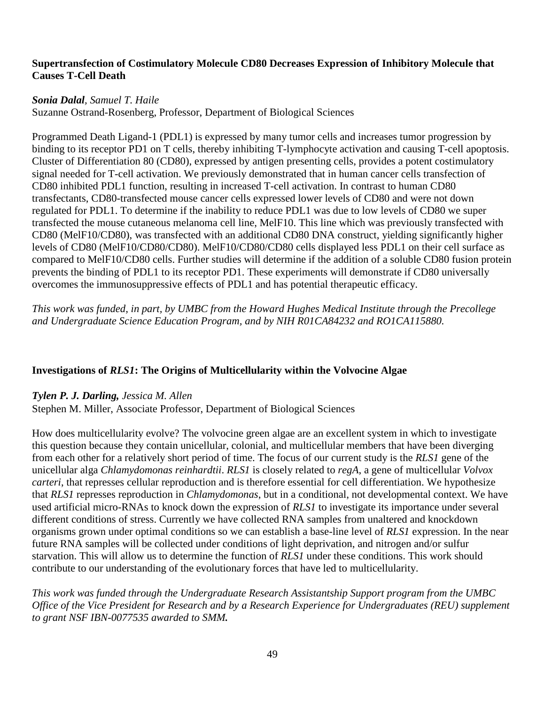#### **Supertransfection of Costimulatory Molecule CD80 Decreases Expression of Inhibitory Molecule that Causes T-Cell Death**

# *Sonia Dalal, Samuel T. Haile*

Suzanne Ostrand-Rosenberg, Professor, Department of Biological Sciences

Programmed Death Ligand-1 (PDL1) is expressed by many tumor cells and increases tumor progression by binding to its receptor PD1 on T cells, thereby inhibiting T-lymphocyte activation and causing T-cell apoptosis. Cluster of Differentiation 80 (CD80), expressed by antigen presenting cells, provides a potent costimulatory signal needed for T-cell activation. We previously demonstrated that in human cancer cells transfection of CD80 inhibited PDL1 function, resulting in increased T-cell activation. In contrast to human CD80 transfectants, CD80-transfected mouse cancer cells expressed lower levels of CD80 and were not down regulated for PDL1. To determine if the inability to reduce PDL1 was due to low levels of CD80 we super transfected the mouse cutaneous melanoma cell line, MelF10. This line which was previously transfected with CD80 (MelF10/CD80), was transfected with an additional CD80 DNA construct, yielding significantly higher levels of CD80 (MelF10/CD80/CD80). MelF10/CD80/CD80 cells displayed less PDL1 on their cell surface as compared to MelF10/CD80 cells. Further studies will determine if the addition of a soluble CD80 fusion protein prevents the binding of PDL1 to its receptor PD1. These experiments will demonstrate if CD80 universally overcomes the immunosuppressive effects of PDL1 and has potential therapeutic efficacy.

*This work was funded, in part, by UMBC from the Howard Hughes Medical Institute through the Precollege and Undergraduate Science Education Program, and by NIH R01CA84232 and RO1CA115880.*

# **Investigations of** *RLS1***: The Origins of Multicellularity within the Volvocine Algae**

#### *Tylen P. J. Darling, Jessica M. Allen*

Stephen M. Miller, Associate Professor, Department of Biological Sciences

How does multicellularity evolve? The volvocine green algae are an excellent system in which to investigate this question because they contain unicellular, colonial, and multicellular members that have been diverging from each other for a relatively short period of time. The focus of our current study is the *RLS1* gene of the unicellular alga *Chlamydomonas reinhardtii*. *RLS1* is closely related to *regA*, a gene of multicellular *Volvox carteri*, that represses cellular reproduction and is therefore essential for cell differentiation. We hypothesize that *RLS1* represses reproduction in *Chlamydomonas*, but in a conditional, not developmental context. We have used artificial micro-RNAs to knock down the expression of *RLS1* to investigate its importance under several different conditions of stress. Currently we have collected RNA samples from unaltered and knockdown organisms grown under optimal conditions so we can establish a base-line level of *RLS1* expression. In the near future RNA samples will be collected under conditions of light deprivation, and nitrogen and/or sulfur starvation. This will allow us to determine the function of *RLS1* under these conditions. This work should contribute to our understanding of the evolutionary forces that have led to multicellularity.

*This work was funded through the Undergraduate Research Assistantship Support program from the UMBC Office of the Vice President for Research and by a Research Experience for Undergraduates (REU) supplement to grant NSF IBN-0077535 awarded to SMM.*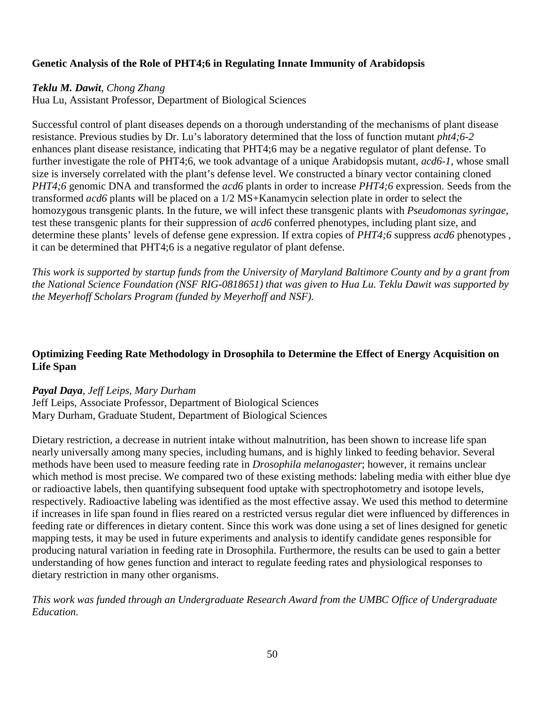# **Genetic Analysis of the Role of PHT4;6 in Regulating Innate Immunity of Arabidopsis**

# *Teklu M. Dawit*, *Chong Zhang*

Hua Lu, Assistant Professor, Department of Biological Sciences

Successful control of plant diseases depends on a thorough understanding of the mechanisms of plant disease resistance. Previous studies by Dr. Lu's laboratory determined that the loss of function mutant *pht4;6-2* enhances plant disease resistance, indicating that PHT4;6 may be a negative regulator of plant defense. To further investigate the role of PHT4;6, we took advantage of a unique Arabidopsis mutant, *acd6-1*, whose small size is inversely correlated with the plant's defense level. We constructed a binary vector containing cloned *PHT4;6* genomic DNA and transformed the *acd6* plants in order to increase *PHT4;6* expression. Seeds from the transformed *acd6* plants will be placed on a 1/2 MS+Kanamycin selection plate in order to select the homozygous transgenic plants. In the future, we will infect these transgenic plants with *Pseudomonas syringae*, test these transgenic plants for their suppression of *acd6* conferred phenotypes, including plant size, and determine these plants' levels of defense gene expression. If extra copies of *PHT4;6* suppress *acd6* phenotypes , it can be determined that PHT4;6 is a negative regulator of plant defense.

*This work is supported by startup funds from the University of Maryland Baltimore County and by a grant from the National Science Foundation (NSF RIG-0818651) that was given to Hua Lu. Teklu Dawit was supported by the Meyerhoff Scholars Program (funded by Meyerhoff and NSF).*

# **Optimizing Feeding Rate Methodology in Drosophila to Determine the Effect of Energy Acquisition on Life Span**

#### *Payal Daya, Jeff Leips, Mary Durham*

Jeff Leips, Associate Professor, Department of Biological Sciences Mary Durham, Graduate Student, Department of Biological Sciences

Dietary restriction, a decrease in nutrient intake without malnutrition, has been shown to increase life span nearly universally among many species, including humans, and is highly linked to feeding behavior. Several methods have been used to measure feeding rate in *Drosophila melanogaster*; however, it remains unclear which method is most precise. We compared two of these existing methods: labeling media with either blue dye or radioactive labels, then quantifying subsequent food uptake with spectrophotometry and isotope levels, respectively. Radioactive labeling was identified as the most effective assay. We used this method to determine if increases in life span found in flies reared on a restricted versus regular diet were influenced by differences in feeding rate or differences in dietary content. Since this work was done using a set of lines designed for genetic mapping tests, it may be used in future experiments and analysis to identify candidate genes responsible for producing natural variation in feeding rate in Drosophila. Furthermore, the results can be used to gain a better understanding of how genes function and interact to regulate feeding rates and physiological responses to dietary restriction in many other organisms.

*This work was funded through an Undergraduate Research Award from the UMBC Office of Undergraduate Education.*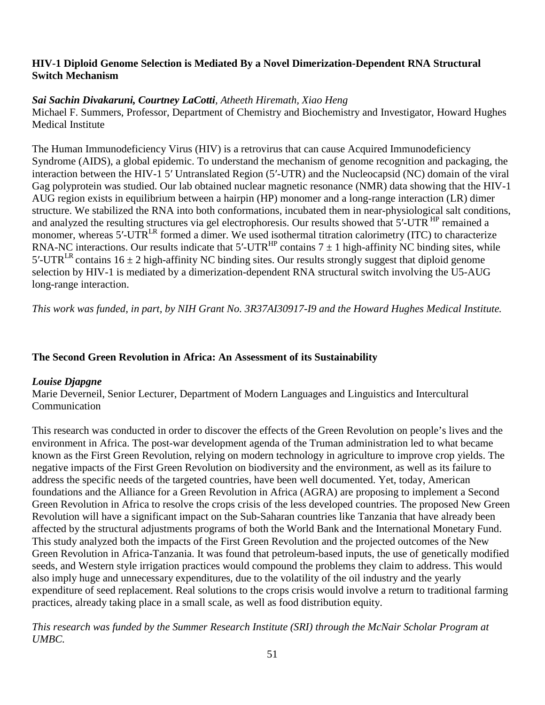# **HIV-1 Diploid Genome Selection is Mediated By a Novel Dimerization-Dependent RNA Structural Switch Mechanism**

# *Sai Sachin Divakaruni, Courtney LaCotti, Atheeth Hiremath, Xiao Heng*

Michael F. Summers, Professor, Department of Chemistry and Biochemistry and Investigator, Howard Hughes Medical Institute

The Human Immunodeficiency Virus (HIV) is a retrovirus that can cause Acquired Immunodeficiency Syndrome (AIDS), a global epidemic. To understand the mechanism of genome recognition and packaging, the interaction between the HIV-1 5′ Untranslated Region (5′-UTR) and the Nucleocapsid (NC) domain of the viral Gag polyprotein was studied. Our lab obtained nuclear magnetic resonance (NMR) data showing that the HIV-1 AUG region exists in equilibrium between a hairpin (HP) monomer and a long-range interaction (LR) dimer structure. We stabilized the RNA into both conformations, incubated them in near-physiological salt conditions, and analyzed the resulting structures via gel electrophoresis. Our results showed that 5'-UTR <sup>HP</sup> remained a monomer, whereas 5'-UTR<sup>LR</sup> formed a dimer. We used isothermal titration calorimetry (ITC) to characterize RNA-NC interactions. Our results indicate that  $5'$ -UTR<sup>HP</sup> contains  $7 \pm 1$  high-affinity NC binding sites, while 5'-UTR<sup>LR</sup> contains 16  $\pm$  2 high-affinity NC binding sites. Our results strongly suggest that diploid genome selection by HIV-1 is mediated by a dimerization-dependent RNA structural switch involving the U5-AUG long-range interaction.

*This work was funded, in part, by NIH Grant No. 3R37AI30917-I9 and the Howard Hughes Medical Institute.*

# **The Second Green Revolution in Africa: An Assessment of its Sustainability**

# *Louise Djapgne*

Marie Deverneil, Senior Lecturer, Department of Modern Languages and Linguistics and Intercultural Communication

This research was conducted in order to discover the effects of the Green Revolution on people's lives and the environment in Africa. The post-war development agenda of the Truman administration led to what became known as the First Green Revolution, relying on modern technology in agriculture to improve crop yields. The negative impacts of the First Green Revolution on biodiversity and the environment, as well as its failure to address the specific needs of the targeted countries, have been well documented. Yet, today, American foundations and the Alliance for a Green Revolution in Africa (AGRA) are proposing to implement a Second Green Revolution in Africa to resolve the crops crisis of the less developed countries. The proposed New Green Revolution will have a significant impact on the Sub-Saharan countries like Tanzania that have already been affected by the structural adjustments programs of both the World Bank and the International Monetary Fund. This study analyzed both the impacts of the First Green Revolution and the projected outcomes of the New Green Revolution in Africa-Tanzania. It was found that petroleum-based inputs, the use of genetically modified seeds, and Western style irrigation practices would compound the problems they claim to address. This would also imply huge and unnecessary expenditures, due to the volatility of the oil industry and the yearly expenditure of seed replacement. Real solutions to the crops crisis would involve a return to traditional farming practices, already taking place in a small scale, as well as food distribution equity.

*This research was funded by the Summer Research Institute (SRI) through the McNair Scholar Program at UMBC.*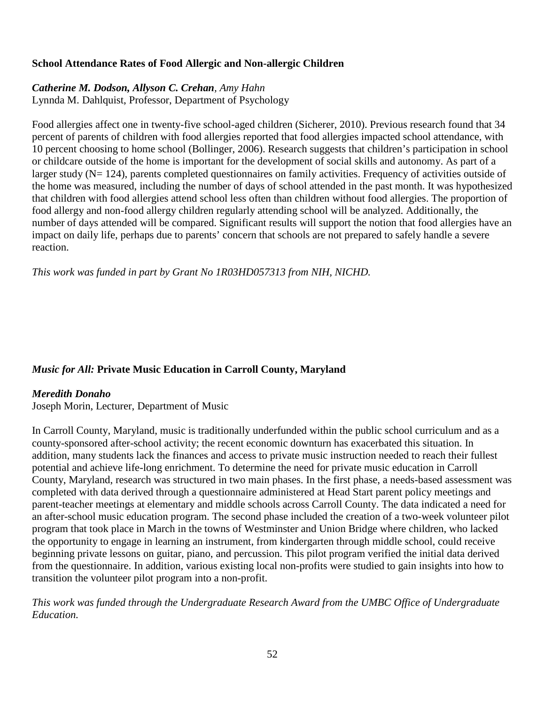# **School Attendance Rates of Food Allergic and Non-allergic Children**

# *Catherine M. Dodson, Allyson C. Crehan, Amy Hahn*

Lynnda M. Dahlquist, Professor, Department of Psychology

Food allergies affect one in twenty-five school-aged children (Sicherer, 2010). Previous research found that 34 percent of parents of children with food allergies reported that food allergies impacted school attendance, with 10 percent choosing to home school (Bollinger, 2006). Research suggests that children's participation in school or childcare outside of the home is important for the development of social skills and autonomy. As part of a larger study (N= 124), parents completed questionnaires on family activities. Frequency of activities outside of the home was measured, including the number of days of school attended in the past month. It was hypothesized that children with food allergies attend school less often than children without food allergies. The proportion of food allergy and non-food allergy children regularly attending school will be analyzed. Additionally, the number of days attended will be compared. Significant results will support the notion that food allergies have an impact on daily life, perhaps due to parents' concern that schools are not prepared to safely handle a severe reaction.

*This work was funded in part by Grant No 1R03HD057313 from NIH, NICHD.*

# *Music for All:* **Private Music Education in Carroll County, Maryland**

# *Meredith Donaho*

Joseph Morin, Lecturer, Department of Music

In Carroll County, Maryland, music is traditionally underfunded within the public school curriculum and as a county-sponsored after-school activity; the recent economic downturn has exacerbated this situation. In addition, many students lack the finances and access to private music instruction needed to reach their fullest potential and achieve life-long enrichment. To determine the need for private music education in Carroll County, Maryland, research was structured in two main phases. In the first phase, a needs-based assessment was completed with data derived through a questionnaire administered at Head Start parent policy meetings and parent-teacher meetings at elementary and middle schools across Carroll County. The data indicated a need for an after-school music education program. The second phase included the creation of a two-week volunteer pilot program that took place in March in the towns of Westminster and Union Bridge where children, who lacked the opportunity to engage in learning an instrument, from kindergarten through middle school, could receive beginning private lessons on guitar, piano, and percussion. This pilot program verified the initial data derived from the questionnaire. In addition, various existing local non-profits were studied to gain insights into how to transition the volunteer pilot program into a non-profit.

*This work was funded through the Undergraduate Research Award from the UMBC Office of Undergraduate Education.*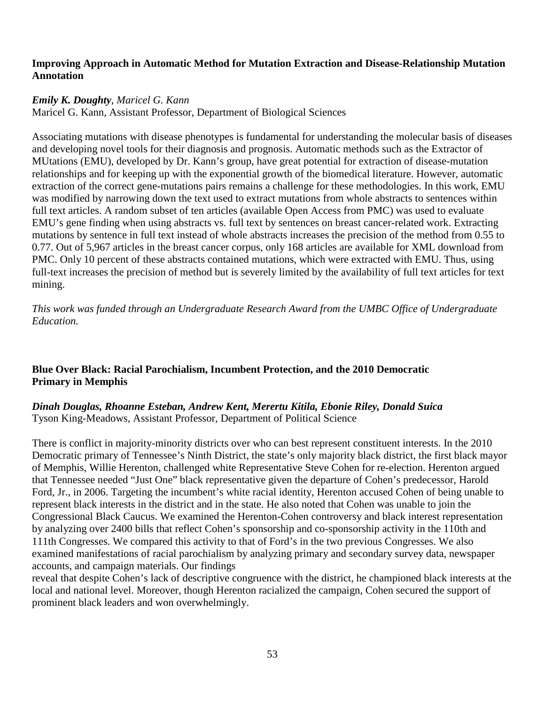#### **Improving Approach in Automatic Method for Mutation Extraction and Disease-Relationship Mutation Annotation**

#### *Emily K. Doughty*, *Maricel G. Kann*

Maricel G. Kann, Assistant Professor, Department of Biological Sciences

Associating mutations with disease phenotypes is fundamental for understanding the molecular basis of diseases and developing novel tools for their diagnosis and prognosis. Automatic methods such as the Extractor of MUtations (EMU), developed by Dr. Kann's group, have great potential for extraction of disease-mutation relationships and for keeping up with the exponential growth of the biomedical literature. However, automatic extraction of the correct gene-mutations pairs remains a challenge for these methodologies. In this work, EMU was modified by narrowing down the text used to extract mutations from whole abstracts to sentences within full text articles. A random subset of ten articles (available Open Access from PMC) was used to evaluate EMU's gene finding when using abstracts vs. full text by sentences on breast cancer-related work. Extracting mutations by sentence in full text instead of whole abstracts increases the precision of the method from 0.55 to 0.77. Out of 5,967 articles in the breast cancer corpus, only 168 articles are available for XML download from PMC. Only 10 percent of these abstracts contained mutations, which were extracted with EMU. Thus, using full-text increases the precision of method but is severely limited by the availability of full text articles for text mining.

*This work was funded through an Undergraduate Research Award from the UMBC Office of Undergraduate Education.*

# **Blue Over Black: Racial Parochialism, Incumbent Protection, and the 2010 Democratic Primary in Memphis**

# *Dinah Douglas, Rhoanne Esteban, Andrew Kent, Merertu Kitila, Ebonie Riley, Donald Suica* Tyson King-Meadows, Assistant Professor, Department of Political Science

There is conflict in majority-minority districts over who can best represent constituent interests. In the 2010 Democratic primary of Tennessee's Ninth District, the state's only majority black district, the first black mayor of Memphis, Willie Herenton, challenged white Representative Steve Cohen for re-election. Herenton argued that Tennessee needed "Just One" black representative given the departure of Cohen's predecessor, Harold Ford, Jr., in 2006. Targeting the incumbent's white racial identity, Herenton accused Cohen of being unable to represent black interests in the district and in the state. He also noted that Cohen was unable to join the Congressional Black Caucus. We examined the Herenton-Cohen controversy and black interest representation by analyzing over 2400 bills that reflect Cohen's sponsorship and co-sponsorship activity in the 110th and 111th Congresses. We compared this activity to that of Ford's in the two previous Congresses. We also examined manifestations of racial parochialism by analyzing primary and secondary survey data, newspaper accounts, and campaign materials. Our findings

reveal that despite Cohen's lack of descriptive congruence with the district, he championed black interests at the local and national level. Moreover, though Herenton racialized the campaign, Cohen secured the support of prominent black leaders and won overwhelmingly.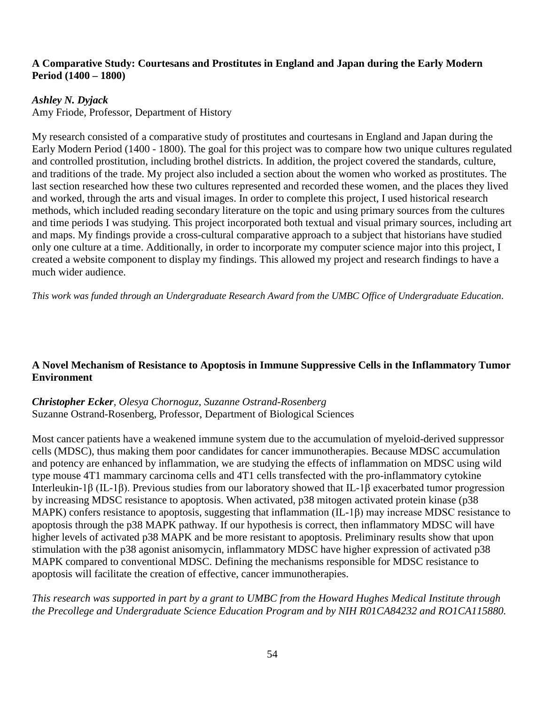# **A Comparative Study: Courtesans and Prostitutes in England and Japan during the Early Modern Period (1400 – 1800)**

# *Ashley N. Dyjack*

Amy Friode, Professor, Department of History

My research consisted of a comparative study of prostitutes and courtesans in England and Japan during the Early Modern Period (1400 - 1800). The goal for this project was to compare how two unique cultures regulated and controlled prostitution, including brothel districts. In addition, the project covered the standards, culture, and traditions of the trade. My project also included a section about the women who worked as prostitutes. The last section researched how these two cultures represented and recorded these women, and the places they lived and worked, through the arts and visual images. In order to complete this project, I used historical research methods, which included reading secondary literature on the topic and using primary sources from the cultures and time periods I was studying. This project incorporated both textual and visual primary sources, including art and maps. My findings provide a cross-cultural comparative approach to a subject that historians have studied only one culture at a time. Additionally, in order to incorporate my computer science major into this project, I created a website component to display my findings. This allowed my project and research findings to have a much wider audience.

*This work was funded through an Undergraduate Research Award from the UMBC Office of Undergraduate Education*.

# **A Novel Mechanism of Resistance to Apoptosis in Immune Suppressive Cells in the Inflammatory Tumor Environment**

*Christopher Ecker, Olesya Chornoguz, Suzanne Ostrand-Rosenberg* Suzanne Ostrand-Rosenberg, Professor, Department of Biological Sciences

Most cancer patients have a weakened immune system due to the accumulation of myeloid-derived suppressor cells (MDSC), thus making them poor candidates for cancer immunotherapies. Because MDSC accumulation and potency are enhanced by inflammation, we are studying the effects of inflammation on MDSC using wild type mouse 4T1 mammary carcinoma cells and 4T1 cells transfected with the pro-inflammatory cytokine Interleukin-1β (IL-1β). Previous studies from our laboratory showed that IL-1β exacerbated tumor progression by increasing MDSC resistance to apoptosis. When activated, p38 mitogen activated protein kinase (p38 MAPK) confers resistance to apoptosis, suggesting that inflammation (IL-1β) may increase MDSC resistance to apoptosis through the p38 MAPK pathway. If our hypothesis is correct, then inflammatory MDSC will have higher levels of activated p38 MAPK and be more resistant to apoptosis. Preliminary results show that upon stimulation with the p38 agonist anisomycin, inflammatory MDSC have higher expression of activated p38 MAPK compared to conventional MDSC. Defining the mechanisms responsible for MDSC resistance to apoptosis will facilitate the creation of effective, cancer immunotherapies.

*This research was supported in part by a grant to UMBC from the Howard Hughes Medical Institute through the Precollege and Undergraduate Science Education Program and by NIH R01CA84232 and RO1CA115880.*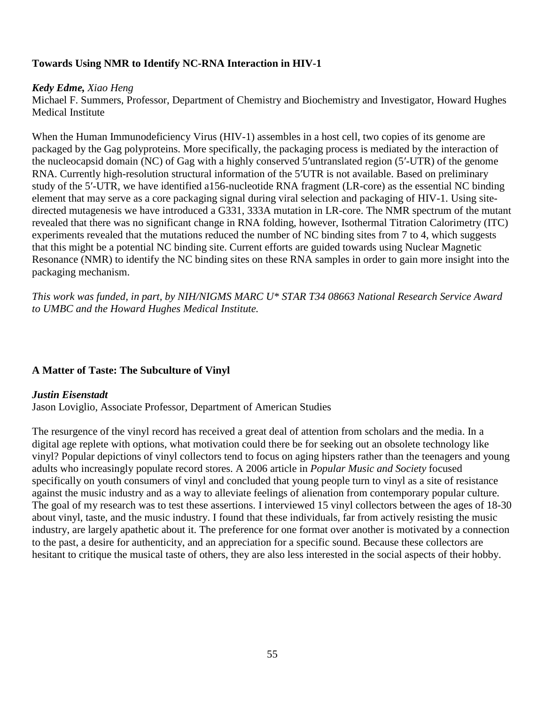# **Towards Using NMR to Identify NC-RNA Interaction in HIV-1**

#### *Kedy Edme, Xiao Heng*

Michael F. Summers, Professor, Department of Chemistry and Biochemistry and Investigator, Howard Hughes Medical Institute

When the Human Immunodeficiency Virus (HIV-1) assembles in a host cell, two copies of its genome are packaged by the Gag polyproteins. More specifically, the packaging process is mediated by the interaction of the nucleocapsid domain (NC) of Gag with a highly conserved 5′untranslated region (5′-UTR) of the genome RNA. Currently high-resolution structural information of the 5′UTR is not available. Based on preliminary study of the 5′-UTR, we have identified a156-nucleotide RNA fragment (LR-core) as the essential NC binding element that may serve as a core packaging signal during viral selection and packaging of HIV-1. Using sitedirected mutagenesis we have introduced a G331, 333A mutation in LR-core. The NMR spectrum of the mutant revealed that there was no significant change in RNA folding, however, Isothermal Titration Calorimetry (ITC) experiments revealed that the mutations reduced the number of NC binding sites from 7 to 4, which suggests that this might be a potential NC binding site. Current efforts are guided towards using Nuclear Magnetic Resonance (NMR) to identify the NC binding sites on these RNA samples in order to gain more insight into the packaging mechanism.

*This work was funded, in part, by NIH/NIGMS MARC U\* STAR T34 08663 National Research Service Award to UMBC and the Howard Hughes Medical Institute.*

# **A Matter of Taste: The Subculture of Vinyl**

#### *Justin Eisenstadt*

Jason Loviglio, Associate Professor, Department of American Studies

The resurgence of the vinyl record has received a great deal of attention from scholars and the media. In a digital age replete with options, what motivation could there be for seeking out an obsolete technology like vinyl? Popular depictions of vinyl collectors tend to focus on aging hipsters rather than the teenagers and young adults who increasingly populate record stores. A 2006 article in *Popular Music and Society* focused specifically on youth consumers of vinyl and concluded that young people turn to vinyl as a site of resistance against the music industry and as a way to alleviate feelings of alienation from contemporary popular culture. The goal of my research was to test these assertions. I interviewed 15 vinyl collectors between the ages of 18-30 about vinyl, taste, and the music industry. I found that these individuals, far from actively resisting the music industry, are largely apathetic about it. The preference for one format over another is motivated by a connection to the past, a desire for authenticity, and an appreciation for a specific sound. Because these collectors are hesitant to critique the musical taste of others, they are also less interested in the social aspects of their hobby.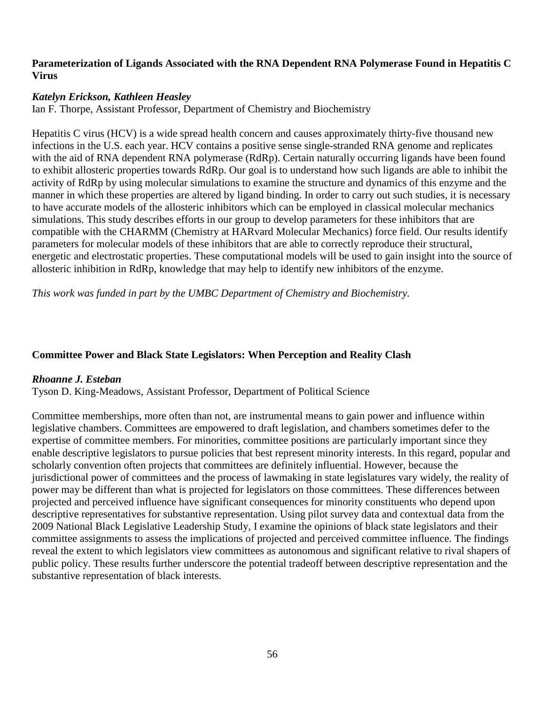### **Parameterization of Ligands Associated with the RNA Dependent RNA Polymerase Found in Hepatitis C Virus**

# *Katelyn Erickson, Kathleen Heasley*

Ian F. Thorpe, Assistant Professor, Department of Chemistry and Biochemistry

Hepatitis C virus (HCV) is a wide spread health concern and causes approximately thirty-five thousand new infections in the U.S. each year. HCV contains a positive sense single-stranded [RNA](http://en.wikipedia.org/wiki/RNA) [genome](http://en.wikipedia.org/wiki/Genome) and replicates with the aid of RNA dependent RNA polymerase (RdRp). Certain naturally occurring ligands have been found to exhibit allosteric properties towards RdRp. Our goal is to understand how such ligands are able to inhibit the activity of RdRp by using molecular simulations to examine the structure and dynamics of this enzyme and the manner in which these properties are altered by ligand binding. In order to carry out such studies, it is necessary to have accurate models of the allosteric inhibitors which can be employed in classical molecular mechanics simulations. This study describes efforts in our group to develop parameters for these inhibitors that are compatible with the CHARMM (Chemistry at HARvard Molecular Mechanics) force field. Our results identify parameters for molecular models of these inhibitors that are able to correctly reproduce their structural, energetic and electrostatic properties. These computational models will be used to gain insight into the source of allosteric inhibition in RdRp, knowledge that may help to identify new inhibitors of the enzyme.

*This work was funded in part by the UMBC Department of Chemistry and Biochemistry.*

# **Committee Power and Black State Legislators: When Perception and Reality Clash**

# *Rhoanne J. Esteban*

Tyson D. King-Meadows, Assistant Professor, Department of Political Science

Committee memberships, more often than not, are instrumental means to gain power and influence within legislative chambers. Committees are empowered to draft legislation, and chambers sometimes defer to the expertise of committee members. For minorities, committee positions are particularly important since they enable descriptive legislators to pursue policies that best represent minority interests. In this regard, popular and scholarly convention often projects that committees are definitely influential. However, because the jurisdictional power of committees and the process of lawmaking in state legislatures vary widely, the reality of power may be different than what is projected for legislators on those committees. These differences between projected and perceived influence have significant consequences for minority constituents who depend upon descriptive representatives for substantive representation. Using pilot survey data and contextual data from the 2009 National Black Legislative Leadership Study, I examine the opinions of black state legislators and their committee assignments to assess the implications of projected and perceived committee influence. The findings reveal the extent to which legislators view committees as autonomous and significant relative to rival shapers of public policy. These results further underscore the potential tradeoff between descriptive representation and the substantive representation of black interests.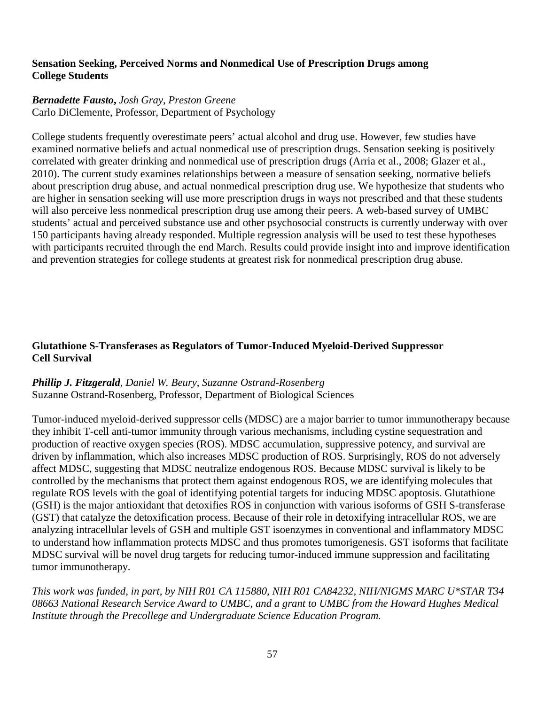### **Sensation Seeking, Perceived Norms and Nonmedical Use of Prescription Drugs among College Students**

#### *Bernadette Fausto***,** *Josh Gray*, *Preston Greene* Carlo DiClemente, Professor, Department of Psychology

College students frequently overestimate peers' actual alcohol and drug use. However, few studies have examined normative beliefs and actual nonmedical use of prescription drugs. Sensation seeking is positively correlated with greater drinking and nonmedical use of prescription drugs (Arria et al., 2008; Glazer et al., 2010). The current study examines relationships between a measure of sensation seeking, normative beliefs about prescription drug abuse, and actual nonmedical prescription drug use. We hypothesize that students who are higher in sensation seeking will use more prescription drugs in ways not prescribed and that these students will also perceive less nonmedical prescription drug use among their peers. A web-based survey of UMBC students' actual and perceived substance use and other psychosocial constructs is currently underway with over 150 participants having already responded. Multiple regression analysis will be used to test these hypotheses with participants recruited through the end March. Results could provide insight into and improve identification and prevention strategies for college students at greatest risk for nonmedical prescription drug abuse.

# **Glutathione S-Transferases as Regulators of Tumor-Induced Myeloid-Derived Suppressor Cell Survival**

# *Phillip J. Fitzgerald, Daniel W. Beury, Suzanne Ostrand-Rosenberg* Suzanne Ostrand-Rosenberg, Professor, Department of Biological Sciences

Tumor-induced myeloid-derived suppressor cells (MDSC) are a major barrier to tumor immunotherapy because they inhibit T-cell anti-tumor immunity through various mechanisms, including cystine sequestration and production of reactive oxygen species (ROS). MDSC accumulation, suppressive potency, and survival are driven by inflammation, which also increases MDSC production of ROS. Surprisingly, ROS do not adversely affect MDSC, suggesting that MDSC neutralize endogenous ROS. Because MDSC survival is likely to be controlled by the mechanisms that protect them against endogenous ROS, we are identifying molecules that regulate ROS levels with the goal of identifying potential targets for inducing MDSC apoptosis. Glutathione (GSH) is the major antioxidant that detoxifies ROS in conjunction with various isoforms of GSH S-transferase (GST) that catalyze the detoxification process. Because of their role in detoxifying intracellular ROS, we are analyzing intracellular levels of GSH and multiple GST isoenzymes in conventional and inflammatory MDSC to understand how inflammation protects MDSC and thus promotes tumorigenesis. GST isoforms that facilitate MDSC survival will be novel drug targets for reducing tumor-induced immune suppression and facilitating tumor immunotherapy.

*This work was funded, in part, by NIH R01 CA 115880, NIH R01 CA84232, NIH/NIGMS MARC U\*STAR T34 08663 National Research Service Award to UMBC, and a grant to UMBC from the Howard Hughes Medical Institute through the Precollege and Undergraduate Science Education Program.*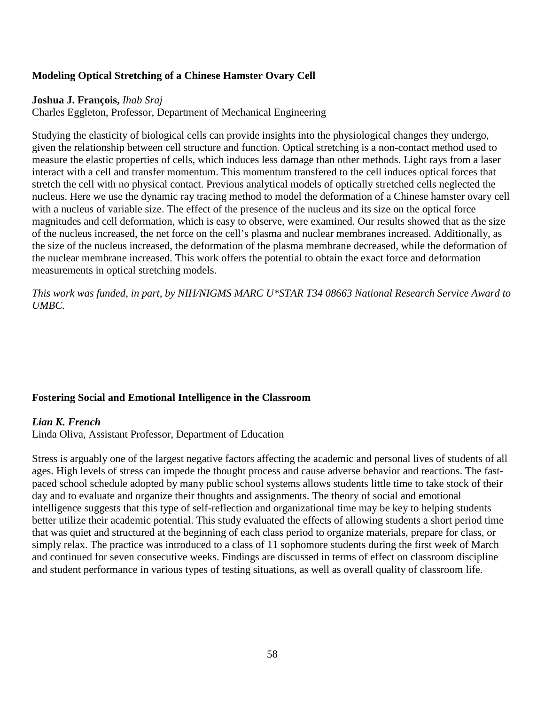# **Modeling Optical Stretching of a Chinese Hamster Ovary Cell**

# **Joshua J. François,** *Ihab Sraj*

Charles Eggleton, Professor, Department of Mechanical Engineering

Studying the elasticity of biological cells can provide insights into the physiological changes they undergo, given the relationship between cell structure and function. Optical stretching is a non-contact method used to measure the elastic properties of cells, which induces less damage than other methods. Light rays from a laser interact with a cell and transfer momentum. This momentum transfered to the cell induces optical forces that stretch the cell with no physical contact. Previous analytical models of optically stretched cells neglected the nucleus. Here we use the dynamic ray tracing method to model the deformation of a Chinese hamster ovary cell with a nucleus of variable size. The effect of the presence of the nucleus and its size on the optical force magnitudes and cell deformation, which is easy to observe, were examined. Our results showed that as the size of the nucleus increased, the net force on the cell's plasma and nuclear membranes increased. Additionally, as the size of the nucleus increased, the deformation of the plasma membrane decreased, while the deformation of the nuclear membrane increased. This work offers the potential to obtain the exact force and deformation measurements in optical stretching models.

*This work was funded, in part, by NIH/NIGMS MARC U\*STAR T34 08663 National Research Service Award to UMBC.* 

# **Fostering Social and Emotional Intelligence in the Classroom**

# *Lian K. French*

Linda Oliva, Assistant Professor, Department of Education

Stress is arguably one of the largest negative factors affecting the academic and personal lives of students of all ages. High levels of stress can impede the thought process and cause adverse behavior and reactions. The fastpaced school schedule adopted by many public school systems allows students little time to take stock of their day and to evaluate and organize their thoughts and assignments. The theory of social and emotional intelligence suggests that this type of self-reflection and organizational time may be key to helping students better utilize their academic potential. This study evaluated the effects of allowing students a short period time that was quiet and structured at the beginning of each class period to organize materials, prepare for class, or simply relax. The practice was introduced to a class of 11 sophomore students during the first week of March and continued for seven consecutive weeks. Findings are discussed in terms of effect on classroom discipline and student performance in various types of testing situations, as well as overall quality of classroom life.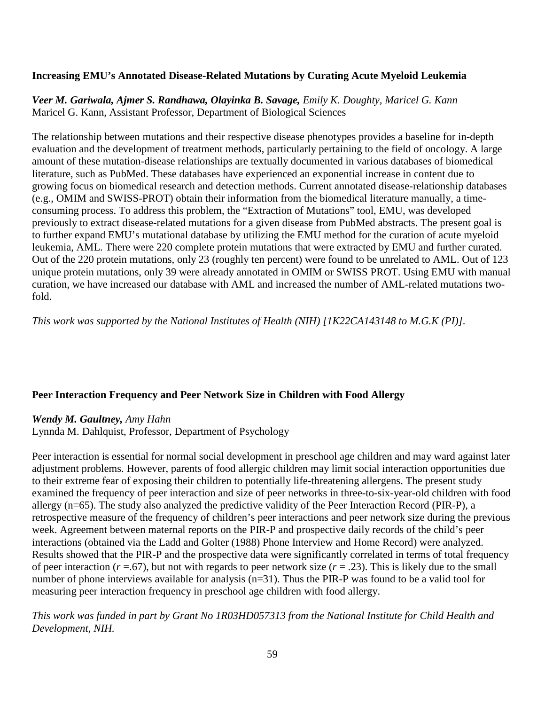# **Increasing EMU's Annotated Disease-Related Mutations by Curating Acute Myeloid Leukemia**

*Veer M. Gariwala, Ajmer S. Randhawa, Olayinka B. Savage, Emily K. Doughty, Maricel G. Kann* Maricel G. Kann, Assistant Professor, Department of Biological Sciences

The relationship between mutations and their respective disease phenotypes provides a baseline for in-depth evaluation and the development of treatment methods, particularly pertaining to the field of oncology. A large amount of these mutation-disease relationships are textually documented in various databases of biomedical literature, such as PubMed. These databases have experienced an exponential increase in content due to growing focus on biomedical research and detection methods. Current annotated disease-relationship databases (e.g., OMIM and SWISS-PROT) obtain their information from the biomedical literature manually, a timeconsuming process. To address this problem, the "Extraction of Mutations" tool, EMU, was developed previously to extract disease-related mutations for a given disease from PubMed abstracts. The present goal is to further expand EMU's mutational database by utilizing the EMU method for the curation of acute myeloid leukemia, AML. There were 220 complete protein mutations that were extracted by EMU and further curated. Out of the 220 protein mutations, only 23 (roughly ten percent) were found to be unrelated to AML. Out of 123 unique protein mutations, only 39 were already annotated in OMIM or SWISS PROT. Using EMU with manual curation, we have increased our database with AML and increased the number of AML-related mutations twofold.

*This work was supported by the National Institutes of Health (NIH) [1K22CA143148 to M.G.K (PI)].*

#### **Peer Interaction Frequency and Peer Network Size in Children with Food Allergy**

#### *Wendy M. Gaultney, Amy Hahn*

Lynnda M. Dahlquist, Professor, Department of Psychology

Peer interaction is essential for normal social development in preschool age children and may ward against later adjustment problems. However, parents of food allergic children may limit social interaction opportunities due to their extreme fear of exposing their children to potentially life-threatening allergens. The present study examined the frequency of peer interaction and size of peer networks in three-to-six-year-old children with food allergy (n=65). The study also analyzed the predictive validity of the Peer Interaction Record (PIR-P), a retrospective measure of the frequency of children's peer interactions and peer network size during the previous week. Agreement between maternal reports on the PIR-P and prospective daily records of the child's peer interactions (obtained via the Ladd and Golter (1988) Phone Interview and Home Record) were analyzed. Results showed that the PIR-P and the prospective data were significantly correlated in terms of total frequency of peer interaction  $(r = .67)$ , but not with regards to peer network size  $(r = .23)$ . This is likely due to the small number of phone interviews available for analysis (n=31). Thus the PIR-P was found to be a valid tool for measuring peer interaction frequency in preschool age children with food allergy.

# *This work was funded in part by Grant No 1R03HD057313 from the National Institute for Child Health and Development, NIH.*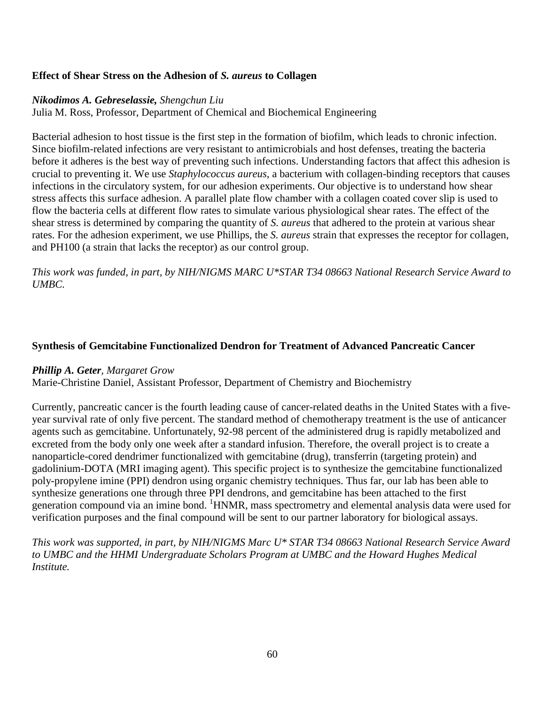#### **Effect of Shear Stress on the Adhesion of** *S. aureus* **to Collagen**

#### *Nikodimos A. Gebreselassie, Shengchun Liu*

Julia M. Ross, Professor, Department of Chemical and Biochemical Engineering

Bacterial adhesion to host tissue is the first step in the formation of biofilm, which leads to chronic infection. Since biofilm-related infections are very resistant to antimicrobials and host defenses, treating the bacteria before it adheres is the best way of preventing such infections. Understanding factors that affect this adhesion is crucial to preventing it. We use *Staphylococcus aureus*, a bacterium with collagen-binding receptors that causes infections in the circulatory system, for our adhesion experiments. Our objective is to understand how shear stress affects this surface adhesion. A parallel plate flow chamber with a collagen coated cover slip is used to flow the bacteria cells at different flow rates to simulate various physiological shear rates. The effect of the shear stress is determined by comparing the quantity of *S. aureus* that adhered to the protein at various shear rates. For the adhesion experiment, we use Phillips, the *S. aureus* strain that expresses the receptor for collagen, and PH100 (a strain that lacks the receptor) as our control group.

*This work was funded, in part, by NIH/NIGMS MARC U\*STAR T34 08663 National Research Service Award to UMBC.*

#### **Synthesis of Gemcitabine Functionalized Dendron for Treatment of Advanced Pancreatic Cancer**

#### *Phillip A. Geter, Margaret Grow*

Marie-Christine Daniel, Assistant Professor, Department of Chemistry and Biochemistry

Currently, pancreatic cancer is the fourth leading cause of cancer-related deaths in the United States with a fiveyear survival rate of only five percent. The standard method of chemotherapy treatment is the use of anticancer agents such as gemcitabine. Unfortunately, 92-98 percent of the administered drug is rapidly metabolized and excreted from the body only one week after a standard infusion. Therefore, the overall project is to create a nanoparticle-cored dendrimer functionalized with gemcitabine (drug), transferrin (targeting protein) and gadolinium-DOTA (MRI imaging agent). This specific project is to synthesize the gemcitabine functionalized poly-propylene imine (PPI) dendron using organic chemistry techniques. Thus far, our lab has been able to synthesize generations one through three PPI dendrons, and gemcitabine has been attached to the first generation compound via an imine bond. <sup>1</sup>HNMR, mass spectrometry and elemental analysis data were used for verification purposes and the final compound will be sent to our partner laboratory for biological assays.

*This work was supported, in part, by NIH/NIGMS Marc U\* STAR T34 08663 National Research Service Award to UMBC and the HHMI Undergraduate Scholars Program at UMBC and the Howard Hughes Medical Institute.*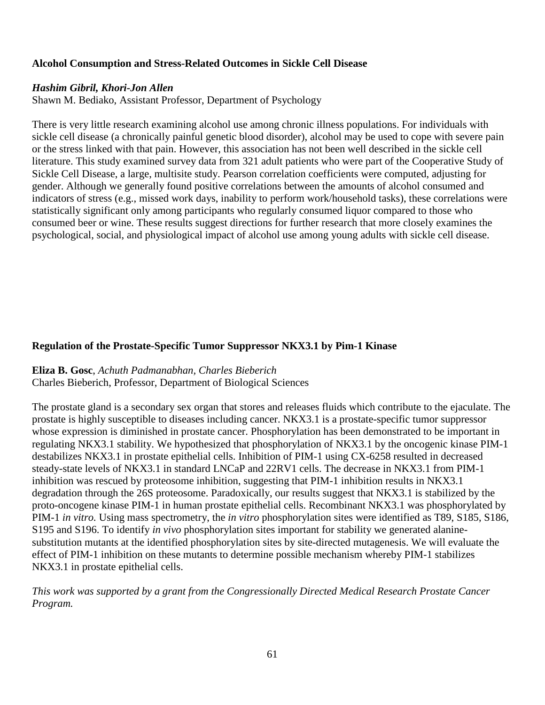# **Alcohol Consumption and Stress-Related Outcomes in Sickle Cell Disease**

#### *Hashim Gibril, Khori-Jon Allen*

Shawn M. Bediako, Assistant Professor, Department of Psychology

There is very little research examining alcohol use among chronic illness populations. For individuals with sickle cell disease (a chronically painful genetic blood disorder), alcohol may be used to cope with severe pain or the stress linked with that pain. However, this association has not been well described in the sickle cell literature. This study examined survey data from 321 adult patients who were part of the Cooperative Study of Sickle Cell Disease, a large, multisite study. Pearson correlation coefficients were computed, adjusting for gender. Although we generally found positive correlations between the amounts of alcohol consumed and indicators of stress (e.g., missed work days, inability to perform work/household tasks), these correlations were statistically significant only among participants who regularly consumed liquor compared to those who consumed beer or wine. These results suggest directions for further research that more closely examines the psychological, social, and physiological impact of alcohol use among young adults with sickle cell disease.

#### **Regulation of the Prostate-Specific Tumor Suppressor NKX3.1 by Pim-1 Kinase**

**Eliza B. Gosc**, *Achuth Padmanabhan, Charles Bieberich* Charles Bieberich, Professor, Department of Biological Sciences

The prostate gland is a secondary sex organ that stores and releases fluids which contribute to the ejaculate. The prostate is highly susceptible to diseases including cancer. NKX3.1 is a prostate-specific tumor suppressor whose expression is diminished in prostate cancer. Phosphorylation has been demonstrated to be important in regulating NKX3.1 stability. We hypothesized that phosphorylation of NKX3.1 by the oncogenic kinase PIM-1 destabilizes NKX3.1 in prostate epithelial cells. Inhibition of PIM-1 using CX-6258 resulted in decreased steady-state levels of NKX3.1 in standard LNCaP and 22RV1 cells. The decrease in NKX3.1 from PIM-1 inhibition was rescued by proteosome inhibition, suggesting that PIM-1 inhibition results in NKX3.1 degradation through the 26S proteosome. Paradoxically, our results suggest that NKX3.1 is stabilized by the proto-oncogene kinase PIM-1 in human prostate epithelial cells. Recombinant NKX3.1 was phosphorylated by PIM-1 *in vitro.* Using mass spectrometry, the *in vitro* phosphorylation sites were identified as T89, S185, S186, S195 and S196. To identify *in vivo* phosphorylation sites important for stability we generated alaninesubstitution mutants at the identified phosphorylation sites by site-directed mutagenesis. We will evaluate the effect of PIM-1 inhibition on these mutants to determine possible mechanism whereby PIM-1 stabilizes NKX3.1 in prostate epithelial cells.

*This work was supported by a grant from the Congressionally Directed Medical Research Prostate Cancer Program.*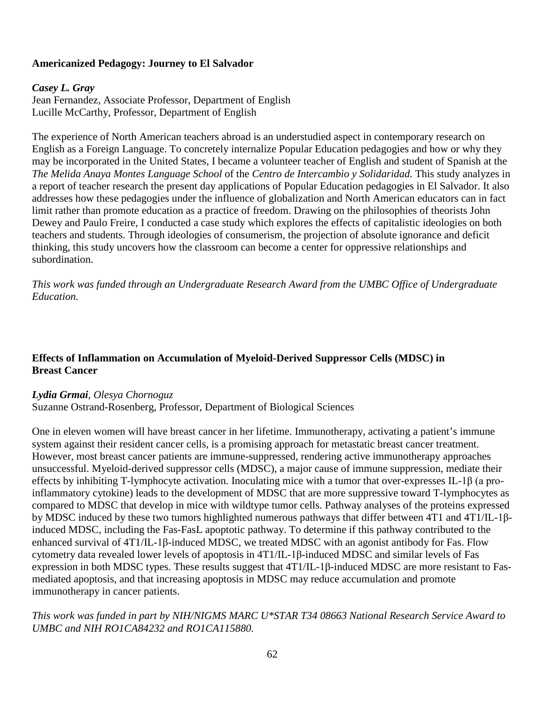# **Americanized Pedagogy: Journey to El Salvador**

#### *Casey L. Gray*

Jean Fernandez, Associate Professor, Department of English Lucille McCarthy, Professor, Department of English

The experience of North American teachers abroad is an understudied aspect in contemporary research on English as a Foreign Language. To concretely internalize Popular Education pedagogies and how or why they may be incorporated in the United States, I became a volunteer teacher of English and student of Spanish at the *The Melida Anaya Montes Language School* of the *Centro de Intercambio y Solidaridad.* This study analyzes in a report of teacher research the present day applications of Popular Education pedagogies in El Salvador. It also addresses how these pedagogies under the influence of globalization and North American educators can in fact limit rather than promote education as a practice of freedom. Drawing on the philosophies of theorists John Dewey and Paulo Freire, I conducted a case study which explores the effects of capitalistic ideologies on both teachers and students. Through ideologies of consumerism, the projection of absolute ignorance and deficit thinking, this study uncovers how the classroom can become a center for oppressive relationships and subordination.

*This work was funded through an Undergraduate Research Award from the UMBC Office of Undergraduate Education.*

#### **Effects of Inflammation on Accumulation of Myeloid-Derived Suppressor Cells (MDSC) in Breast Cancer**

#### *Lydia Grmai, Olesya Chornoguz*

Suzanne Ostrand-Rosenberg, Professor, Department of Biological Sciences

One in eleven women will have breast cancer in her lifetime. Immunotherapy, activating a patient's immune system against their resident cancer cells, is a promising approach for metastatic breast cancer treatment. However, most breast cancer patients are immune-suppressed, rendering active immunotherapy approaches unsuccessful. Myeloid-derived suppressor cells (MDSC), a major cause of immune suppression, mediate their effects by inhibiting T-lymphocyte activation. Inoculating mice with a tumor that over-expresses IL-1β (a proinflammatory cytokine) leads to the development of MDSC that are more suppressive toward T-lymphocytes as compared to MDSC that develop in mice with wildtype tumor cells. Pathway analyses of the proteins expressed by MDSC induced by these two tumors highlighted numerous pathways that differ between 4T1 and 4T1/IL-1βinduced MDSC, including the Fas-FasL apoptotic pathway. To determine if this pathway contributed to the enhanced survival of 4T1/IL-1β-induced MDSC, we treated MDSC with an agonist antibody for Fas. Flow cytometry data revealed lower levels of apoptosis in 4T1/IL-1β-induced MDSC and similar levels of Fas expression in both MDSC types. These results suggest that 4T1/IL-1β-induced MDSC are more resistant to Fasmediated apoptosis, and that increasing apoptosis in MDSC may reduce accumulation and promote immunotherapy in cancer patients.

#### *This work was funded in part by NIH/NIGMS MARC U\*STAR T34 08663 National Research Service Award to UMBC and NIH RO1CA84232 and RO1CA115880.*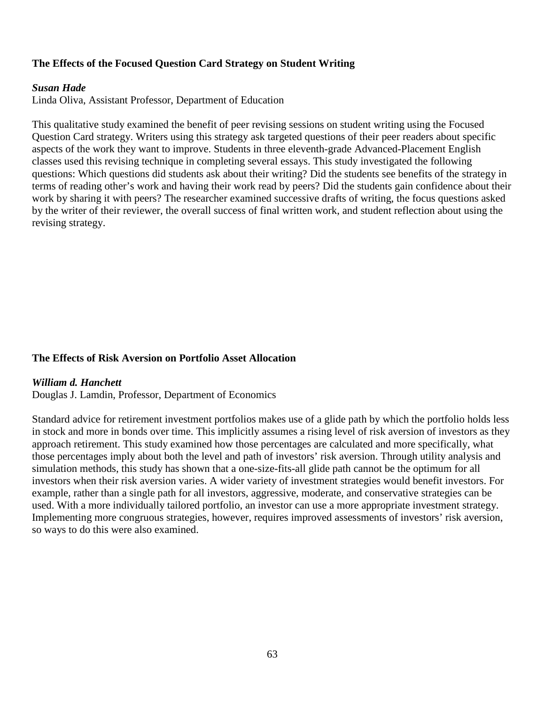# **The Effects of the Focused Question Card Strategy on Student Writing**

#### *Susan Hade*

Linda Oliva, Assistant Professor, Department of Education

This qualitative study examined the benefit of peer revising sessions on student writing using the Focused Question Card strategy. Writers using this strategy ask targeted questions of their peer readers about specific aspects of the work they want to improve. Students in three eleventh-grade Advanced-Placement English classes used this revising technique in completing several essays. This study investigated the following questions: Which questions did students ask about their writing? Did the students see benefits of the strategy in terms of reading other's work and having their work read by peers? Did the students gain confidence about their work by sharing it with peers? The researcher examined successive drafts of writing, the focus questions asked by the writer of their reviewer, the overall success of final written work, and student reflection about using the revising strategy.

#### **The Effects of Risk Aversion on Portfolio Asset Allocation**

#### *William d. Hanchett*

Douglas J. Lamdin, Professor, Department of Economics

Standard advice for retirement investment portfolios makes use of a glide path by which the portfolio holds less in stock and more in bonds over time. This implicitly assumes a rising level of risk aversion of investors as they approach retirement. This study examined how those percentages are calculated and more specifically, what those percentages imply about both the level and path of investors' risk aversion. Through utility analysis and simulation methods, this study has shown that a one-size-fits-all glide path cannot be the optimum for all investors when their risk aversion varies. A wider variety of investment strategies would benefit investors. For example, rather than a single path for all investors, aggressive, moderate, and conservative strategies can be used. With a more individually tailored portfolio, an investor can use a more appropriate investment strategy. Implementing more congruous strategies, however, requires improved assessments of investors' risk aversion, so ways to do this were also examined.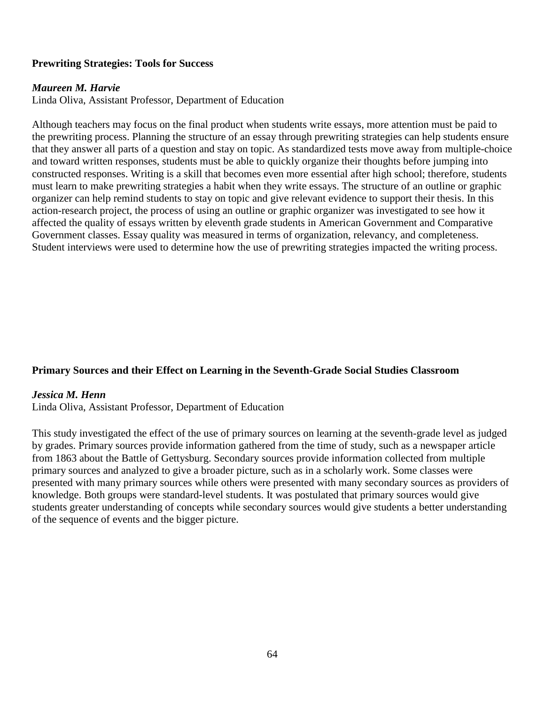# **Prewriting Strategies: Tools for Success**

#### *Maureen M. Harvie*

Linda Oliva, Assistant Professor, Department of Education

Although teachers may focus on the final product when students write essays, more attention must be paid to the prewriting process. Planning the structure of an essay through prewriting strategies can help students ensure that they answer all parts of a question and stay on topic. As standardized tests move away from multiple-choice and toward written responses, students must be able to quickly organize their thoughts before jumping into constructed responses. Writing is a skill that becomes even more essential after high school; therefore, students must learn to make prewriting strategies a habit when they write essays. The structure of an outline or graphic organizer can help remind students to stay on topic and give relevant evidence to support their thesis. In this action-research project, the process of using an outline or graphic organizer was investigated to see how it affected the quality of essays written by eleventh grade students in American Government and Comparative Government classes. Essay quality was measured in terms of organization, relevancy, and completeness. Student interviews were used to determine how the use of prewriting strategies impacted the writing process.

# **Primary Sources and their Effect on Learning in the Seventh-Grade Social Studies Classroom**

#### *Jessica M. Henn*

Linda Oliva, Assistant Professor, Department of Education

This study investigated the effect of the use of primary sources on learning at the seventh-grade level as judged by grades. Primary sources provide information gathered from the time of study, such as a newspaper article from 1863 about the Battle of Gettysburg. Secondary sources provide information collected from multiple primary sources and analyzed to give a broader picture, such as in a scholarly work. Some classes were presented with many primary sources while others were presented with many secondary sources as providers of knowledge. Both groups were standard-level students. It was postulated that primary sources would give students greater understanding of concepts while secondary sources would give students a better understanding of the sequence of events and the bigger picture.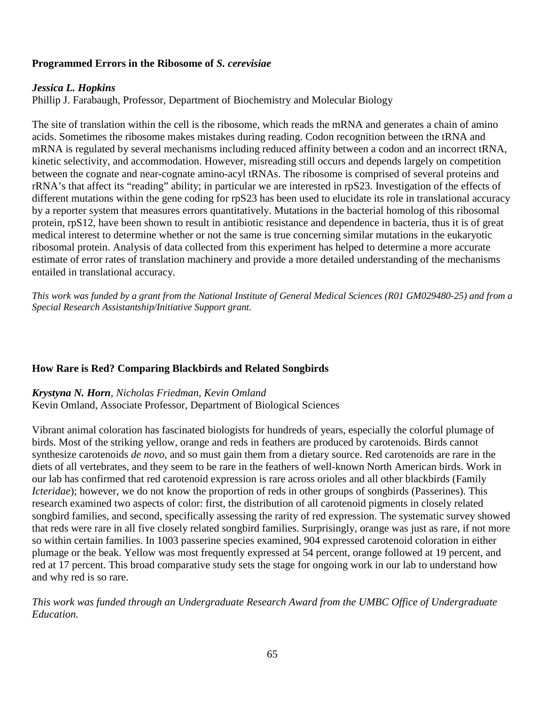# **Programmed Errors in the Ribosome of** *S. cerevisiae*

#### *Jessica L. Hopkins*

Phillip J. Farabaugh, Professor, Department of Biochemistry and Molecular Biology

The site of translation within the cell is the ribosome, which reads the mRNA and generates a chain of amino acids. Sometimes the ribosome makes mistakes during reading. Codon recognition between the tRNA and mRNA is regulated by several mechanisms including reduced affinity between a codon and an incorrect tRNA, kinetic selectivity, and accommodation. However, misreading still occurs and depends largely on competition between the cognate and near-cognate amino-acyl tRNAs. The ribosome is comprised of several proteins and rRNA's that affect its "reading" ability; in particular we are interested in rpS23. Investigation of the effects of different mutations within the gene coding for rpS23 has been used to elucidate its role in translational accuracy by a reporter system that measures errors quantitatively. Mutations in the bacterial homolog of this ribosomal protein, rpS12, have been shown to result in antibiotic resistance and dependence in bacteria, thus it is of great medical interest to determine whether or not the same is true concerning similar mutations in the eukaryotic ribosomal protein. Analysis of data collected from this experiment has helped to determine a more accurate estimate of error rates of translation machinery and provide a more detailed understanding of the mechanisms entailed in translational accuracy.

*This work was funded by a grant from the National Institute of General Medical Sciences (R01 GM029480-25) and from a Special Research Assistantship/Initiative Support grant.*

#### **How Rare is Red? Comparing Blackbirds and Related Songbirds**

*Krystyna N. Horn, Nicholas Friedman, Kevin Omland* Kevin Omland, Associate Professor, Department of Biological Sciences

Vibrant animal coloration has fascinated biologists for hundreds of years, especially the colorful plumage of birds. Most of the striking yellow, orange and reds in feathers are produced by carotenoids. Birds cannot synthesize carotenoids *de novo*, and so must gain them from a dietary source. Red carotenoids are rare in the diets of all vertebrates, and they seem to be rare in the feathers of well-known North American birds. Work in our lab has confirmed that red carotenoid expression is rare across orioles and all other blackbirds (Family *Icteridae*); however, we do not know the proportion of reds in other groups of songbirds (Passerines). This research examined two aspects of color: first, the distribution of all carotenoid pigments in closely related songbird families, and second, specifically assessing the rarity of red expression. The systematic survey showed that reds were rare in all five closely related songbird families. Surprisingly, orange was just as rare, if not more so within certain families. In 1003 passerine species examined, 904 expressed carotenoid coloration in either plumage or the beak. Yellow was most frequently expressed at 54 percent, orange followed at 19 percent, and red at 17 percent. This broad comparative study sets the stage for ongoing work in our lab to understand how and why red is so rare.

*This work was funded through an Undergraduate Research Award from the UMBC Office of Undergraduate Education.*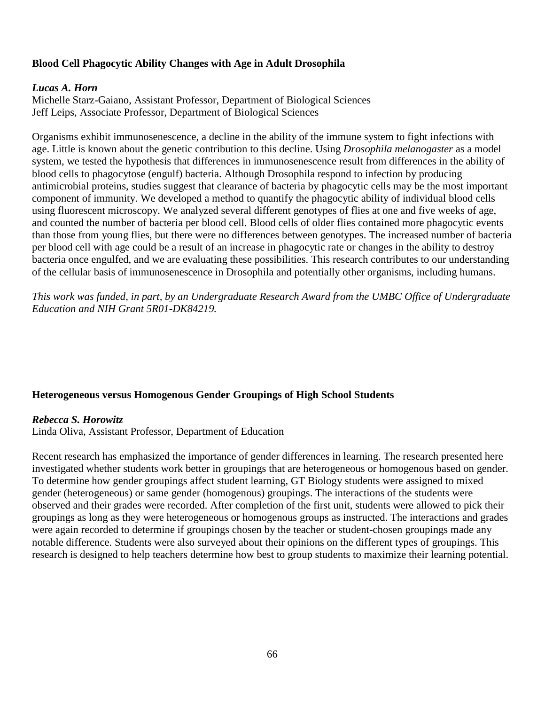# **Blood Cell Phagocytic Ability Changes with Age in Adult Drosophila**

#### *Lucas A. Horn*

Michelle Starz-Gaiano, Assistant Professor, Department of Biological Sciences Jeff Leips, Associate Professor, Department of Biological Sciences

Organisms exhibit immunosenescence, a decline in the ability of the immune system to fight infections with age. Little is known about the genetic contribution to this decline. Using *Drosophila melanogaster* as a model system, we tested the hypothesis that differences in immunosenescence result from differences in the ability of blood cells to phagocytose (engulf) bacteria. Although Drosophila respond to infection by producing antimicrobial proteins, studies suggest that clearance of bacteria by phagocytic cells may be the most important component of immunity. We developed a method to quantify the phagocytic ability of individual blood cells using fluorescent microscopy. We analyzed several different genotypes of flies at one and five weeks of age, and counted the number of bacteria per blood cell. Blood cells of older flies contained more phagocytic events than those from young flies, but there were no differences between genotypes. The increased number of bacteria per blood cell with age could be a result of an increase in phagocytic rate or changes in the ability to destroy bacteria once engulfed, and we are evaluating these possibilities. This research contributes to our understanding of the cellular basis of immunosenescence in Drosophila and potentially other organisms, including humans.

*This work was funded, in part, by an Undergraduate Research Award from the UMBC Office of Undergraduate Education and NIH Grant 5R01-DK84219.*

# **Heterogeneous versus Homogenous Gender Groupings of High School Students**

#### *Rebecca S. Horowitz*

Linda Oliva, Assistant Professor, Department of Education

Recent research has emphasized the importance of gender differences in learning. The research presented here investigated whether students work better in groupings that are heterogeneous or homogenous based on gender. To determine how gender groupings affect student learning, GT Biology students were assigned to mixed gender (heterogeneous) or same gender (homogenous) groupings. The interactions of the students were observed and their grades were recorded. After completion of the first unit, students were allowed to pick their groupings as long as they were heterogeneous or homogenous groups as instructed. The interactions and grades were again recorded to determine if groupings chosen by the teacher or student-chosen groupings made any notable difference. Students were also surveyed about their opinions on the different types of groupings. This research is designed to help teachers determine how best to group students to maximize their learning potential.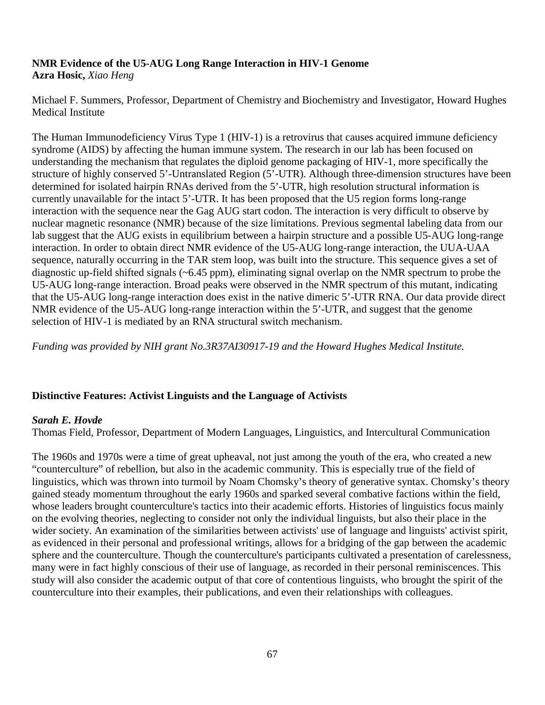#### **NMR Evidence of the U5-AUG Long Range Interaction in HIV-1 Genome Azra Hosic,** *Xiao Heng*

Michael F. Summers, Professor, Department of Chemistry and Biochemistry and Investigator, Howard Hughes Medical Institute

The Human Immunodeficiency Virus Type 1 (HIV-1) is a retrovirus that causes acquired immune deficiency syndrome (AIDS) by affecting the human immune system. The research in our lab has been focused on understanding the mechanism that regulates the diploid genome packaging of HIV-1, more specifically the structure of highly conserved 5'-Untranslated Region (5'-UTR). Although three-dimension structures have been determined for isolated hairpin RNAs derived from the 5'-UTR, high resolution structural information is currently unavailable for the intact 5'-UTR. It has been proposed that the U5 region forms long-range interaction with the sequence near the Gag AUG start codon. The interaction is very difficult to observe by nuclear magnetic resonance (NMR) because of the size limitations. Previous segmental labeling data from our lab suggest that the AUG exists in equilibrium between a hairpin structure and a possible U5-AUG long-range interaction. In order to obtain direct NMR evidence of the U5-AUG long-range interaction, the UUA-UAA sequence, naturally occurring in the TAR stem loop, was built into the structure. This sequence gives a set of diagnostic up-field shifted signals (~6.45 ppm), eliminating signal overlap on the NMR spectrum to probe the U5-AUG long-range interaction. Broad peaks were observed in the NMR spectrum of this mutant, indicating that the U5-AUG long-range interaction does exist in the native dimeric 5'-UTR RNA. Our data provide direct NMR evidence of the U5-AUG long-range interaction within the 5'-UTR, and suggest that the genome selection of HIV-1 is mediated by an RNA structural switch mechanism.

*Funding was provided by NIH grant No.3R37AI30917-19 and the Howard Hughes Medical Institute.* 

# **Distinctive Features: Activist Linguists and the Language of Activists**

# *Sarah E. Hovde*

Thomas Field, Professor, Department of Modern Languages, Linguistics, and Intercultural Communication

The 1960s and 1970s were a time of great upheaval, not just among the youth of the era, who created a new "counterculture" of rebellion, but also in the academic community. This is especially true of the field of linguistics, which was thrown into turmoil by Noam Chomsky's theory of generative syntax. Chomsky's theory gained steady momentum throughout the early 1960s and sparked several combative factions within the field, whose leaders brought counterculture's tactics into their academic efforts. Histories of linguistics focus mainly on the evolving theories, neglecting to consider not only the individual linguists, but also their place in the wider society. An examination of the similarities between activists' use of language and linguists' activist spirit, as evidenced in their personal and professional writings, allows for a bridging of the gap between the academic sphere and the counterculture. Though the counterculture's participants cultivated a presentation of carelessness, many were in fact highly conscious of their use of language, as recorded in their personal reminiscences. This study will also consider the academic output of that core of contentious linguists, who brought the spirit of the counterculture into their examples, their publications, and even their relationships with colleagues.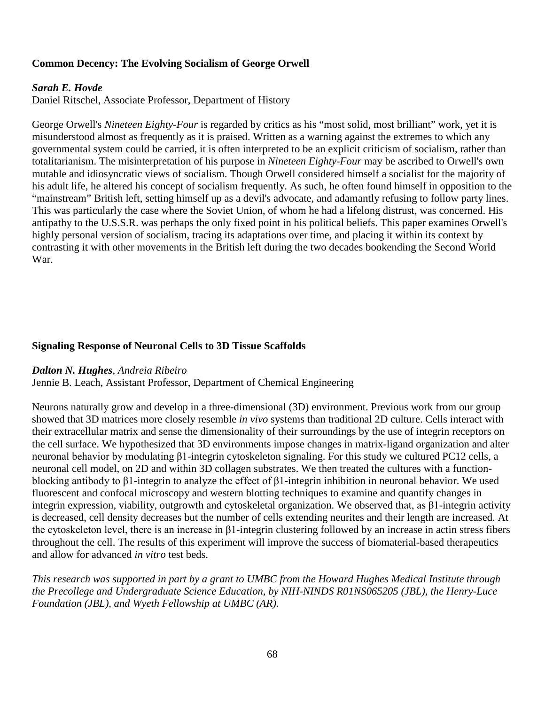# **Common Decency: The Evolving Socialism of George Orwell**

#### *Sarah E. Hovde*

Daniel Ritschel, Associate Professor, Department of History

George Orwell's *Nineteen Eighty-Four* is regarded by critics as his "most solid, most brilliant" work, yet it is misunderstood almost as frequently as it is praised. Written as a warning against the extremes to which any governmental system could be carried, it is often interpreted to be an explicit criticism of socialism, rather than totalitarianism. The misinterpretation of his purpose in *Nineteen Eighty-Four* may be ascribed to Orwell's own mutable and idiosyncratic views of socialism. Though Orwell considered himself a socialist for the majority of his adult life, he altered his concept of socialism frequently. As such, he often found himself in opposition to the "mainstream" British left, setting himself up as a devil's advocate, and adamantly refusing to follow party lines. This was particularly the case where the Soviet Union, of whom he had a lifelong distrust, was concerned. His antipathy to the U.S.S.R. was perhaps the only fixed point in his political beliefs. This paper examines Orwell's highly personal version of socialism, tracing its adaptations over time, and placing it within its context by contrasting it with other movements in the British left during the two decades bookending the Second World War.

#### **Signaling Response of Neuronal Cells to 3D Tissue Scaffolds**

#### *Dalton N. Hughes, Andreia Ribeiro*

Jennie B. Leach, Assistant Professor, Department of Chemical Engineering

Neurons naturally grow and develop in a three-dimensional (3D) environment. Previous work from our group showed that 3D matrices more closely resemble *in vivo* systems than traditional 2D culture. Cells interact with their extracellular matrix and sense the dimensionality of their surroundings by the use of integrin receptors on the cell surface. We hypothesized that 3D environments impose changes in matrix-ligand organization and alter neuronal behavior by modulating β1-integrin cytoskeleton signaling. For this study we cultured PC12 cells, a neuronal cell model, on 2D and within 3D collagen substrates. We then treated the cultures with a functionblocking antibody to β1-integrin to analyze the effect of β1-integrin inhibition in neuronal behavior. We used fluorescent and confocal microscopy and western blotting techniques to examine and quantify changes in integrin expression, viability, outgrowth and cytoskeletal organization. We observed that, as β1-integrin activity is decreased, cell density decreases but the number of cells extending neurites and their length are increased. At the cytoskeleton level, there is an increase in β1-integrin clustering followed by an increase in actin stress fibers throughout the cell. The results of this experiment will improve the success of biomaterial-based therapeutics and allow for advanced *in vitro* test beds.

*This research was supported in part by a grant to UMBC from the Howard Hughes Medical Institute through the Precollege and Undergraduate Science Education, by NIH-NINDS R01NS065205 (JBL), the Henry-Luce Foundation (JBL), and Wyeth Fellowship at UMBC (AR).*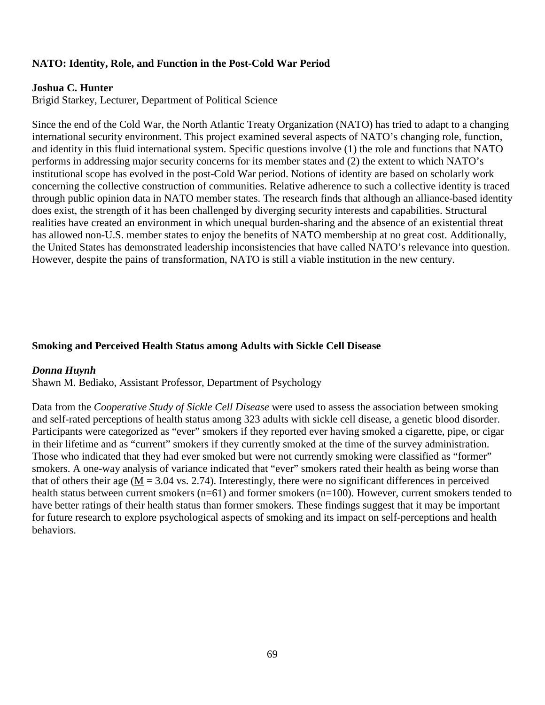### **NATO: Identity, Role, and Function in the Post-Cold War Period**

#### **Joshua C. Hunter**

Brigid Starkey, Lecturer, Department of Political Science

Since the end of the Cold War, the North Atlantic Treaty Organization (NATO) has tried to adapt to a changing international security environment. This project examined several aspects of NATO's changing role, function, and identity in this fluid international system. Specific questions involve (1) the role and functions that NATO performs in addressing major security concerns for its member states and (2) the extent to which NATO's institutional scope has evolved in the post-Cold War period. Notions of identity are based on scholarly work concerning the collective construction of communities. Relative adherence to such a collective identity is traced through public opinion data in NATO member states. The research finds that although an alliance-based identity does exist, the strength of it has been challenged by diverging security interests and capabilities. Structural realities have created an environment in which unequal burden-sharing and the absence of an existential threat has allowed non-U.S. member states to enjoy the benefits of NATO membership at no great cost. Additionally, the United States has demonstrated leadership inconsistencies that have called NATO's relevance into question. However, despite the pains of transformation, NATO is still a viable institution in the new century.

#### **Smoking and Perceived Health Status among Adults with Sickle Cell Disease**

#### *Donna Huynh*

Shawn M. Bediako, Assistant Professor, Department of Psychology

Data from the *Cooperative Study of Sickle Cell Disease* were used to assess the association between smoking and self-rated perceptions of health status among 323 adults with sickle cell disease, a genetic blood disorder. Participants were categorized as "ever" smokers if they reported ever having smoked a cigarette, pipe, or cigar in their lifetime and as "current" smokers if they currently smoked at the time of the survey administration. Those who indicated that they had ever smoked but were not currently smoking were classified as "former" smokers. A one-way analysis of variance indicated that "ever" smokers rated their health as being worse than that of others their age ( $M = 3.04$  vs. 2.74). Interestingly, there were no significant differences in perceived health status between current smokers (n=61) and former smokers (n=100). However, current smokers tended to have better ratings of their health status than former smokers. These findings suggest that it may be important for future research to explore psychological aspects of smoking and its impact on self-perceptions and health behaviors.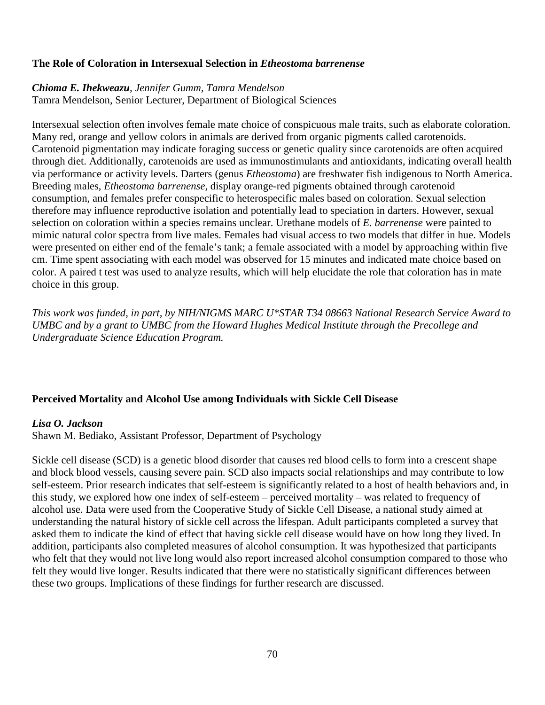### **The Role of Coloration in Intersexual Selection in** *Etheostoma barrenense*

### *Chioma E. Ihekweazu, Jennifer Gumm, Tamra Mendelson*

Tamra Mendelson, Senior Lecturer, Department of Biological Sciences

Intersexual selection often involves female mate choice of conspicuous male traits, such as elaborate coloration. Many red, orange and yellow colors in animals are derived from organic pigments called carotenoids. Carotenoid pigmentation may indicate foraging success or genetic quality since carotenoids are often acquired through diet. Additionally, carotenoids are used as immunostimulants and antioxidants, indicating overall health via performance or activity levels. Darters (genus *Etheostoma*) are freshwater fish indigenous to North America. Breeding males, *Etheostoma barrenense,* display orange-red pigments obtained through carotenoid consumption, and females prefer conspecific to heterospecific males based on coloration. Sexual selection therefore may influence reproductive isolation and potentially lead to speciation in darters. However, sexual selection on coloration within a species remains unclear. Urethane models of *E. barrenense* were painted to mimic natural color spectra from live males. Females had visual access to two models that differ in hue. Models were presented on either end of the female's tank; a female associated with a model by approaching within five cm. Time spent associating with each model was observed for 15 minutes and indicated mate choice based on color. A paired t test was used to analyze results, which will help elucidate the role that coloration has in mate choice in this group.

*This work was funded, in part, by NIH/NIGMS MARC U\*STAR T34 08663 National Research Service Award to UMBC and by a grant to UMBC from the Howard Hughes Medical Institute through the Precollege and Undergraduate Science Education Program.*

# **Perceived Mortality and Alcohol Use among Individuals with Sickle Cell Disease**

# *Lisa O. Jackson*

Shawn M. Bediako, Assistant Professor, Department of Psychology

Sickle cell disease (SCD) is a genetic blood disorder that causes red blood cells to form into a crescent shape and block blood vessels, causing severe pain. SCD also impacts social relationships and may contribute to low self-esteem. Prior research indicates that self-esteem is significantly related to a host of health behaviors and, in this study, we explored how one index of self-esteem – perceived mortality – was related to frequency of alcohol use. Data were used from the Cooperative Study of Sickle Cell Disease, a national study aimed at understanding the natural history of sickle cell across the lifespan. Adult participants completed a survey that asked them to indicate the kind of effect that having sickle cell disease would have on how long they lived. In addition, participants also completed measures of alcohol consumption. It was hypothesized that participants who felt that they would not live long would also report increased alcohol consumption compared to those who felt they would live longer. Results indicated that there were no statistically significant differences between these two groups. Implications of these findings for further research are discussed.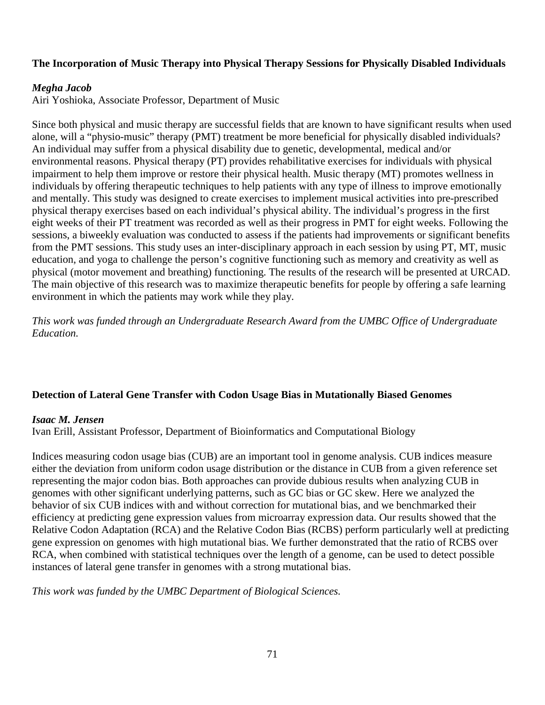# **The Incorporation of Music Therapy into Physical Therapy Sessions for Physically Disabled Individuals**

### *Megha Jacob*

Airi Yoshioka, Associate Professor, Department of Music

Since both physical and music therapy are successful fields that are known to have significant results when used alone, will a "physio-music" therapy (PMT) treatment be more beneficial for physically disabled individuals? An individual may suffer from a physical disability due to genetic, developmental, medical and/or environmental reasons. Physical therapy (PT) provides rehabilitative exercises for individuals with physical impairment to help them improve or restore their physical health. Music therapy (MT) promotes wellness in individuals by offering therapeutic techniques to help patients with any type of illness to improve emotionally and mentally. This study was designed to create exercises to implement musical activities into pre-prescribed physical therapy exercises based on each individual's physical ability. The individual's progress in the first eight weeks of their PT treatment was recorded as well as their progress in PMT for eight weeks. Following the sessions, a biweekly evaluation was conducted to assess if the patients had improvements or significant benefits from the PMT sessions. This study uses an inter-disciplinary approach in each session by using PT, MT, music education, and yoga to challenge the person's cognitive functioning such as memory and creativity as well as physical (motor movement and breathing) functioning. The results of the research will be presented at URCAD. The main objective of this research was to maximize therapeutic benefits for people by offering a safe learning environment in which the patients may work while they play.

*This work was funded through an Undergraduate Research Award from the UMBC Office of Undergraduate Education.*

# **Detection of Lateral Gene Transfer with Codon Usage Bias in Mutationally Biased Genomes**

# *Isaac M. Jensen*

Ivan Erill, Assistant Professor, Department of Bioinformatics and Computational Biology

Indices measuring codon usage bias (CUB) are an important tool in genome analysis. CUB indices measure either the deviation from uniform codon usage distribution or the distance in CUB from a given reference set representing the major codon bias. Both approaches can provide dubious results when analyzing CUB in genomes with other significant underlying patterns, such as GC bias or GC skew. Here we analyzed the behavior of six CUB indices with and without correction for mutational bias, and we benchmarked their efficiency at predicting gene expression values from microarray expression data. Our results showed that the Relative Codon Adaptation (RCA) and the Relative Codon Bias (RCBS) perform particularly well at predicting gene expression on genomes with high mutational bias. We further demonstrated that the ratio of RCBS over RCA, when combined with statistical techniques over the length of a genome, can be used to detect possible instances of lateral gene transfer in genomes with a strong mutational bias.

*This work was funded by the UMBC Department of Biological Sciences.*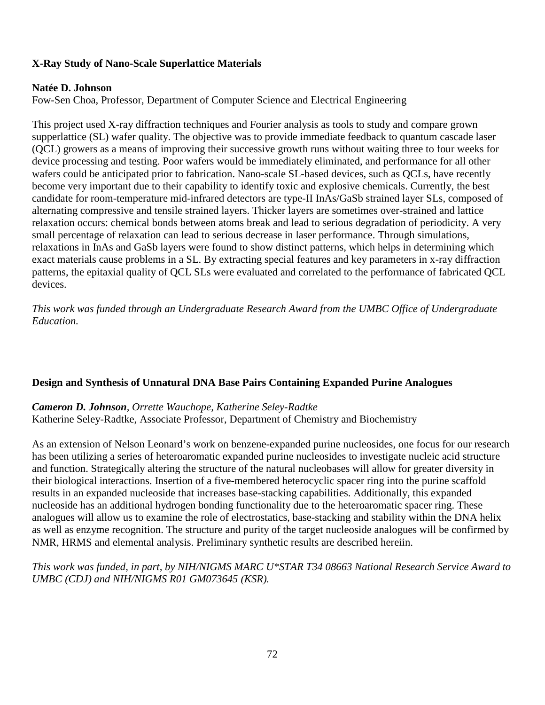# **X-Ray Study of Nano-Scale Superlattice Materials**

### **Natée D. Johnson**

Fow-Sen Choa, Professor, Department of Computer Science and Electrical Engineering

This project used X-ray diffraction techniques and Fourier analysis as tools to study and compare grown supperlattice (SL) wafer quality. The objective was to provide immediate feedback to quantum cascade laser (QCL) growers as a means of improving their successive growth runs without waiting three to four weeks for device processing and testing. Poor wafers would be immediately eliminated, and performance for all other wafers could be anticipated prior to fabrication. Nano-scale SL-based devices, such as OCLs, have recently become very important due to their capability to identify toxic and explosive chemicals. Currently, the best candidate for room-temperature mid-infrared detectors are type-II InAs/GaSb strained layer SLs, composed of alternating compressive and tensile strained layers. Thicker layers are sometimes over-strained and lattice relaxation occurs: chemical bonds between atoms break and lead to serious degradation of periodicity. A very small percentage of relaxation can lead to serious decrease in laser performance. Through simulations, relaxations in InAs and GaSb layers were found to show distinct patterns, which helps in determining which exact materials cause problems in a SL. By extracting special features and key parameters in x-ray diffraction patterns, the epitaxial quality of QCL SLs were evaluated and correlated to the performance of fabricated QCL devices.

*This work was funded through an Undergraduate Research Award from the UMBC Office of Undergraduate Education.*

# **Design and Synthesis of Unnatural DNA Base Pairs Containing Expanded Purine Analogues**

*Cameron D. Johnson, Orrette Wauchope, Katherine Seley-Radtke* Katherine Seley-Radtke, Associate Professor, Department of Chemistry and Biochemistry

As an extension of Nelson Leonard's work on benzene-expanded purine nucleosides, one focus for our research has been utilizing a series of heteroaromatic expanded purine nucleosides to investigate nucleic acid structure and function. Strategically altering the structure of the natural nucleobases will allow for greater diversity in their biological interactions. Insertion of a five-membered heterocyclic spacer ring into the purine scaffold results in an expanded nucleoside that increases base-stacking capabilities. Additionally, this expanded nucleoside has an additional hydrogen bonding functionality due to the heteroaromatic spacer ring. These analogues will allow us to examine the role of electrostatics, base-stacking and stability within the DNA helix as well as enzyme recognition. The structure and purity of the target nucleoside analogues will be confirmed by NMR, HRMS and elemental analysis. Preliminary synthetic results are described hereiin.

*This work was funded, in part, by NIH/NIGMS MARC U\*STAR T34 08663 National Research Service Award to UMBC (CDJ) and NIH/NIGMS R01 GM073645 (KSR).*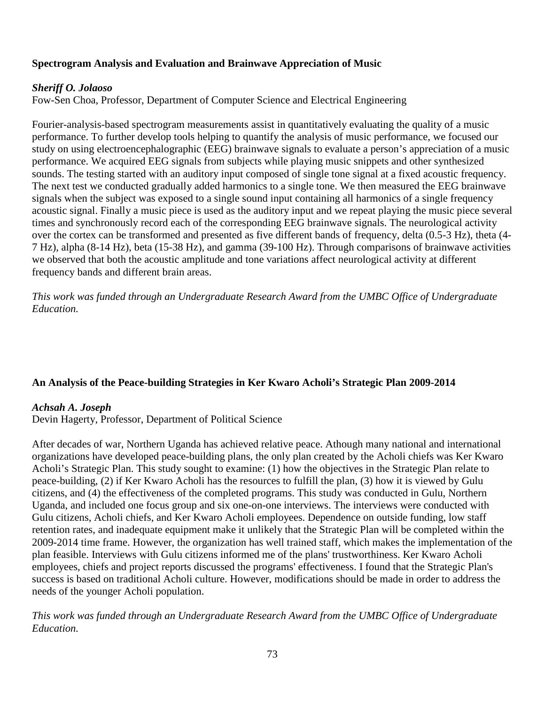# **Spectrogram Analysis and Evaluation and Brainwave Appreciation of Music**

### *Sheriff O. Jolaoso*

Fow-Sen Choa, Professor, Department of Computer Science and Electrical Engineering

Fourier-analysis-based spectrogram measurements assist in quantitatively evaluating the quality of a music performance. To further develop tools helping to quantify the analysis of music performance, we focused our study on using electroencephalographic (EEG) brainwave signals to evaluate a person's appreciation of a music performance. We acquired EEG signals from subjects while playing music snippets and other synthesized sounds. The testing started with an auditory input composed of single tone signal at a fixed acoustic frequency. The next test we conducted gradually added harmonics to a single tone. We then measured the EEG brainwave signals when the subject was exposed to a single sound input containing all harmonics of a single frequency acoustic signal. Finally a music piece is used as the auditory input and we repeat playing the music piece several times and synchronously record each of the corresponding EEG brainwave signals. The neurological activity over the cortex can be transformed and presented as five different bands of frequency, delta (0.5-3 Hz), theta (4- 7 Hz), alpha (8-14 Hz), beta (15-38 Hz), and gamma (39-100 Hz). Through comparisons of brainwave activities we observed that both the acoustic amplitude and tone variations affect neurological activity at different frequency bands and different brain areas.

*This work was funded through an Undergraduate Research Award from the UMBC Office of Undergraduate Education.*

# **An Analysis of the Peace-building Strategies in Ker Kwaro Acholi's Strategic Plan 2009-2014**

#### *Achsah A. Joseph*

Devin Hagerty, Professor, Department of Political Science

After decades of war, Northern Uganda has achieved relative peace. Athough many national and international organizations have developed peace-building plans, the only plan created by the Acholi chiefs was Ker Kwaro Acholi's Strategic Plan. This study sought to examine: (1) how the objectives in the Strategic Plan relate to peace-building, (2) if Ker Kwaro Acholi has the resources to fulfill the plan, (3) how it is viewed by Gulu citizens, and (4) the effectiveness of the completed programs. This study was conducted in Gulu, Northern Uganda, and included one focus group and six one-on-one interviews. The interviews were conducted with Gulu citizens, Acholi chiefs, and Ker Kwaro Acholi employees. Dependence on outside funding, low staff retention rates, and inadequate equipment make it unlikely that the Strategic Plan will be completed within the 2009-2014 time frame. However, the organization has well trained staff, which makes the implementation of the plan feasible. Interviews with Gulu citizens informed me of the plans' trustworthiness. Ker Kwaro Acholi employees, chiefs and project reports discussed the programs' effectiveness. I found that the Strategic Plan's success is based on traditional Acholi culture. However, modifications should be made in order to address the needs of the younger Acholi population.

*This work was funded through an Undergraduate Research Award from the UMBC Office of Undergraduate Education.*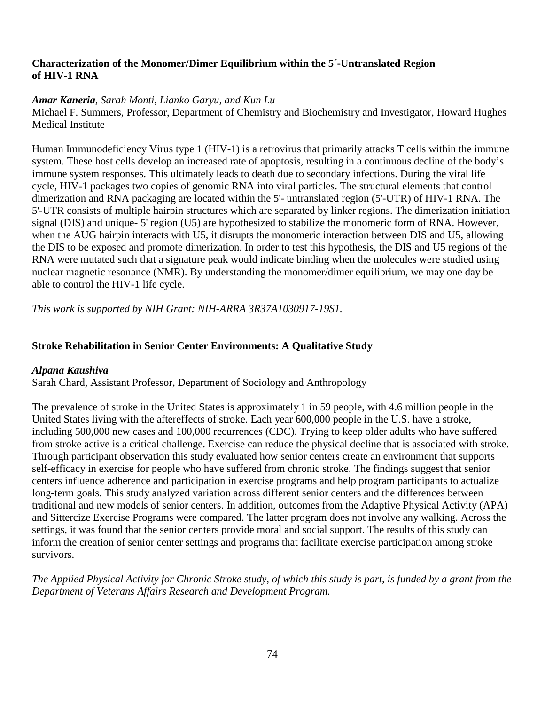### **Characterization of the Monomer/Dimer Equilibrium within the 5´-Untranslated Region of HIV-1 RNA**

# *Amar Kaneria, Sarah Monti, Lianko Garyu, and Kun Lu*

Michael F. Summers, Professor, Department of Chemistry and Biochemistry and Investigator, Howard Hughes Medical Institute

Human Immunodeficiency Virus type 1 (HIV-1) is a retrovirus that primarily attacks T cells within the immune system. These host cells develop an increased rate of apoptosis, resulting in a continuous decline of the body's immune system responses. This ultimately leads to death due to secondary infections. During the viral life cycle, HIV-1 packages two copies of genomic RNA into viral particles. The structural elements that control dimerization and RNA packaging are located within the 5'- untranslated region (5'-UTR) of HIV-1 RNA. The 5'-UTR consists of multiple hairpin structures which are separated by linker regions. The dimerization initiation signal (DIS) and unique- 5' region (U5) are hypothesized to stabilize the monomeric form of RNA. However, when the AUG hairpin interacts with U5, it disrupts the monomeric interaction between DIS and U5, allowing the DIS to be exposed and promote dimerization. In order to test this hypothesis, the DIS and U5 regions of the RNA were mutated such that a signature peak would indicate binding when the molecules were studied using nuclear magnetic resonance (NMR). By understanding the monomer/dimer equilibrium, we may one day be able to control the HIV-1 life cycle.

*This work is supported by NIH Grant: NIH-ARRA 3R37A1030917-19S1.*

### **Stroke Rehabilitation in Senior Center Environments: A Qualitative Study**

#### *Alpana Kaushiva*

Sarah Chard, Assistant Professor, Department of Sociology and Anthropology

The prevalence of stroke in the United States is approximately 1 in 59 people, with 4.6 million people in the United States living with the aftereffects of stroke. Each year 600,000 people in the U.S. have a stroke, including 500,000 new cases and 100,000 recurrences (CDC). Trying to keep older adults who have suffered from stroke active is a critical challenge. Exercise can reduce the physical decline that is associated with stroke. Through participant observation this study evaluated how senior centers create an environment that supports self-efficacy in exercise for people who have suffered from chronic stroke. The findings suggest that senior centers influence adherence and participation in exercise programs and help program participants to actualize long-term goals. This study analyzed variation across different senior centers and the differences between traditional and new models of senior centers. In addition, outcomes from the Adaptive Physical Activity (APA) and Sittercize Exercise Programs were compared. The latter program does not involve any walking. Across the settings, it was found that the senior centers provide moral and social support. The results of this study can inform the creation of senior center settings and programs that facilitate exercise participation among stroke survivors.

*The Applied Physical Activity for Chronic Stroke study, of which this study is part, is funded by a grant from the Department of Veterans Affairs Research and Development Program.*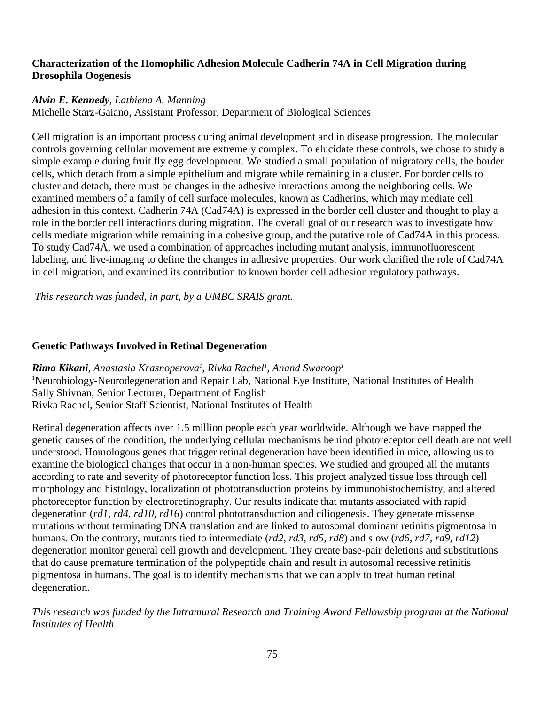# **Characterization of the Homophilic Adhesion Molecule Cadherin 74A in Cell Migration during Drosophila Oogenesis**

### *Alvin E. Kennedy, Lathiena A. Manning*

Michelle Starz-Gaiano, Assistant Professor, Department of Biological Sciences

Cell migration is an important process during animal development and in disease progression. The molecular controls governing cellular movement are extremely complex. To elucidate these controls, we chose to study a simple example during fruit fly egg development. We studied a small population of migratory cells, the border cells, which detach from a simple epithelium and migrate while remaining in a cluster. For border cells to cluster and detach, there must be changes in the adhesive interactions among the neighboring cells. We examined members of a family of cell surface molecules, known as Cadherins, which may mediate cell adhesion in this context. Cadherin 74A (Cad74A) is expressed in the border cell cluster and thought to play a role in the border cell interactions during migration. The overall goal of our research was to investigate how cells mediate migration while remaining in a cohesive group, and the putative role of Cad74A in this process. To study Cad74A, we used a combination of approaches including mutant analysis, immunofluorescent labeling, and live-imaging to define the changes in adhesive properties. Our work clarified the role of Cad74A in cell migration, and examined its contribution to known border cell adhesion regulatory pathways.

*This research was funded, in part, by a UMBC SRAIS grant.*

### **Genetic Pathways Involved in Retinal Degeneration**

 $R$ ima Kikani, Anastasia Krasnoperova<sup>1</sup>, Rivka Rachel<sup>1</sup>, Anand Swaroop<sup>1</sup> 1 Neurobiology-Neurodegeneration and Repair Lab, National Eye Institute, National Institutes of Health Sally Shivnan, Senior Lecturer, Department of English Rivka Rachel, Senior Staff Scientist, National Institutes of Health

Retinal degeneration affects over 1.5 million people each year worldwide. Although we have mapped the genetic causes of the condition, the underlying cellular mechanisms behind photoreceptor cell death are not well understood. Homologous genes that trigger retinal degeneration have been identified in mice, allowing us to examine the biological changes that occur in a non-human species. We studied and grouped all the mutants according to rate and severity of photoreceptor function loss. This project analyzed tissue loss through cell morphology and histology, localization of phototransduction proteins by immunohistochemistry, and altered photoreceptor function by electroretinography. Our results indicate that mutants associated with rapid degeneration (*rd1, rd4, rd10, rd16*) control phototransduction and ciliogenesis. They generate missense mutations without terminating DNA translation and are linked to autosomal dominant retinitis pigmentosa in humans. On the contrary, mutants tied to intermediate (*rd2, rd3, rd5, rd8*) and slow (*rd6, rd7, rd9, rd12*) degeneration monitor general cell growth and development. They create base-pair deletions and substitutions that do cause premature termination of the polypeptide chain and result in autosomal recessive retinitis pigmentosa in humans. The goal is to identify mechanisms that we can apply to treat human retinal degeneration.

*This research was funded by the Intramural Research and Training Award Fellowship program at the National Institutes of Health.*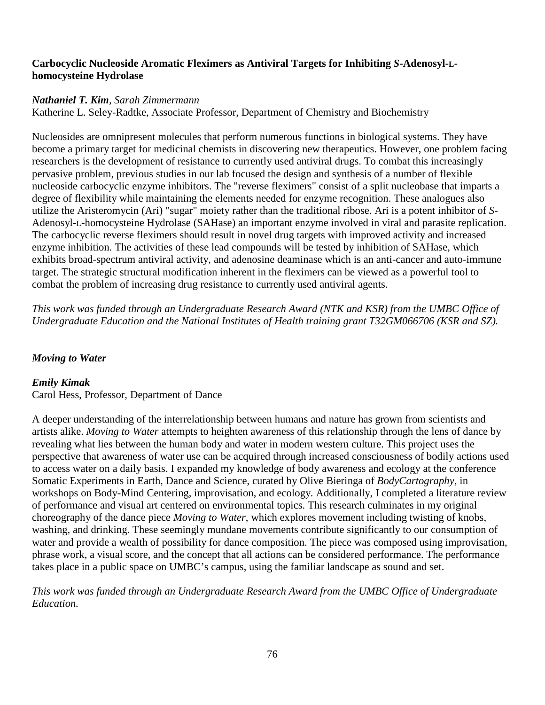# **Carbocyclic Nucleoside Aromatic Fleximers as Antiviral Targets for Inhibiting** *S***-Adenosyl-Lhomocysteine Hydrolase**

#### *Nathaniel T. Kim, Sarah Zimmermann*

Katherine L. Seley-Radtke, Associate Professor, Department of Chemistry and Biochemistry

Nucleosides are omnipresent molecules that perform numerous functions in biological systems. They have become a primary target for medicinal chemists in discovering new therapeutics. However, one problem facing researchers is the development of resistance to currently used antiviral drugs. To combat this increasingly pervasive problem, previous studies in our lab focused the design and synthesis of a number of flexible nucleoside carbocyclic enzyme inhibitors. The "reverse fleximers" consist of a split nucleobase that imparts a degree of flexibility while maintaining the elements needed for enzyme recognition. These analogues also utilize the Aristeromycin (Ari) "sugar" moiety rather than the traditional ribose. Ari is a potent inhibitor of *S*-Adenosyl-L-homocysteine Hydrolase (SAHase) an important enzyme involved in viral and parasite replication. The carbocyclic reverse fleximers should result in novel drug targets with improved activity and increased enzyme inhibition. The activities of these lead compounds will be tested by inhibition of SAHase, which exhibits broad-spectrum antiviral activity, and adenosine deaminase which is an anti-cancer and auto-immune target. The strategic structural modification inherent in the fleximers can be viewed as a powerful tool to combat the problem of increasing drug resistance to currently used antiviral agents.

*This work was funded through an Undergraduate Research Award (NTK and KSR) from the UMBC Office of Undergraduate Education and the National Institutes of Health training grant T32GM066706 (KSR and SZ).*

# *Moving to Water*

# *Emily Kimak*

Carol Hess, Professor, Department of Dance

A deeper understanding of the interrelationship between humans and nature has grown from scientists and artists alike. *Moving to Water* attempts to heighten awareness of this relationship through the lens of dance by revealing what lies between the human body and water in modern western culture. This project uses the perspective that awareness of water use can be acquired through increased consciousness of bodily actions used to access water on a daily basis. I expanded my knowledge of body awareness and ecology at the conference Somatic Experiments in Earth, Dance and Science, curated by Olive Bieringa of *BodyCartography*, in workshops on Body-Mind Centering, improvisation, and ecology*.* Additionally, I completed a literature review of performance and visual art centered on environmental topics. This research culminates in my original choreography of the dance piece *Moving to Water*, which explores movement including twisting of knobs, washing, and drinking. These seemingly mundane movements contribute significantly to our consumption of water and provide a wealth of possibility for dance composition. The piece was composed using improvisation, phrase work, a visual score, and the concept that all actions can be considered performance. The performance takes place in a public space on UMBC's campus, using the familiar landscape as sound and set.

*This work was funded through an Undergraduate Research Award from the UMBC Office of Undergraduate Education.*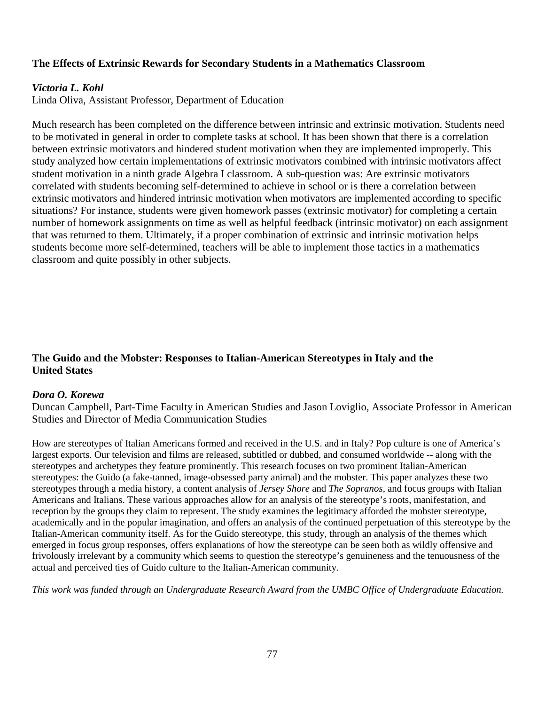# **The Effects of Extrinsic Rewards for Secondary Students in a Mathematics Classroom**

### *Victoria L. Kohl*

Linda Oliva, Assistant Professor, Department of Education

Much research has been completed on the difference between intrinsic and extrinsic motivation. Students need to be motivated in general in order to complete tasks at school. It has been shown that there is a correlation between extrinsic motivators and hindered student motivation when they are implemented improperly. This study analyzed how certain implementations of extrinsic motivators combined with intrinsic motivators affect student motivation in a ninth grade Algebra I classroom. A sub-question was: Are extrinsic motivators correlated with students becoming self-determined to achieve in school or is there a correlation between extrinsic motivators and hindered intrinsic motivation when motivators are implemented according to specific situations? For instance, students were given homework passes (extrinsic motivator) for completing a certain number of homework assignments on time as well as helpful feedback (intrinsic motivator) on each assignment that was returned to them. Ultimately, if a proper combination of extrinsic and intrinsic motivation helps students become more self-determined, teachers will be able to implement those tactics in a mathematics classroom and quite possibly in other subjects.

### **The Guido and the Mobster: Responses to Italian-American Stereotypes in Italy and the United States**

#### *Dora O. Korewa*

Duncan Campbell, Part-Time Faculty in American Studies and Jason Loviglio, Associate Professor in American Studies and Director of Media Communication Studies

How are stereotypes of Italian Americans formed and received in the U.S. and in Italy? Pop culture is one of America's largest exports. Our television and films are released, subtitled or dubbed, and consumed worldwide -- along with the stereotypes and archetypes they feature prominently. This research focuses on two prominent Italian-American stereotypes: the Guido (a fake-tanned, image-obsessed party animal) and the mobster. This paper analyzes these two stereotypes through a media history, a content analysis of *Jersey Shore* and *The Sopranos*, and focus groups with Italian Americans and Italians. These various approaches allow for an analysis of the stereotype's roots, manifestation, and reception by the groups they claim to represent. The study examines the legitimacy afforded the mobster stereotype, academically and in the popular imagination, and offers an analysis of the continued perpetuation of this stereotype by the Italian-American community itself. As for the Guido stereotype, this study, through an analysis of the themes which emerged in focus group responses, offers explanations of how the stereotype can be seen both as wildly offensive and frivolously irrelevant by a community which seems to question the stereotype's genuineness and the tenuousness of the actual and perceived ties of Guido culture to the Italian-American community.

*This work was funded through an Undergraduate Research Award from the UMBC Office of Undergraduate Education.*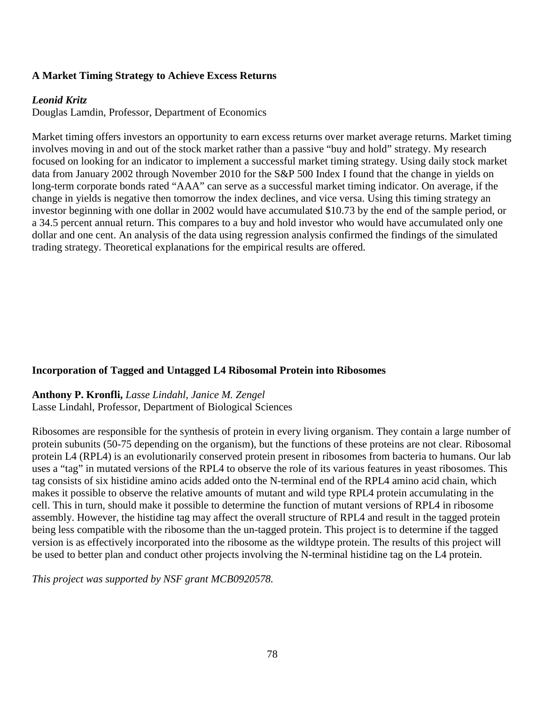# **A Market Timing Strategy to Achieve Excess Returns**

# *Leonid Kritz*

Douglas Lamdin, Professor, Department of Economics

Market timing offers investors an opportunity to earn excess returns over market average returns. Market timing involves moving in and out of the stock market rather than a passive "buy and hold" strategy. My research focused on looking for an indicator to implement a successful market timing strategy. Using daily stock market data from January 2002 through November 2010 for the S&P 500 Index I found that the change in yields on long-term corporate bonds rated "AAA" can serve as a successful market timing indicator. On average, if the change in yields is negative then tomorrow the index declines, and vice versa. Using this timing strategy an investor beginning with one dollar in 2002 would have accumulated \$10.73 by the end of the sample period, or a 34.5 percent annual return. This compares to a buy and hold investor who would have accumulated only one dollar and one cent. An analysis of the data using regression analysis confirmed the findings of the simulated trading strategy. Theoretical explanations for the empirical results are offered.

# **Incorporation of Tagged and Untagged L4 Ribosomal Protein into Ribosomes**

# **Anthony P. Kronfli,** *Lasse Lindahl, Janice M. Zengel*

Lasse Lindahl, Professor, Department of Biological Sciences

Ribosomes are responsible for the synthesis of protein in every living organism. They contain a large number of protein subunits (50-75 depending on the organism), but the functions of these proteins are not clear. Ribosomal protein L4 (RPL4) is an evolutionarily conserved protein present in ribosomes from bacteria to humans. Our lab uses a "tag" in mutated versions of the RPL4 to observe the role of its various features in yeast ribosomes. This tag consists of six histidine amino acids added onto the N-terminal end of the RPL4 amino acid chain, which makes it possible to observe the relative amounts of mutant and wild type RPL4 protein accumulating in the cell. This in turn, should make it possible to determine the function of mutant versions of RPL4 in ribosome assembly. However, the histidine tag may affect the overall structure of RPL4 and result in the tagged protein being less compatible with the ribosome than the un-tagged protein. This project is to determine if the tagged version is as effectively incorporated into the ribosome as the wildtype protein. The results of this project will be used to better plan and conduct other projects involving the N-terminal histidine tag on the L4 protein.

*This project was supported by NSF grant MCB0920578.*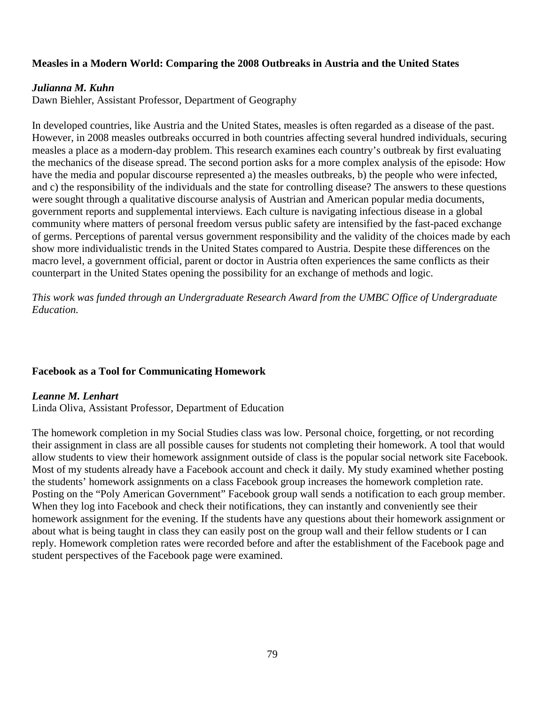### **Measles in a Modern World: Comparing the 2008 Outbreaks in Austria and the United States**

#### *Julianna M. Kuhn*

Dawn Biehler, Assistant Professor, Department of Geography

In developed countries, like Austria and the United States, measles is often regarded as a disease of the past. However, in 2008 measles outbreaks occurred in both countries affecting several hundred individuals, securing measles a place as a modern-day problem. This research examines each country's outbreak by first evaluating the mechanics of the disease spread. The second portion asks for a more complex analysis of the episode: How have the media and popular discourse represented a) the measles outbreaks, b) the people who were infected, and c) the responsibility of the individuals and the state for controlling disease? The answers to these questions were sought through a qualitative discourse analysis of Austrian and American popular media documents, government reports and supplemental interviews. Each culture is navigating infectious disease in a global community where matters of personal freedom versus public safety are intensified by the fast-paced exchange of germs. Perceptions of parental versus government responsibility and the validity of the choices made by each show more individualistic trends in the United States compared to Austria. Despite these differences on the macro level, a government official, parent or doctor in Austria often experiences the same conflicts as their counterpart in the United States opening the possibility for an exchange of methods and logic.

*This work was funded through an Undergraduate Research Award from the UMBC Office of Undergraduate Education.*

#### **Facebook as a Tool for Communicating Homework**

#### *Leanne M. Lenhart*

Linda Oliva, Assistant Professor, Department of Education

The homework completion in my Social Studies class was low. Personal choice, forgetting, or not recording their assignment in class are all possible causes for students not completing their homework. A tool that would allow students to view their homework assignment outside of class is the popular social network site Facebook. Most of my students already have a Facebook account and check it daily. My study examined whether posting the students' homework assignments on a class Facebook group increases the homework completion rate. Posting on the "Poly American Government" Facebook group wall sends a notification to each group member. When they log into Facebook and check their notifications, they can instantly and conveniently see their homework assignment for the evening. If the students have any questions about their homework assignment or about what is being taught in class they can easily post on the group wall and their fellow students or I can reply. Homework completion rates were recorded before and after the establishment of the Facebook page and student perspectives of the Facebook page were examined.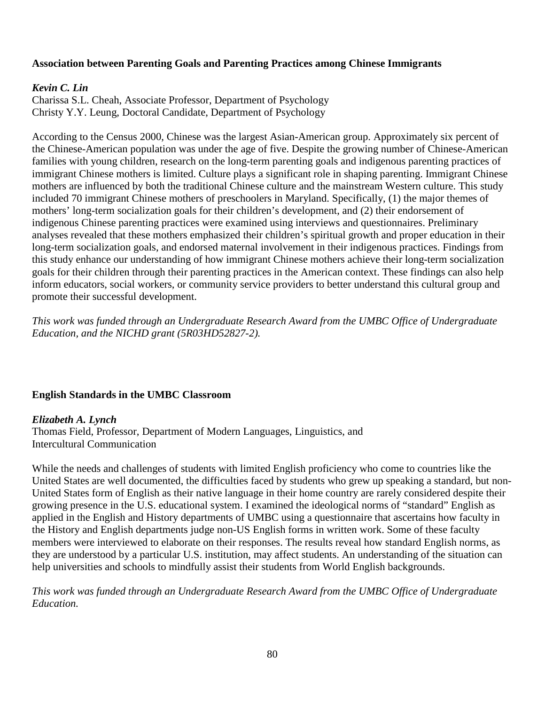### **Association between Parenting Goals and Parenting Practices among Chinese Immigrants**

#### *Kevin C. Lin*

Charissa S.L. Cheah, Associate Professor, Department of Psychology Christy Y.Y. Leung, Doctoral Candidate, Department of Psychology

According to the Census 2000, Chinese was the largest Asian-American group. Approximately six percent of the Chinese-American population was under the age of five. Despite the growing number of Chinese-American families with young children, research on the long-term parenting goals and indigenous parenting practices of immigrant Chinese mothers is limited. Culture plays a significant role in shaping parenting. Immigrant Chinese mothers are influenced by both the traditional Chinese culture and the mainstream Western culture. This study included 70 immigrant Chinese mothers of preschoolers in Maryland. Specifically, (1) the major themes of mothers' long-term socialization goals for their children's development, and (2) their endorsement of indigenous Chinese parenting practices were examined using interviews and questionnaires. Preliminary analyses revealed that these mothers emphasized their children's spiritual growth and proper education in their long-term socialization goals, and endorsed maternal involvement in their indigenous practices. Findings from this study enhance our understanding of how immigrant Chinese mothers achieve their long-term socialization goals for their children through their parenting practices in the American context. These findings can also help inform educators, social workers, or community service providers to better understand this cultural group and promote their successful development.

*This work was funded through an Undergraduate Research Award from the UMBC Office of Undergraduate Education, and the NICHD grant (5R03HD52827-2).*

#### **English Standards in the UMBC Classroom**

#### *Elizabeth A. Lynch*

Thomas Field, Professor, Department of Modern Languages, Linguistics, and Intercultural Communication

While the needs and challenges of students with limited English proficiency who come to countries like the United States are well documented, the difficulties faced by students who grew up speaking a standard, but non-United States form of English as their native language in their home country are rarely considered despite their growing presence in the U.S. educational system. I examined the ideological norms of "standard" English as applied in the English and History departments of UMBC using a questionnaire that ascertains how faculty in the History and English departments judge non-US English forms in written work. Some of these faculty members were interviewed to elaborate on their responses. The results reveal how standard English norms, as they are understood by a particular U.S. institution, may affect students. An understanding of the situation can help universities and schools to mindfully assist their students from World English backgrounds.

*This work was funded through an Undergraduate Research Award from the UMBC Office of Undergraduate Education.*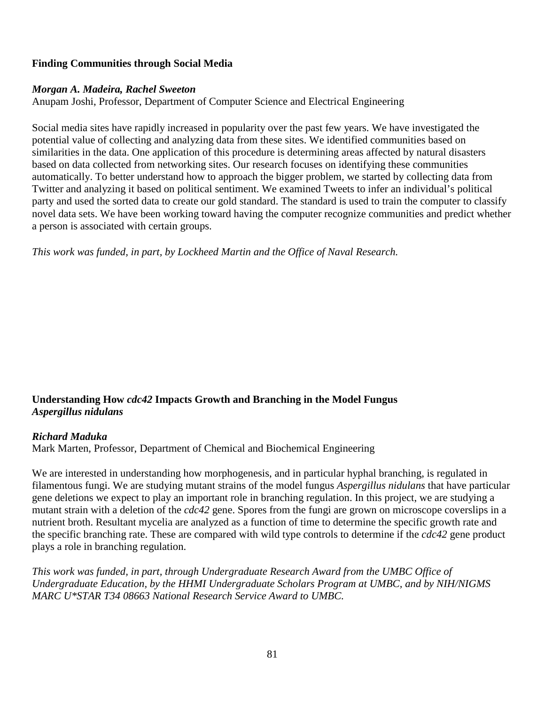# **Finding Communities through Social Media**

#### *Morgan A. Madeira, Rachel Sweeton*

Anupam Joshi, Professor, Department of Computer Science and Electrical Engineering

Social media sites have rapidly increased in popularity over the past few years. We have investigated the potential value of collecting and analyzing data from these sites. We identified communities based on similarities in the data. One application of this procedure is determining areas affected by natural disasters based on data collected from networking sites. Our research focuses on identifying these communities automatically. To better understand how to approach the bigger problem, we started by collecting data from Twitter and analyzing it based on political sentiment. We examined Tweets to infer an individual's political party and used the sorted data to create our gold standard. The standard is used to train the computer to classify novel data sets. We have been working toward having the computer recognize communities and predict whether a person is associated with certain groups.

*This work was funded, in part, by Lockheed Martin and the Office of Naval Research.*

# **Understanding How** *cdc42* **Impacts Growth and Branching in the Model Fungus**  *Aspergillus nidulans*

# *Richard Maduka*

Mark Marten, Professor, Department of Chemical and Biochemical Engineering

We are interested in understanding how morphogenesis, and in particular hyphal branching, is regulated in filamentous fungi. We are studying mutant strains of the model fungus *Aspergillus nidulans* that have particular gene deletions we expect to play an important role in branching regulation. In this project, we are studying a mutant strain with a deletion of the *cdc42* gene. Spores from the fungi are grown on microscope coverslips in a nutrient broth. Resultant mycelia are analyzed as a function of time to determine the specific growth rate and the specific branching rate. These are compared with wild type controls to determine if the *cdc42* gene product plays a role in branching regulation.

*This work was funded, in part, through Undergraduate Research Award from the UMBC Office of Undergraduate Education, by the HHMI Undergraduate Scholars Program at UMBC, and by NIH/NIGMS MARC U\*STAR T34 08663 National Research Service Award to UMBC.*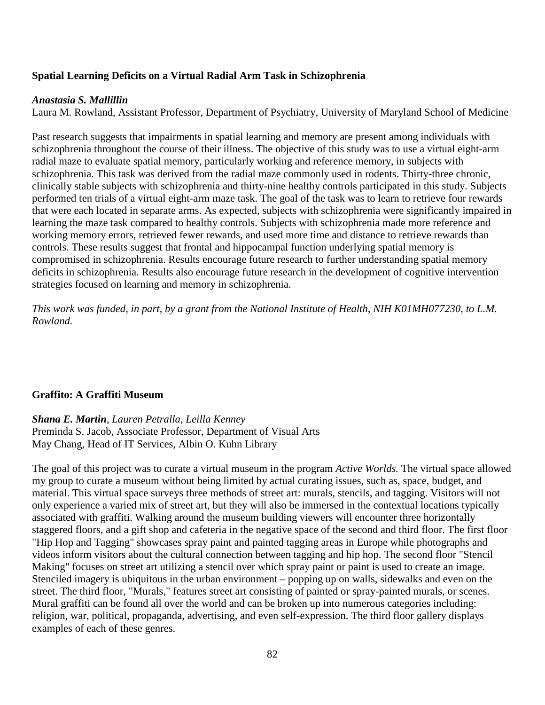### **Spatial Learning Deficits on a Virtual Radial Arm Task in Schizophrenia**

#### *Anastasia S. Mallillin*

Laura M. Rowland, Assistant Professor, Department of Psychiatry, University of Maryland School of Medicine

Past research suggests that impairments in spatial learning and memory are present among individuals with schizophrenia throughout the course of their illness. The objective of this study was to use a virtual eight-arm radial maze to evaluate spatial memory, particularly working and reference memory, in subjects with schizophrenia. This task was derived from the radial maze commonly used in rodents. Thirty-three chronic, clinically stable subjects with schizophrenia and thirty-nine healthy controls participated in this study. Subjects performed ten trials of a virtual eight-arm maze task. The goal of the task was to learn to retrieve four rewards that were each located in separate arms. As expected, subjects with schizophrenia were significantly impaired in learning the maze task compared to healthy controls. Subjects with schizophrenia made more reference and working memory errors, retrieved fewer rewards, and used more time and distance to retrieve rewards than controls. These results suggest that frontal and hippocampal function underlying spatial memory is compromised in schizophrenia. Results encourage future research to further understanding spatial memory deficits in schizophrenia. Results also encourage future research in the development of cognitive intervention strategies focused on learning and memory in schizophrenia.

*This work was funded, in part, by a grant from the National Institute of Health, NIH K01MH077230, to L.M. Rowland.*

#### **Graffito: A Graffiti Museum**

# *Shana E. Martin, Lauren Petralla, Leilla Kenney*

Preminda S. Jacob, Associate Professor, Department of Visual Arts May Chang, Head of IT Services, Albin O. Kuhn Library

The goal of this project was to curate a virtual museum in the program *Active Worlds.* The virtual space allowed my group to curate a museum without being limited by actual curating issues, such as, space, budget, and material. This virtual space surveys three methods of street art: murals, stencils, and tagging. Visitors will not only experience a varied mix of street art, but they will also be immersed in the contextual locations typically associated with graffiti. Walking around the museum building viewers will encounter three horizontally staggered floors, and a gift shop and cafeteria in the negative space of the second and third floor. The first floor "Hip Hop and Tagging" showcases spray paint and painted tagging areas in Europe while photographs and videos inform visitors about the cultural connection between tagging and hip hop. The second floor "Stencil Making" focuses on street art utilizing a stencil over which spray paint or paint is used to create an image. Stenciled imagery is ubiquitous in the urban environment – popping up on walls, sidewalks and even on the street. The third floor, "Murals," features street art consisting of painted or spray-painted murals, or scenes. Mural graffiti can be found all over the world and can be broken up into numerous categories including: religion, war, political, propaganda, advertising, and even self-expression. The third floor gallery displays examples of each of these genres.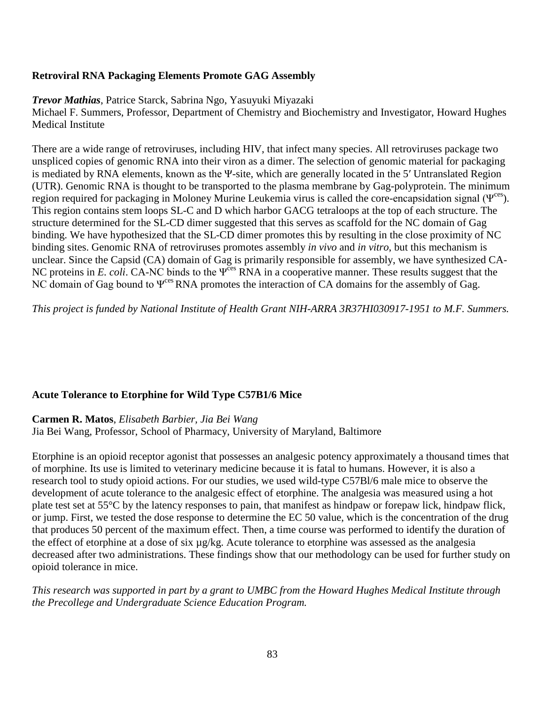# **Retroviral RNA Packaging Elements Promote GAG Assembly**

*Trevor Mathias*, Patrice Starck, Sabrina Ngo, Yasuyuki Miyazaki

Michael F. Summers, Professor, Department of Chemistry and Biochemistry and Investigator, Howard Hughes Medical Institute

There are a wide range of retroviruses, including HIV, that infect many species. All retroviruses package two unspliced copies of genomic RNA into their viron as a dimer. The selection of genomic material for packaging is mediated by RNA elements, known as the Ψ-site, which are generally located in the 5′ Untranslated Region (UTR). Genomic RNA is thought to be transported to the plasma membrane by Gag-polyprotein. The minimum region required for packaging in Moloney Murine Leukemia virus is called the core-encapsidation signal (Ψ<sup>ces</sup>). This region contains stem loops SL-C and D which harbor GACG tetraloops at the top of each structure. The structure determined for the SL-CD dimer suggested that this serves as scaffold for the NC domain of Gag binding. We have hypothesized that the SL-CD dimer promotes this by resulting in the close proximity of NC binding sites. Genomic RNA of retroviruses promotes assembly *in vivo* and *in vitro*, but this mechanism is unclear. Since the Capsid (CA) domain of Gag is primarily responsible for assembly, we have synthesized CA-NC proteins in *E. coli.* CA-NC binds to the Ψ<sup>ces</sup> RNA in a cooperative manner. These results suggest that the NC domain of Gag bound to  $\Psi^{\text{ces}}$  RNA promotes the interaction of CA domains for the assembly of Gag.

*This project is funded by National Institute of Health Grant NIH-ARRA 3R37HI030917-1951 to M.F. Summers.*

# **Acute Tolerance to Etorphine for Wild Type C57B1/6 Mice**

**Carmen R. Matos**, *Elisabeth Barbier, Jia Bei Wang*

Jia Bei Wang, Professor, School of Pharmacy, University of Maryland, Baltimore

Etorphine is an opioid receptor agonist that possesses an analgesic potency approximately a thousand times that of morphine. Its use is limited to veterinary medicine because it is fatal to humans. However, it is also a research tool to study opioid actions. For our studies, we used wild-type C57Bl/6 male mice to observe the development of acute tolerance to the analgesic effect of etorphine. The analgesia was measured using a hot plate test set at 55°C by the latency responses to pain, that manifest as hindpaw or forepaw lick, hindpaw flick, or jump. First, we tested the dose response to determine the EC 50 value, which is the concentration of the drug that produces 50 percent of the maximum effect. Then, a time course was performed to identify the duration of the effect of etorphine at a dose of six µg/kg. Acute tolerance to etorphine was assessed as the analgesia decreased after two administrations. These findings show that our methodology can be used for further study on opioid tolerance in mice.

*This research was supported in part by a grant to UMBC from the Howard Hughes Medical Institute through the Precollege and Undergraduate Science Education Program.*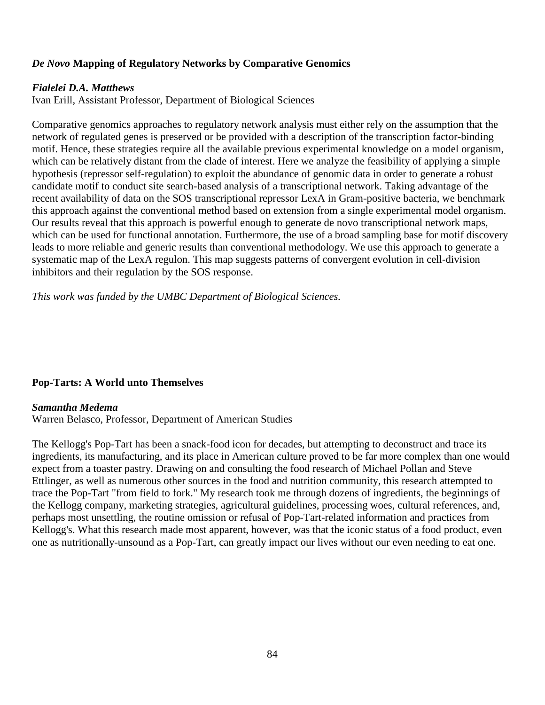# *De Novo* **Mapping of Regulatory Networks by Comparative Genomics**

#### *Fialelei D.A. Matthews*

Ivan Erill, Assistant Professor, Department of Biological Sciences

Comparative genomics approaches to regulatory network analysis must either rely on the assumption that the network of regulated genes is preserved or be provided with a description of the transcription factor-binding motif. Hence, these strategies require all the available previous experimental knowledge on a model organism, which can be relatively distant from the clade of interest. Here we analyze the feasibility of applying a simple hypothesis (repressor self-regulation) to exploit the abundance of genomic data in order to generate a robust candidate motif to conduct site search-based analysis of a transcriptional network. Taking advantage of the recent availability of data on the SOS transcriptional repressor LexA in Gram-positive bacteria, we benchmark this approach against the conventional method based on extension from a single experimental model organism. Our results reveal that this approach is powerful enough to generate de novo transcriptional network maps, which can be used for functional annotation. Furthermore, the use of a broad sampling base for motif discovery leads to more reliable and generic results than conventional methodology. We use this approach to generate a systematic map of the LexA regulon. This map suggests patterns of convergent evolution in cell-division inhibitors and their regulation by the SOS response.

*This work was funded by the UMBC Department of Biological Sciences.*

#### **Pop-Tarts: A World unto Themselves**

#### *Samantha Medema*

Warren Belasco, Professor, Department of American Studies

The Kellogg's Pop-Tart has been a snack-food icon for decades, but attempting to deconstruct and trace its ingredients, its manufacturing, and its place in American culture proved to be far more complex than one would expect from a toaster pastry. Drawing on and consulting the food research of Michael Pollan and Steve Ettlinger, as well as numerous other sources in the food and nutrition community, this research attempted to trace the Pop-Tart "from field to fork." My research took me through dozens of ingredients, the beginnings of the Kellogg company, marketing strategies, agricultural guidelines, processing woes, cultural references, and, perhaps most unsettling, the routine omission or refusal of Pop-Tart-related information and practices from Kellogg's. What this research made most apparent, however, was that the iconic status of a food product, even one as nutritionally-unsound as a Pop-Tart, can greatly impact our lives without our even needing to eat one.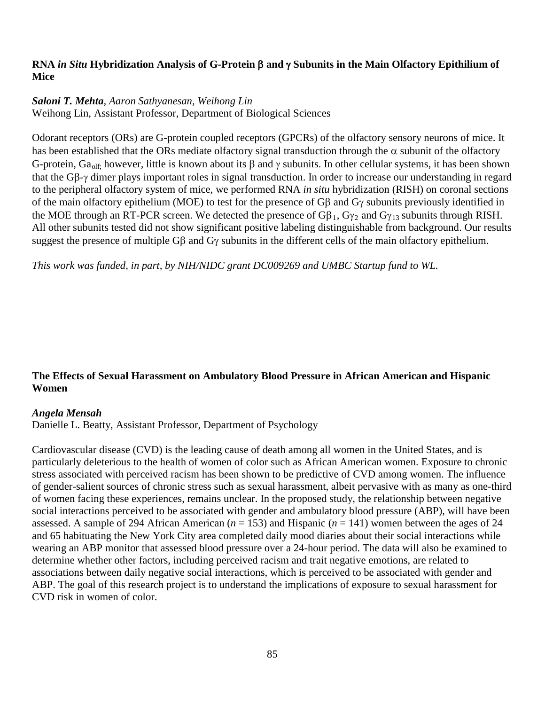# **RNA** *in Situ* **Hybridization Analysis of G-Protein** β **and** γ **Subunits in the Main Olfactory Epithilium of Mice**

# *Saloni T. Mehta, Aaron Sathyanesan, Weihong Lin*

Weihong Lin, Assistant Professor, Department of Biological Sciences

Odorant receptors (ORs) are G-protein coupled receptors (GPCRs) of the olfactory sensory neurons of mice. It has been established that the ORs mediate olfactory signal transduction through the  $\alpha$  subunit of the olfactory G-protein,  $Ga_{\text{olf}}$  however, little is known about its  $\beta$  and  $\gamma$  subunits. In other cellular systems, it has been shown that the Gβ-γ dimer plays important roles in signal transduction. In order to increase our understanding in regard to the peripheral olfactory system of mice, we performed RNA *in situ* hybridization (RISH) on coronal sections of the main olfactory epithelium (MOE) to test for the presence of Gβ and Gγ subunits previously identified in the MOE through an RT-PCR screen. We detected the presence of  $G\beta_1$ ,  $G\gamma_2$  and  $G\gamma_{13}$  subunits through RISH. All other subunits tested did not show significant positive labeling distinguishable from background. Our results suggest the presence of multiple Gβ and Gγ subunits in the different cells of the main olfactory epithelium.

*This work was funded, in part, by NIH/NIDC grant DC009269 and UMBC Startup fund to WL.*

# **The Effects of Sexual Harassment on Ambulatory Blood Pressure in African American and Hispanic Women**

#### *Angela Mensah*

Danielle L. Beatty, Assistant Professor, Department of Psychology

Cardiovascular disease (CVD) is the leading cause of death among all women in the United States, and is particularly deleterious to the health of women of color such as African American women. Exposure to chronic stress associated with perceived racism has been shown to be predictive of CVD among women. The influence of gender-salient sources of chronic stress such as sexual harassment, albeit pervasive with as many as one-third of women facing these experiences, remains unclear. In the proposed study, the relationship between negative social interactions perceived to be associated with gender and ambulatory blood pressure (ABP), will have been assessed. A sample of 294 African American ( $n = 153$ ) and Hispanic ( $n = 141$ ) women between the ages of 24 and 65 habituating the New York City area completed daily mood diaries about their social interactions while wearing an ABP monitor that assessed blood pressure over a 24-hour period. The data will also be examined to determine whether other factors, including perceived racism and trait negative emotions, are related to associations between daily negative social interactions, which is perceived to be associated with gender and ABP. The goal of this research project is to understand the implications of exposure to sexual harassment for CVD risk in women of color.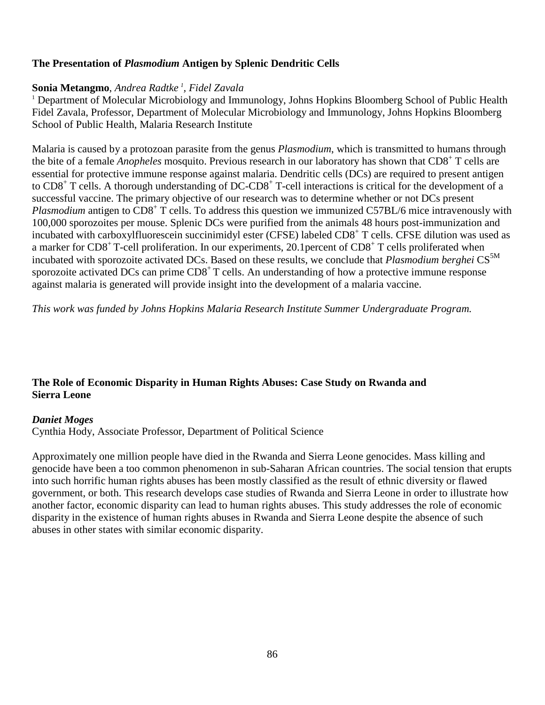# **The Presentation of** *Plasmodium* **Antigen by Splenic Dendritic Cells**

### **Sonia Metangmo**, *Andrea Radtke <sup>1</sup> , Fidel Zavala*

<sup>1</sup> Department of Molecular Microbiology and Immunology, Johns Hopkins Bloomberg School of Public Health Fidel Zavala, Professor, Department of Molecular Microbiology and Immunology, Johns Hopkins Bloomberg School of Public Health, Malaria Research Institute

Malaria is caused by a protozoan parasite from the genus *Plasmodium*, which is transmitted to humans through the bite of a female *Anopheles* mosquito. Previous research in our laboratory has shown that CD8+ T cells are essential for protective immune response against malaria. Dendritic cells (DCs) are required to present antigen to CD8<sup>+</sup> T cells. A thorough understanding of DC-CD8<sup>+</sup> T-cell interactions is critical for the development of a successful vaccine. The primary objective of our research was to determine whether or not DCs present *Plasmodium* antigen to CD8<sup>+</sup> T cells. To address this question we immunized C57BL/6 mice intravenously with 100,000 sporozoites per mouse. Splenic DCs were purified from the animals 48 hours post-immunization and incubated with carboxylfluorescein succinimidyl ester (CFSE) labeled CD8<sup>+</sup> T cells. CFSE dilution was used as a marker for CD8<sup>+</sup> T-cell proliferation. In our experiments, 20.1 percent of CD8<sup>+</sup> T cells proliferated when incubated with sporozoite activated DCs. Based on these results, we conclude that *Plasmodium berghei* CS<sup>5M</sup> sporozoite activated DCs can prime CD8<sup>+</sup> T cells. An understanding of how a protective immune response against malaria is generated will provide insight into the development of a malaria vaccine.

*This work was funded by Johns Hopkins Malaria Research Institute Summer Undergraduate Program.*

# **The Role of Economic Disparity in Human Rights Abuses: Case Study on Rwanda and Sierra Leone**

#### *Daniet Moges*

Cynthia Hody, Associate Professor, Department of Political Science

Approximately one million people have died in the Rwanda and Sierra Leone genocides. Mass killing and genocide have been a too common phenomenon in sub-Saharan African countries. The social tension that erupts into such horrific human rights abuses has been mostly classified as the result of ethnic diversity or flawed government, or both. This research develops case studies of Rwanda and Sierra Leone in order to illustrate how another factor, economic disparity can lead to human rights abuses. This study addresses the role of economic disparity in the existence of human rights abuses in Rwanda and Sierra Leone despite the absence of such abuses in other states with similar economic disparity.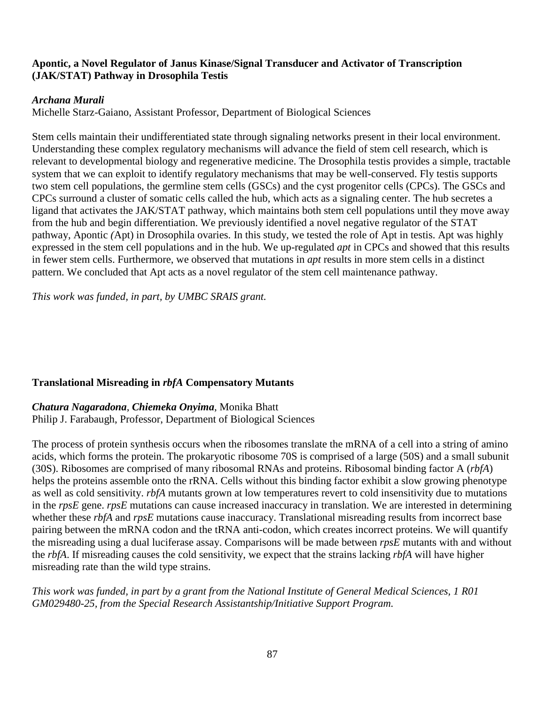### **Apontic, a Novel Regulator of Janus Kinase/Signal Transducer and Activator of Transcription (JAK/STAT) Pathway in Drosophila Testis**

# *Archana Murali*

Michelle Starz-Gaiano, Assistant Professor, Department of Biological Sciences

Stem cells maintain their undifferentiated state through signaling networks present in their local environment. Understanding these complex regulatory mechanisms will advance the field of stem cell research, which is relevant to developmental biology and regenerative medicine. The Drosophila testis provides a simple, tractable system that we can exploit to identify regulatory mechanisms that may be well-conserved. Fly testis supports two stem cell populations, the germline stem cells (GSCs) and the cyst progenitor cells (CPCs). The GSCs and CPCs surround a cluster of somatic cells called the hub, which acts as a signaling center. The hub secretes a ligand that activates the JAK/STAT pathway, which maintains both stem cell populations until they move away from the hub and begin differentiation. We previously identified a novel negative regulator of the STAT pathway, Apontic *(*Apt) in Drosophila ovaries. In this study, we tested the role of Apt in testis. Apt was highly expressed in the stem cell populations and in the hub. We up-regulated *apt* in CPCs and showed that this results in fewer stem cells. Furthermore, we observed that mutations in *apt* results in more stem cells in a distinct pattern. We concluded that Apt acts as a novel regulator of the stem cell maintenance pathway.

*This work was funded, in part, by UMBC SRAIS grant.*

# **Translational Misreading in** *rbfA* **Compensatory Mutants**

*Chatura Nagaradona*, *Chiemeka Onyima*, Monika Bhatt Philip J. Farabaugh, Professor, Department of Biological Sciences

The process of protein synthesis occurs when the ribosomes translate the mRNA of a cell into a string of amino acids, which forms the protein. The prokaryotic ribosome 70S is comprised of a large (50S) and a small subunit (30S). Ribosomes are comprised of many ribosomal RNAs and proteins. Ribosomal binding factor A (*rbfA*) helps the proteins assemble onto the rRNA. Cells without this binding factor exhibit a slow growing phenotype as well as cold sensitivity. *rbfA* mutants grown at low temperatures revert to cold insensitivity due to mutations in the *rpsE* gene. *rpsE* mutations can cause increased inaccuracy in translation. We are interested in determining whether these *rbfA* and *rpsE* mutations cause inaccuracy. Translational misreading results from incorrect base pairing between the mRNA codon and the tRNA anti-codon, which creates incorrect proteins. We will quantify the misreading using a dual luciferase assay. Comparisons will be made between *rpsE* mutants with and without the *rbfA*. If misreading causes the cold sensitivity, we expect that the strains lacking *rbfA* will have higher misreading rate than the wild type strains.

*This work was funded, in part by a grant from the National Institute of General Medical Sciences, 1 R01 GM029480-25, from the Special Research Assistantship/Initiative Support Program.*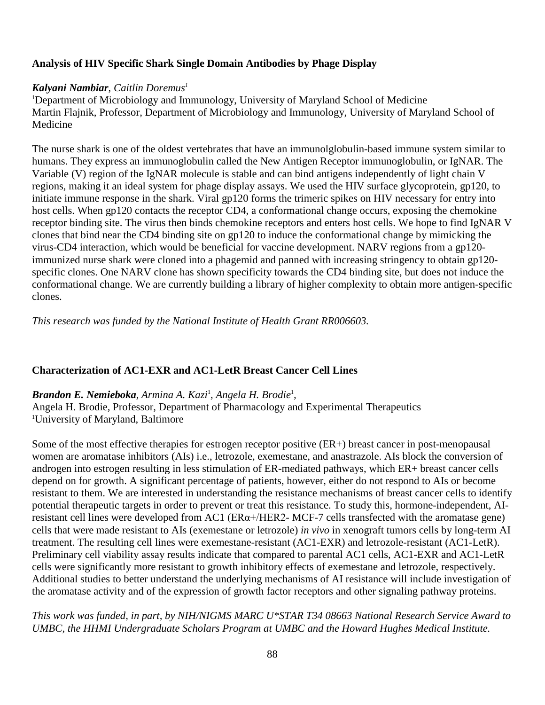### **Analysis of HIV Specific Shark Single Domain Antibodies by Phage Display**

#### *Kalyani Nambiar*, *Caitlin Doremus1*

<sup>1</sup>Department of Microbiology and Immunology, University of Maryland School of Medicine Martin Flajnik, Professor, Department of Microbiology and Immunology, University of Maryland School of Medicine

The nurse shark is one of the oldest vertebrates that have an immunolglobulin-based immune system similar to humans. They express an immunoglobulin called the New Antigen Receptor immunoglobulin, or IgNAR. The Variable (V) region of the IgNAR molecule is stable and can bind antigens independently of light chain V regions, making it an ideal system for phage display assays. We used the HIV surface glycoprotein, gp120, to initiate immune response in the shark. Viral gp120 forms the trimeric spikes on HIV necessary for entry into host cells. When gp120 contacts the receptor CD4, a conformational change occurs, exposing the chemokine receptor binding site. The virus then binds chemokine receptors and enters host cells. We hope to find IgNAR V clones that bind near the CD4 binding site on gp120 to induce the conformational change by mimicking the virus-CD4 interaction, which would be beneficial for vaccine development. NARV regions from a gp120 immunized nurse shark were cloned into a phagemid and panned with increasing stringency to obtain gp120 specific clones. One NARV clone has shown specificity towards the CD4 binding site, but does not induce the conformational change. We are currently building a library of higher complexity to obtain more antigen-specific clones.

*This research was funded by the National Institute of Health Grant RR006603.*

#### **Characterization of AC1-EXR and AC1-LetR Breast Cancer Cell Lines**

### *Brandon E. Nemieboka, Armina A. Kazi*<sup>1</sup> *, Angela H. Brodie*<sup>1</sup> *,*

Angela H. Brodie, Professor, Department of Pharmacology and Experimental Therapeutics 1 University of Maryland, Baltimore

Some of the most effective therapies for estrogen receptor positive (ER+) breast cancer in post-menopausal women are aromatase inhibitors (AIs) i.e., letrozole, exemestane, and anastrazole. AIs block the conversion of androgen into estrogen resulting in less stimulation of ER-mediated pathways, which ER+ breast cancer cells depend on for growth. A significant percentage of patients, however, either do not respond to AIs or become resistant to them. We are interested in understanding the resistance mechanisms of breast cancer cells to identify potential therapeutic targets in order to prevent or treat this resistance. To study this, hormone-independent, AIresistant cell lines were developed from AC1 ( $ER\alpha$ +/HER2- MCF-7 cells transfected with the aromatase gene) cells that were made resistant to AIs (exemestane or letrozole) *in vivo* in xenograft tumors cells by long-term AI treatment. The resulting cell lines were exemestane-resistant (AC1-EXR) and letrozole-resistant (AC1-LetR). Preliminary cell viability assay results indicate that compared to parental AC1 cells, AC1-EXR and AC1-LetR cells were significantly more resistant to growth inhibitory effects of exemestane and letrozole, respectively. Additional studies to better understand the underlying mechanisms of AI resistance will include investigation of the aromatase activity and of the expression of growth factor receptors and other signaling pathway proteins.

*This work was funded, in part, by NIH/NIGMS MARC U\*STAR T34 08663 National Research Service Award to UMBC, the HHMI Undergraduate Scholars Program at UMBC and the Howard Hughes Medical Institute.*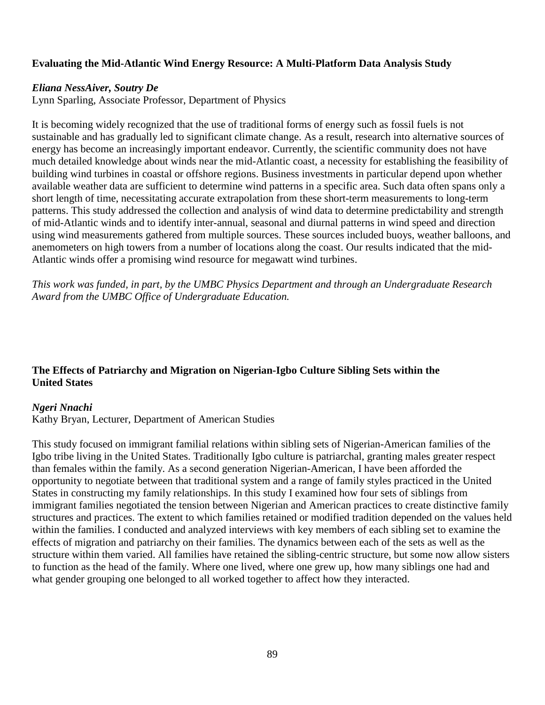### **Evaluating the Mid-Atlantic Wind Energy Resource: A Multi-Platform Data Analysis Study**

#### *Eliana NessAiver, Soutry De*

Lynn Sparling, Associate Professor, Department of Physics

It is becoming widely recognized that the use of traditional forms of energy such as fossil fuels is not sustainable and has gradually led to significant climate change. As a result, research into alternative sources of energy has become an increasingly important endeavor. Currently, the scientific community does not have much detailed knowledge about winds near the mid-Atlantic coast, a necessity for establishing the feasibility of building wind turbines in coastal or offshore regions. Business investments in particular depend upon whether available weather data are sufficient to determine wind patterns in a specific area. Such data often spans only a short length of time, necessitating accurate extrapolation from these short-term measurements to long-term patterns. This study addressed the collection and analysis of wind data to determine predictability and strength of mid-Atlantic winds and to identify inter-annual, seasonal and diurnal patterns in wind speed and direction using wind measurements gathered from multiple sources. These sources included buoys, weather balloons, and anemometers on high towers from a number of locations along the coast. Our results indicated that the mid-Atlantic winds offer a promising wind resource for megawatt wind turbines.

*This work was funded, in part, by the UMBC Physics Department and through an Undergraduate Research Award from the UMBC Office of Undergraduate Education.*

# **The Effects of Patriarchy and Migration on Nigerian-Igbo Culture Sibling Sets within the United States**

#### *Ngeri Nnachi*

Kathy Bryan, Lecturer, Department of American Studies

This study focused on immigrant familial relations within sibling sets of Nigerian-American families of the Igbo tribe living in the United States. Traditionally Igbo culture is patriarchal, granting males greater respect than females within the family. As a second generation Nigerian-American, I have been afforded the opportunity to negotiate between that traditional system and a range of family styles practiced in the United States in constructing my family relationships. In this study I examined how four sets of siblings from immigrant families negotiated the tension between Nigerian and American practices to create distinctive family structures and practices. The extent to which families retained or modified tradition depended on the values held within the families. I conducted and analyzed interviews with key members of each sibling set to examine the effects of migration and patriarchy on their families. The dynamics between each of the sets as well as the structure within them varied. All families have retained the sibling-centric structure, but some now allow sisters to function as the head of the family. Where one lived, where one grew up, how many siblings one had and what gender grouping one belonged to all worked together to affect how they interacted.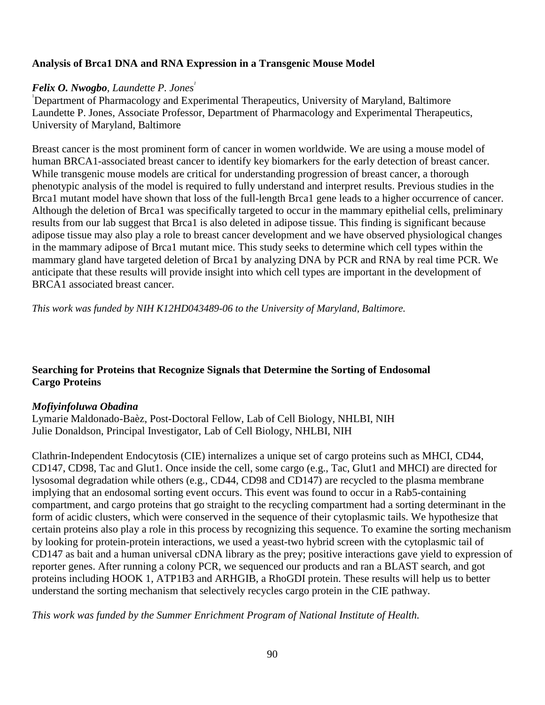# **Analysis of Brca1 DNA and RNA Expression in a Transgenic Mouse Model**

### *Felix O. Nwogbo, Laundette P. Jones<sup>1</sup>*

1 Department of Pharmacology and Experimental Therapeutics, University of Maryland, Baltimore Laundette P. Jones, Associate Professor, Department of Pharmacology and Experimental Therapeutics, University of Maryland, Baltimore

Breast cancer is the most prominent form of cancer in women worldwide. We are using a mouse model of human BRCA1-associated breast cancer to identify key biomarkers for the early detection of breast cancer. While transgenic mouse models are critical for understanding progression of breast cancer, a thorough phenotypic analysis of the model is required to fully understand and interpret results. Previous studies in the Brca1 mutant model have shown that loss of the full-length Brca1 gene leads to a higher occurrence of cancer. Although the deletion of Brca1 was specifically targeted to occur in the mammary epithelial cells, preliminary results from our lab suggest that Brca1 is also deleted in adipose tissue. This finding is significant because adipose tissue may also play a role to breast cancer development and we have observed physiological changes in the mammary adipose of Brca1 mutant mice. This study seeks to determine which cell types within the mammary gland have targeted deletion of Brca1 by analyzing DNA by PCR and RNA by real time PCR. We anticipate that these results will provide insight into which cell types are important in the development of BRCA1 associated breast cancer.

*This work was funded by NIH K12HD043489-06 to the University of Maryland, Baltimore.*

# **Searching for Proteins that Recognize Signals that Determine the Sorting of Endosomal Cargo Proteins**

#### *Mofiyinfoluwa Obadina*

Lymarie Maldonado-Baèz, Post-Doctoral Fellow, Lab of Cell Biology, NHLBI, NIH Julie Donaldson, Principal Investigator, Lab of Cell Biology, NHLBI, NIH

Clathrin-Independent Endocytosis (CIE) internalizes a unique set of cargo proteins such as MHCI, CD44, CD147, CD98, Tac and Glut1. Once inside the cell, some cargo (e.g., Tac, Glut1 and MHCI) are directed for lysosomal degradation while others (e.g., CD44, CD98 and CD147) are recycled to the plasma membrane implying that an endosomal sorting event occurs. This event was found to occur in a Rab5-containing compartment, and cargo proteins that go straight to the recycling compartment had a sorting determinant in the form of acidic clusters, which were conserved in the sequence of their cytoplasmic tails. We hypothesize that certain proteins also play a role in this process by recognizing this sequence. To examine the sorting mechanism by looking for protein-protein interactions, we used a yeast-two hybrid screen with the cytoplasmic tail of CD147 as bait and a human universal cDNA library as the prey; positive interactions gave yield to expression of reporter genes. After running a colony PCR, we sequenced our products and ran a BLAST search, and got proteins including HOOK 1, ATP1B3 and ARHGIB, a RhoGDI protein. These results will help us to better understand the sorting mechanism that selectively recycles cargo protein in the CIE pathway.

*This work was funded by the Summer Enrichment Program of National Institute of Health.*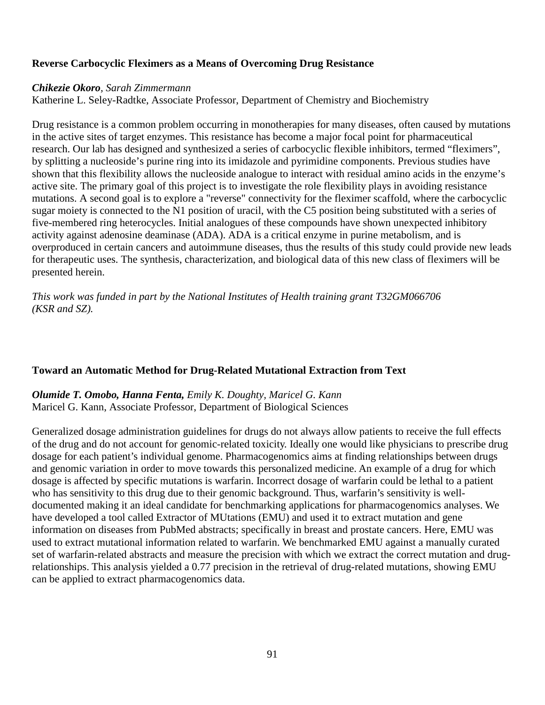### **Reverse Carbocyclic Fleximers as a Means of Overcoming Drug Resistance**

#### *Chikezie Okoro, Sarah Zimmermann*

Katherine L. Seley-Radtke, Associate Professor, Department of Chemistry and Biochemistry

Drug resistance is a common problem occurring in monotherapies for many diseases, often caused by mutations in the active sites of target enzymes. This resistance has become a major focal point for pharmaceutical research. Our lab has designed and synthesized a series of carbocyclic flexible inhibitors, termed "fleximers", by splitting a nucleoside's purine ring into its imidazole and pyrimidine components. Previous studies have shown that this flexibility allows the nucleoside analogue to interact with residual amino acids in the enzyme's active site. The primary goal of this project is to investigate the role flexibility plays in avoiding resistance mutations. A second goal is to explore a "reverse" connectivity for the fleximer scaffold, where the carbocyclic sugar moiety is connected to the N1 position of uracil, with the C5 position being substituted with a series of five-membered ring heterocycles. Initial analogues of these compounds have shown unexpected inhibitory activity against adenosine deaminase (ADA). ADA is a critical enzyme in purine metabolism, and is overproduced in certain cancers and autoimmune diseases, thus the results of this study could provide new leads for therapeutic uses. The synthesis, characterization, and biological data of this new class of fleximers will be presented herein.

*This work was funded in part by the National Institutes of Health training grant T32GM066706 (KSR and SZ).*

#### **Toward an Automatic Method for Drug-Related Mutational Extraction from Text**

*Olumide T. Omobo, Hanna Fenta, Emily K. Doughty, Maricel G. Kann* Maricel G. Kann, Associate Professor, Department of Biological Sciences

Generalized dosage administration guidelines for drugs do not always allow patients to receive the full effects of the drug and do not account for genomic-related toxicity. Ideally one would like physicians to prescribe drug dosage for each patient's individual genome. Pharmacogenomics aims at finding relationships between drugs and genomic variation in order to move towards this personalized medicine. An example of a drug for which dosage is affected by specific mutations is warfarin. Incorrect dosage of warfarin could be lethal to a patient who has sensitivity to this drug due to their genomic background. Thus, warfarin's sensitivity is welldocumented making it an ideal candidate for benchmarking applications for pharmacogenomics analyses. We have developed a tool called Extractor of MUtations (EMU) and used it to extract mutation and gene information on diseases from PubMed abstracts; specifically in breast and prostate cancers. Here, EMU was used to extract mutational information related to warfarin. We benchmarked EMU against a manually curated set of warfarin-related abstracts and measure the precision with which we extract the correct mutation and drugrelationships. This analysis yielded a 0.77 precision in the retrieval of drug-related mutations, showing EMU can be applied to extract pharmacogenomics data.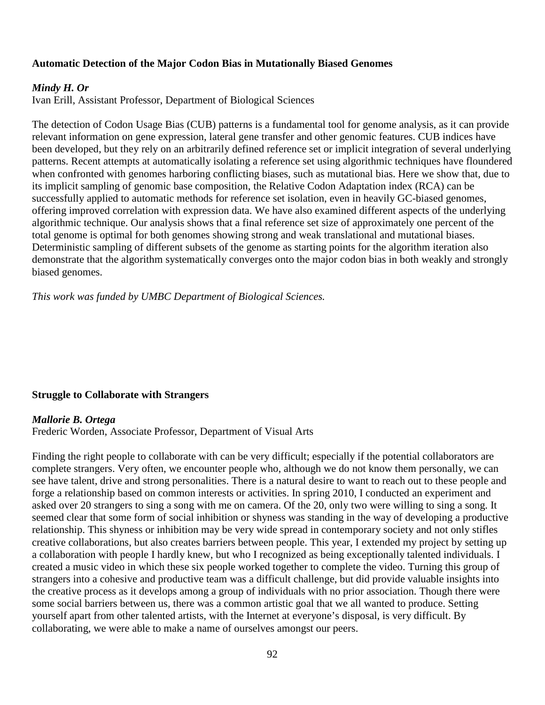### **Automatic Detection of the Major Codon Bias in Mutationally Biased Genomes**

#### *Mindy H. Or*

Ivan Erill, Assistant Professor, Department of Biological Sciences

The detection of Codon Usage Bias (CUB) patterns is a fundamental tool for genome analysis, as it can provide relevant information on gene expression, lateral gene transfer and other genomic features. CUB indices have been developed, but they rely on an arbitrarily defined reference set or implicit integration of several underlying patterns. Recent attempts at automatically isolating a reference set using algorithmic techniques have floundered when confronted with genomes harboring conflicting biases, such as mutational bias. Here we show that, due to its implicit sampling of genomic base composition, the Relative Codon Adaptation index (RCA) can be successfully applied to automatic methods for reference set isolation, even in heavily GC-biased genomes, offering improved correlation with expression data. We have also examined different aspects of the underlying algorithmic technique. Our analysis shows that a final reference set size of approximately one percent of the total genome is optimal for both genomes showing strong and weak translational and mutational biases. Deterministic sampling of different subsets of the genome as starting points for the algorithm iteration also demonstrate that the algorithm systematically converges onto the major codon bias in both weakly and strongly biased genomes.

*This work was funded by UMBC Department of Biological Sciences.*

#### **Struggle to Collaborate with Strangers**

#### *Mallorie B. Ortega*

Frederic Worden, Associate Professor, Department of Visual Arts

Finding the right people to collaborate with can be very difficult; especially if the potential collaborators are complete strangers. Very often, we encounter people who, although we do not know them personally, we can see have talent, drive and strong personalities. There is a natural desire to want to reach out to these people and forge a relationship based on common interests or activities. In spring 2010, I conducted an experiment and asked over 20 strangers to sing a song with me on camera. Of the 20, only two were willing to sing a song. It seemed clear that some form of social inhibition or shyness was standing in the way of developing a productive relationship. This shyness or inhibition may be very wide spread in contemporary society and not only stifles creative collaborations, but also creates barriers between people. This year, I extended my project by setting up a collaboration with people I hardly knew, but who I recognized as being exceptionally talented individuals. I created a music video in which these six people worked together to complete the video. Turning this group of strangers into a cohesive and productive team was a difficult challenge, but did provide valuable insights into the creative process as it develops among a group of individuals with no prior association. Though there were some social barriers between us, there was a common artistic goal that we all wanted to produce. Setting yourself apart from other talented artists, with the Internet at everyone's disposal, is very difficult. By collaborating, we were able to make a name of ourselves amongst our peers.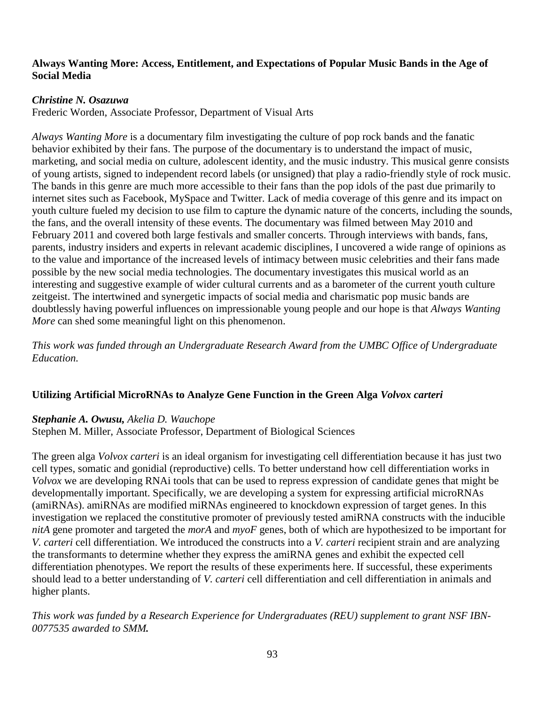### **Always Wanting More: Access, Entitlement, and Expectations of Popular Music Bands in the Age of Social Media**

### *Christine N. Osazuwa*

Frederic Worden, Associate Professor, Department of Visual Arts

*Always Wanting More* is a documentary film investigating the culture of pop rock bands and the fanatic behavior exhibited by their fans. The purpose of the documentary is to understand the impact of music, marketing, and social media on culture, adolescent identity, and the music industry. This musical genre consists of young artists, signed to independent record labels (or unsigned) that play a radio-friendly style of rock music. The bands in this genre are much more accessible to their fans than the pop idols of the past due primarily to internet sites such as Facebook, MySpace and Twitter. Lack of media coverage of this genre and its impact on youth culture fueled my decision to use film to capture the dynamic nature of the concerts, including the sounds, the fans, and the overall intensity of these events. The documentary was filmed between May 2010 and February 2011 and covered both large festivals and smaller concerts. Through interviews with bands, fans, parents, industry insiders and experts in relevant academic disciplines, I uncovered a wide range of opinions as to the value and importance of the increased levels of intimacy between music celebrities and their fans made possible by the new social media technologies. The documentary investigates this musical world as an interesting and suggestive example of wider cultural currents and as a barometer of the current youth culture zeitgeist. The intertwined and synergetic impacts of social media and charismatic pop music bands are doubtlessly having powerful influences on impressionable young people and our hope is that *Always Wanting More* can shed some meaningful light on this phenomenon.

*This work was funded through an Undergraduate Research Award from the UMBC Office of Undergraduate Education.*

# **Utilizing Artificial MicroRNAs to Analyze Gene Function in the Green Alga** *Volvox carteri*

#### *Stephanie A. Owusu, Akelia D. Wauchope*

Stephen M. Miller, Associate Professor, Department of Biological Sciences

The green alga *Volvox carteri* is an ideal organism for investigating cell differentiation because it has just two cell types, somatic and gonidial (reproductive) cells. To better understand how cell differentiation works in *Volvox* we are developing RNAi tools that can be used to repress expression of candidate genes that might be developmentally important. Specifically, we are developing a system for expressing artificial microRNAs (amiRNAs). amiRNAs are modified miRNAs engineered to knockdown expression of target genes. In this investigation we replaced the constitutive promoter of previously tested amiRNA constructs with the inducible *nitA* gene promoter and targeted the *morA* and *myoF* genes, both of which are hypothesized to be important for *V. carteri* cell differentiation. We introduced the constructs into a *V. carteri* recipient strain and are analyzing the transformants to determine whether they express the amiRNA genes and exhibit the expected cell differentiation phenotypes. We report the results of these experiments here. If successful, these experiments should lead to a better understanding of *V. carteri* cell differentiation and cell differentiation in animals and higher plants.

*This work was funded by a Research Experience for Undergraduates (REU) supplement to grant NSF IBN-0077535 awarded to SMM.*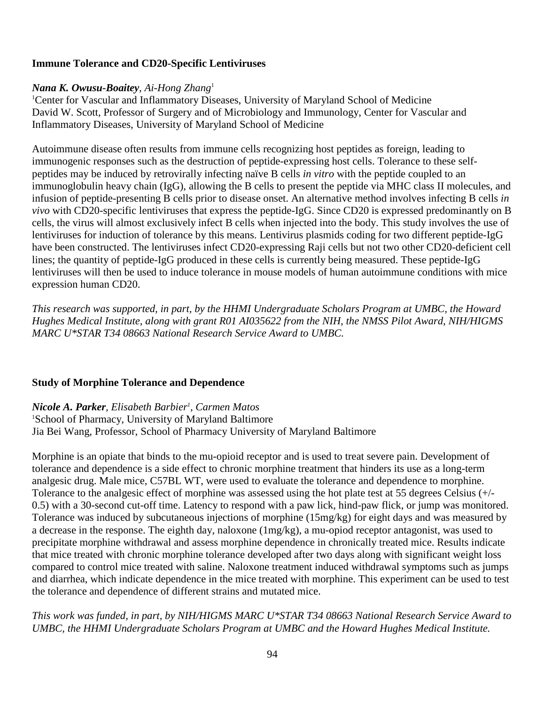# **Immune Tolerance and CD20-Specific Lentiviruses**

### *Nana K. Owusu-Boaitey, Ai-Hong Zhang*<sup>1</sup>

1 Center for Vascular and Inflammatory Diseases, University of Maryland School of Medicine David W. Scott, Professor of Surgery and of Microbiology and Immunology, Center for Vascular and Inflammatory Diseases, University of Maryland School of Medicine

Autoimmune disease often results from immune cells recognizing host peptides as foreign, leading to immunogenic responses such as the destruction of peptide-expressing host cells. Tolerance to these selfpeptides may be induced by retrovirally infecting naïve B cells *in vitro* with the peptide coupled to an immunoglobulin heavy chain (IgG), allowing the B cells to present the peptide via MHC class II molecules, and infusion of peptide-presenting B cells prior to disease onset. An alternative method involves infecting B cells *in vivo* with CD20-specific lentiviruses that express the peptide-IgG. Since CD20 is expressed predominantly on B cells, the virus will almost exclusively infect B cells when injected into the body. This study involves the use of lentiviruses for induction of tolerance by this means. Lentivirus plasmids coding for two different peptide-IgG have been constructed. The lentiviruses infect CD20-expressing Raji cells but not two other CD20-deficient cell lines; the quantity of peptide-IgG produced in these cells is currently being measured. These peptide-IgG lentiviruses will then be used to induce tolerance in mouse models of human autoimmune conditions with mice expression human CD20.

*This research was supported, in part, by the HHMI Undergraduate Scholars Program at UMBC, the Howard Hughes Medical Institute, along with grant R01 AI035622 from the NIH, the NMSS Pilot Award, NIH/HIGMS MARC U\*STAR T34 08663 National Research Service Award to UMBC.*

# **Study of Morphine Tolerance and Dependence**

# *Nicole A. Parker, Elisabeth Barbier1 , Carmen Matos*

1 School of Pharmacy, University of Maryland Baltimore Jia Bei Wang, Professor, School of Pharmacy University of Maryland Baltimore

Morphine is an opiate that binds to the mu-opioid receptor and is used to treat severe pain. Development of tolerance and dependence is a side effect to chronic morphine treatment that hinders its use as a long-term analgesic drug. Male mice, C57BL WT, were used to evaluate the tolerance and dependence to morphine. Tolerance to the analgesic effect of morphine was assessed using the hot plate test at 55 degrees Celsius (+/- 0.5) with a 30-second cut-off time. Latency to respond with a paw lick, hind-paw flick, or jump was monitored. Tolerance was induced by subcutaneous injections of morphine (15mg/kg) for eight days and was measured by a decrease in the response. The eighth day, naloxone (1mg/kg), a mu-opiod receptor antagonist, was used to precipitate morphine withdrawal and assess morphine dependence in chronically treated mice. Results indicate that mice treated with chronic morphine tolerance developed after two days along with significant weight loss compared to control mice treated with saline. Naloxone treatment induced withdrawal symptoms such as jumps and diarrhea, which indicate dependence in the mice treated with morphine. This experiment can be used to test the tolerance and dependence of different strains and mutated mice.

*This work was funded, in part, by NIH/HIGMS MARC U\*STAR T34 08663 National Research Service Award to UMBC, the HHMI Undergraduate Scholars Program at UMBC and the Howard Hughes Medical Institute.*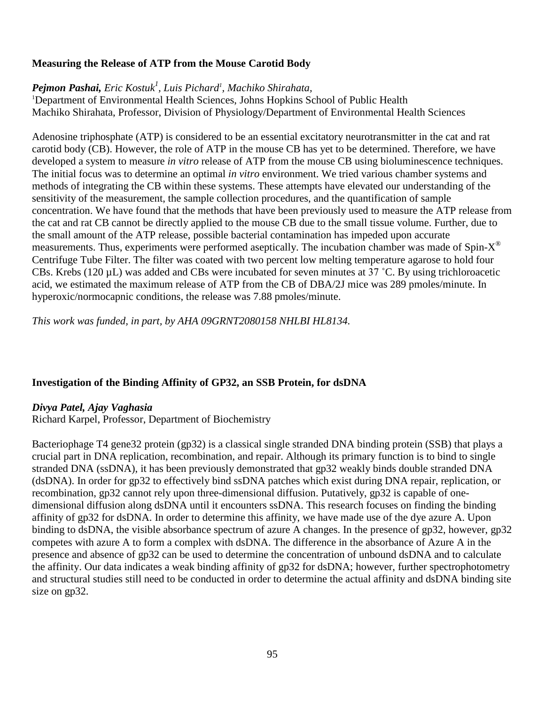# **Measuring the Release of ATP from the Mouse Carotid Body**

# *Pejmon Pashai, Eric Kostuk1 , Luis Pichard1 , Machiko Shirahata,*

<sup>1</sup>Department of Environmental Health Sciences, Johns Hopkins School of Public Health Machiko Shirahata, Professor, Division of Physiology/Department of Environmental Health Sciences

Adenosine triphosphate (ATP) is considered to be an essential excitatory neurotransmitter in the cat and rat carotid body (CB). However, the role of ATP in the mouse CB has yet to be determined. Therefore, we have developed a system to measure *in vitro* release of ATP from the mouse CB using bioluminescence techniques. The initial focus was to determine an optimal *in vitro* environment. We tried various chamber systems and methods of integrating the CB within these systems. These attempts have elevated our understanding of the sensitivity of the measurement, the sample collection procedures, and the quantification of sample concentration. We have found that the methods that have been previously used to measure the ATP release from the cat and rat CB cannot be directly applied to the mouse CB due to the small tissue volume. Further, due to the small amount of the ATP release, possible bacterial contamination has impeded upon accurate measurements. Thus, experiments were performed aseptically. The incubation chamber was made of Spin- $X^{\circledast}$ Centrifuge Tube Filter. The filter was coated with two percent low melting temperature agarose to hold four CBs. Krebs (120  $\mu$ L) was added and CBs were incubated for seven minutes at 37 °C. By using trichloroacetic acid, we estimated the maximum release of ATP from the CB of DBA/2J mice was 289 pmoles/minute. In hyperoxic/normocapnic conditions, the release was 7.88 pmoles/minute.

*This work was funded, in part, by AHA 09GRNT2080158 NHLBI HL8134.*

# **Investigation of the Binding Affinity of GP32, an SSB Protein, for dsDNA**

#### *Divya Patel, Ajay Vaghasia*

Richard Karpel, Professor, Department of Biochemistry

Bacteriophage T4 gene32 protein (gp32) is a classical single stranded DNA binding protein (SSB) that plays a crucial part in DNA replication, recombination, and repair. Although its primary function is to bind to single stranded DNA (ssDNA), it has been previously demonstrated that gp32 weakly binds double stranded DNA (dsDNA). In order for gp32 to effectively bind ssDNA patches which exist during DNA repair, replication, or recombination, gp32 cannot rely upon three-dimensional diffusion. Putatively, gp32 is capable of onedimensional diffusion along dsDNA until it encounters ssDNA. This research focuses on finding the binding affinity of gp32 for dsDNA. In order to determine this affinity, we have made use of the dye azure A. Upon binding to dsDNA, the visible absorbance spectrum of azure A changes. In the presence of gp32, however, gp32 competes with azure A to form a complex with dsDNA. The difference in the absorbance of Azure A in the presence and absence of gp32 can be used to determine the concentration of unbound dsDNA and to calculate the affinity. Our data indicates a weak binding affinity of gp32 for dsDNA; however, further spectrophotometry and structural studies still need to be conducted in order to determine the actual affinity and dsDNA binding site size on gp32.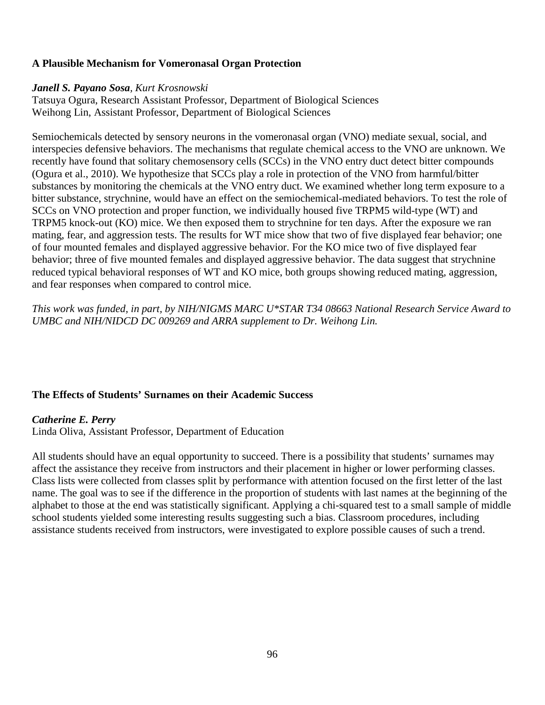# **A Plausible Mechanism for Vomeronasal Organ Protection**

#### *Janell S. Payano Sosa, Kurt Krosnowski*

Tatsuya Ogura, Research Assistant Professor, Department of Biological Sciences Weihong Lin, Assistant Professor, Department of Biological Sciences

Semiochemicals detected by sensory neurons in the vomeronasal organ (VNO) mediate sexual, social, and interspecies defensive behaviors. The mechanisms that regulate chemical access to the VNO are unknown. We recently have found that solitary chemosensory cells (SCCs) in the VNO entry duct detect bitter compounds (Ogura et al., 2010). We hypothesize that SCCs play a role in protection of the VNO from harmful/bitter substances by monitoring the chemicals at the VNO entry duct. We examined whether long term exposure to a bitter substance, strychnine, would have an effect on the semiochemical-mediated behaviors. To test the role of SCCs on VNO protection and proper function, we individually housed five TRPM5 wild-type (WT) and TRPM5 knock-out (KO) mice. We then exposed them to strychnine for ten days. After the exposure we ran mating, fear, and aggression tests. The results for WT mice show that two of five displayed fear behavior; one of four mounted females and displayed aggressive behavior. For the KO mice two of five displayed fear behavior; three of five mounted females and displayed aggressive behavior. The data suggest that strychnine reduced typical behavioral responses of WT and KO mice, both groups showing reduced mating, aggression, and fear responses when compared to control mice.

*This work was funded, in part, by NIH/NIGMS MARC U\*STAR T34 08663 National Research Service Award to UMBC and NIH/NIDCD DC 009269 and ARRA supplement to Dr. Weihong Lin.*

# **The Effects of Students' Surnames on their Academic Success**

#### *Catherine E. Perry*

Linda Oliva, Assistant Professor, Department of Education

All students should have an equal opportunity to succeed. There is a possibility that students' surnames may affect the assistance they receive from instructors and their placement in higher or lower performing classes. Class lists were collected from classes split by performance with attention focused on the first letter of the last name. The goal was to see if the difference in the proportion of students with last names at the beginning of the alphabet to those at the end was statistically significant. Applying a chi-squared test to a small sample of middle school students yielded some interesting results suggesting such a bias. Classroom procedures, including assistance students received from instructors, were investigated to explore possible causes of such a trend.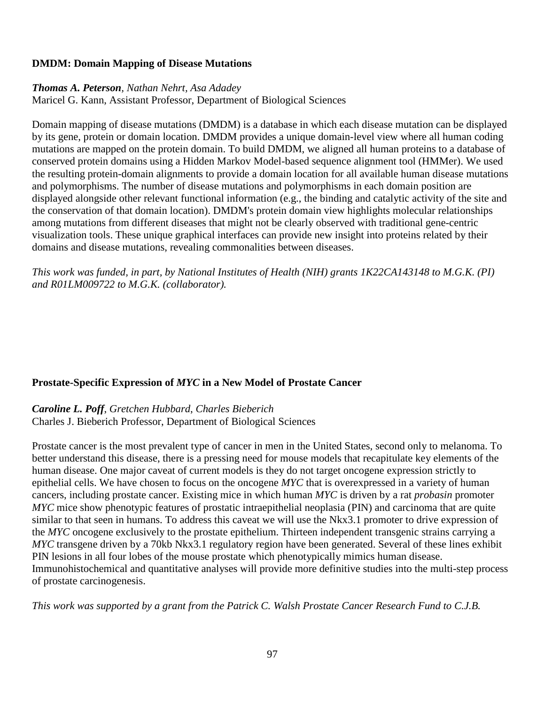# **DMDM: Domain Mapping of Disease Mutations**

#### *[Thomas A. Peterson](http://bioinformatics.oxfordjournals.org/search?author1=Thomas+A.+Peterson&sortspec=date&submit=Submit), Nathan Nehrt, [Asa Adadey](http://bioinformatics.oxfordjournals.org/search?author1=Asa%0A+Adadey&sortspec=date&submit=Submit)*

[Maricel G. Kann,](http://bioinformatics.oxfordjournals.org/search?author1=Maricel+G.+Kann&sortspec=date&submit=Submit) Assistant Professor, Department of Biological Sciences

Domain mapping of disease mutations (DMDM) is a database in which each disease mutation can be displayed by its gene, protein or domain location. DMDM provides a unique domain-level view where all human coding mutations are mapped on the protein domain. To build DMDM, we aligned all human proteins to a database of conserved protein domains using a Hidden Markov Model-based sequence alignment tool (HMMer). We used the resulting protein-domain alignments to provide a domain location for all available human disease mutations and polymorphisms. The number of disease mutations and polymorphisms in each domain position are displayed alongside other relevant functional information (e.g., the binding and catalytic activity of the site and the conservation of that domain location). DMDM's protein domain view highlights molecular relationships among mutations from different diseases that might not be clearly observed with traditional gene-centric visualization tools. These unique graphical interfaces can provide new insight into proteins related by their domains and disease mutations, revealing commonalities between diseases.

*This work was funded, in part, by National Institutes of Health (NIH) grants 1K22CA143148 to M.G.K. (PI) and R01LM009722 to M.G.K. (collaborator).*

# **Prostate-Specific Expression of** *MYC* **in a New Model of Prostate Cancer**

*Caroline L. Poff*, *Gretchen Hubbard*, *Charles Bieberich* Charles J. Bieberich Professor, Department of Biological Sciences

Prostate cancer is the most prevalent type of cancer in men in the United States, second only to melanoma. To better understand this disease, there is a pressing need for mouse models that recapitulate key elements of the human disease. One major caveat of current models is they do not target oncogene expression strictly to epithelial cells. We have chosen to focus on the oncogene *MYC* that is overexpressed in a variety of human cancers, including prostate cancer. Existing mice in which human *MYC* is driven by a rat *probasin* promoter *MYC* mice show phenotypic features of prostatic intraepithelial neoplasia (PIN) and carcinoma that are quite similar to that seen in humans. To address this caveat we will use the Nkx3.1 promoter to drive expression of the *MYC* oncogene exclusively to the prostate epithelium. Thirteen independent transgenic strains carrying a *MYC* transgene driven by a 70kb Nkx3.1 regulatory region have been generated. Several of these lines exhibit PIN lesions in all four lobes of the mouse prostate which phenotypically mimics human disease. Immunohistochemical and quantitative analyses will provide more definitive studies into the multi-step process of prostate carcinogenesis.

*This work was supported by a grant from the Patrick C. Walsh Prostate Cancer Research Fund to C.J.B.*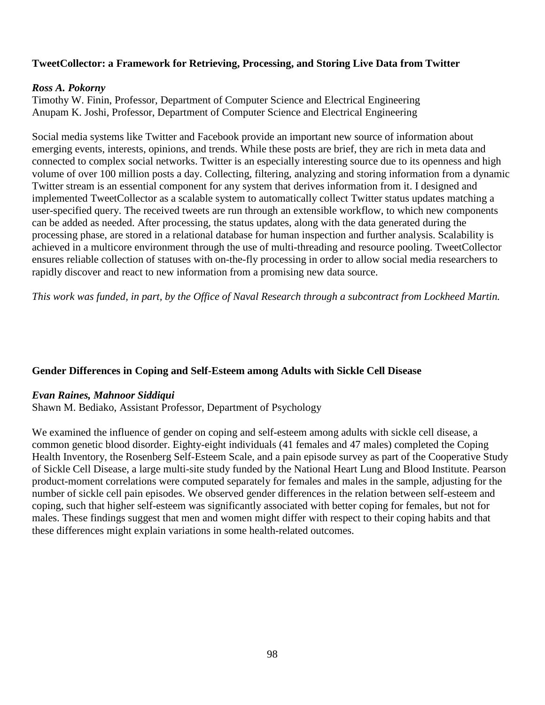### **TweetCollector: a Framework for Retrieving, Processing, and Storing Live Data from Twitter**

#### *Ross A. Pokorny*

Timothy W. Finin, Professor, Department of Computer Science and Electrical Engineering Anupam K. Joshi, Professor, Department of Computer Science and Electrical Engineering

Social media systems like Twitter and Facebook provide an important new source of information about emerging events, interests, opinions, and trends. While these posts are brief, they are rich in meta data and connected to complex social networks. Twitter is an especially interesting source due to its openness and high volume of over 100 million posts a day. Collecting, filtering, analyzing and storing information from a dynamic Twitter stream is an essential component for any system that derives information from it. I designed and implemented TweetCollector as a scalable system to automatically collect Twitter status updates matching a user-specified query. The received tweets are run through an extensible workflow, to which new components can be added as needed. After processing, the status updates, along with the data generated during the processing phase, are stored in a relational database for human inspection and further analysis. Scalability is achieved in a multicore environment through the use of multi-threading and resource pooling. TweetCollector ensures reliable collection of statuses with on-the-fly processing in order to allow social media researchers to rapidly discover and react to new information from a promising new data source.

*This work was funded, in part, by the Office of Naval Research through a subcontract from Lockheed Martin.*

#### **Gender Differences in Coping and Self-Esteem among Adults with Sickle Cell Disease**

#### *Evan Raines, Mahnoor Siddiqui*

Shawn M. Bediako, Assistant Professor, Department of Psychology

We examined the influence of gender on coping and self-esteem among adults with sickle cell disease, a common genetic blood disorder. Eighty-eight individuals (41 females and 47 males) completed the Coping Health Inventory, the Rosenberg Self-Esteem Scale, and a pain episode survey as part of the Cooperative Study of Sickle Cell Disease, a large multi-site study funded by the National Heart Lung and Blood Institute. Pearson product-moment correlations were computed separately for females and males in the sample, adjusting for the number of sickle cell pain episodes. We observed gender differences in the relation between self-esteem and coping, such that higher self-esteem was significantly associated with better coping for females, but not for males. These findings suggest that men and women might differ with respect to their coping habits and that these differences might explain variations in some health-related outcomes.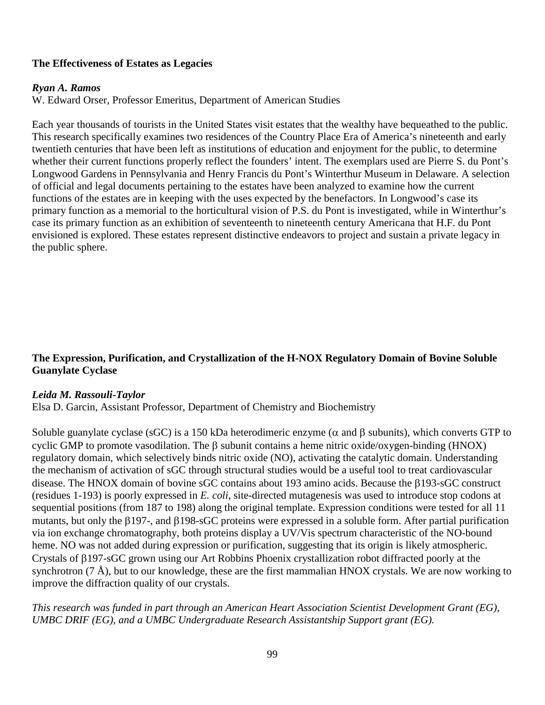# **The Effectiveness of Estates as Legacies**

#### *Ryan A. Ramos*

W. Edward Orser, Professor Emeritus, Department of American Studies

Each year thousands of tourists in the United States visit estates that the wealthy have bequeathed to the public. This research specifically examines two residences of the Country Place Era of America's nineteenth and early twentieth centuries that have been left as institutions of education and enjoyment for the public, to determine whether their current functions properly reflect the founders' intent. The exemplars used are Pierre S. du Pont's Longwood Gardens in Pennsylvania and Henry Francis du Pont's Winterthur Museum in Delaware. A selection of official and legal documents pertaining to the estates have been analyzed to examine how the current functions of the estates are in keeping with the uses expected by the benefactors. In Longwood's case its primary function as a memorial to the horticultural vision of P.S. du Pont is investigated, while in Winterthur's case its primary function as an exhibition of seventeenth to nineteenth century Americana that H.F. du Pont envisioned is explored. These estates represent distinctive endeavors to project and sustain a private legacy in the public sphere.

# **The Expression, Purification, and Crystallization of the H-NOX Regulatory Domain of Bovine Soluble Guanylate Cyclase**

# *Leida M. Rassouli-Taylor*

Elsa D. Garcin, Assistant Professor, Department of Chemistry and Biochemistry

Soluble guanylate cyclase (sGC) is a 150 kDa heterodimeric enzyme ( $\alpha$  and  $\beta$  subunits), which converts GTP to cyclic GMP to promote vasodilation. The β subunit contains a heme nitric oxide/oxygen-binding (HNOX) regulatory domain, which selectively binds nitric oxide (NO), activating the catalytic domain. Understanding the mechanism of activation of sGC through structural studies would be a useful tool to treat cardiovascular disease. The HNOX domain of bovine sGC contains about 193 amino acids. Because the β193-sGC construct (residues 1-193) is poorly expressed in *E. coli*, site-directed mutagenesis was used to introduce stop codons at sequential positions (from 187 to 198) along the original template. Expression conditions were tested for all 11 mutants, but only the β197-, and β198-sGC proteins were expressed in a soluble form. After partial purification via ion exchange chromatography, both proteins display a UV/Vis spectrum characteristic of the NO-bound heme. NO was not added during expression or purification, suggesting that its origin is likely atmospheric. Crystals of β197-sGC grown using our Art Robbins Phoenix crystallization robot diffracted poorly at the synchrotron (7 Å), but to our knowledge, these are the first mammalian HNOX crystals. We are now working to improve the diffraction quality of our crystals.

*This research was funded in part through an American Heart Association Scientist Development Grant (EG), UMBC DRIF (EG), and a UMBC Undergraduate Research Assistantship Support grant (EG).*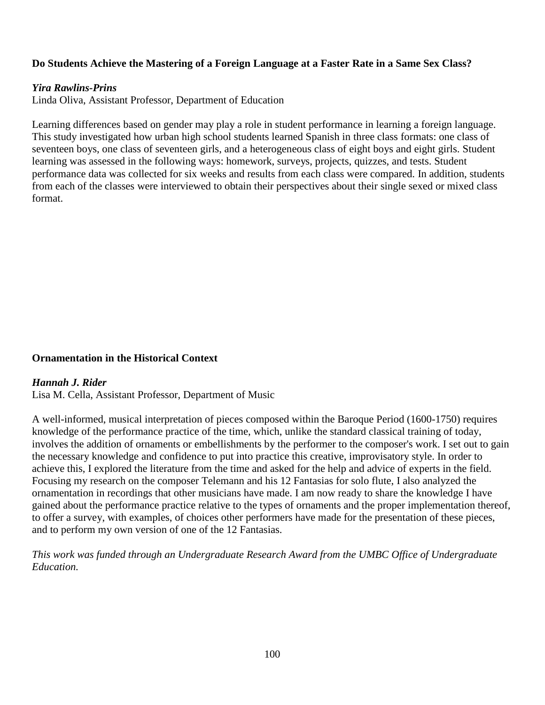### **Do Students Achieve the Mastering of a Foreign Language at a Faster Rate in a Same Sex Class?**

#### *Yira Rawlins-Prins*

Linda Oliva, Assistant Professor, Department of Education

Learning differences based on gender may play a role in student performance in learning a foreign language. This study investigated how urban high school students learned Spanish in three class formats: one class of seventeen boys, one class of seventeen girls, and a heterogeneous class of eight boys and eight girls. Student learning was assessed in the following ways: homework, surveys, projects, quizzes, and tests. Student performance data was collected for six weeks and results from each class were compared. In addition, students from each of the classes were interviewed to obtain their perspectives about their single sexed or mixed class format.

#### **Ornamentation in the Historical Context**

#### *Hannah J. Rider*

Lisa M. Cella, Assistant Professor, Department of Music

A well-informed, musical interpretation of pieces composed within the Baroque Period (1600-1750) requires knowledge of the performance practice of the time, which, unlike the standard classical training of today, involves the addition of ornaments or embellishments by the performer to the composer's work. I set out to gain the necessary knowledge and confidence to put into practice this creative, improvisatory style. In order to achieve this, I explored the literature from the time and asked for the help and advice of experts in the field. Focusing my research on the composer Telemann and his 12 Fantasias for solo flute, I also analyzed the ornamentation in recordings that other musicians have made. I am now ready to share the knowledge I have gained about the performance practice relative to the types of ornaments and the proper implementation thereof, to offer a survey, with examples, of choices other performers have made for the presentation of these pieces, and to perform my own version of one of the 12 Fantasias.

*This work was funded through an Undergraduate Research Award from the UMBC Office of Undergraduate Education.*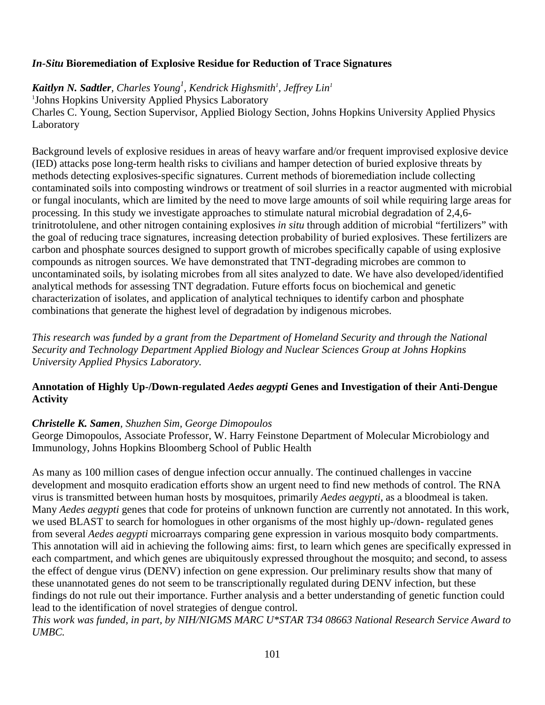# *In-Situ* **Bioremediation of Explosive Residue for Reduction of Trace Signatures**

 $\boldsymbol{K}$ aitlyn N. Sadtler, Charles Young<sup>1</sup>, Kendrick Highsmith<sup>1</sup>, Jeffrey Lin<sup>1</sup> 1 Johns Hopkins University Applied Physics Laboratory Charles C. Young, Section Supervisor, Applied Biology Section, Johns Hopkins University Applied Physics Laboratory

Background levels of explosive residues in areas of heavy warfare and/or frequent improvised explosive device (IED) attacks pose long-term health risks to civilians and hamper detection of buried explosive threats by methods detecting explosives-specific signatures. Current methods of bioremediation include collecting contaminated soils into composting windrows or treatment of soil slurries in a reactor augmented with microbial or fungal inoculants, which are limited by the need to move large amounts of soil while requiring large areas for processing. In this study we investigate approaches to stimulate natural microbial degradation of 2,4,6 trinitrotolulene, and other nitrogen containing explosives *in situ* through addition of microbial "fertilizers" with the goal of reducing trace signatures, increasing detection probability of buried explosives. These fertilizers are carbon and phosphate sources designed to support growth of microbes specifically capable of using explosive compounds as nitrogen sources. We have demonstrated that TNT-degrading microbes are common to uncontaminated soils, by isolating microbes from all sites analyzed to date. We have also developed/identified analytical methods for assessing TNT degradation. Future efforts focus on biochemical and genetic characterization of isolates, and application of analytical techniques to identify carbon and phosphate combinations that generate the highest level of degradation by indigenous microbes.

*This research was funded by a grant from the Department of Homeland Security and through the National Security and Technology Department Applied Biology and Nuclear Sciences Group at Johns Hopkins University Applied Physics Laboratory.*

# **Annotation of Highly Up-/Down-regulated** *Aedes aegypti* **Genes and Investigation of their Anti-Dengue Activity**

# *Christelle K. Samen, Shuzhen Sim, George Dimopoulos*

George Dimopoulos, Associate Professor, W. Harry Feinstone Department of Molecular Microbiology and Immunology, Johns Hopkins Bloomberg School of Public Health

As many as 100 million cases of dengue infection occur annually. The continued challenges in vaccine development and mosquito eradication efforts show an urgent need to find new methods of control. The RNA virus is transmitted between human hosts by mosquitoes, primarily *Aedes aegypti*, as a bloodmeal is taken. Many *Aedes aegypti* genes that code for proteins of unknown function are currently not annotated. In this work, we used BLAST to search for homologues in other organisms of the most highly up-/down- regulated genes from several *Aedes aegypti* microarrays comparing gene expression in various mosquito body compartments. This annotation will aid in achieving the following aims: first, to learn which genes are specifically expressed in each compartment, and which genes are ubiquitously expressed throughout the mosquito; and second, to assess the effect of dengue virus (DENV) infection on gene expression. Our preliminary results show that many of these unannotated genes do not seem to be transcriptionally regulated during DENV infection, but these findings do not rule out their importance. Further analysis and a better understanding of genetic function could lead to the identification of novel strategies of dengue control.

*This work was funded, in part, by NIH/NIGMS MARC U\*STAR T34 08663 National Research Service Award to UMBC.*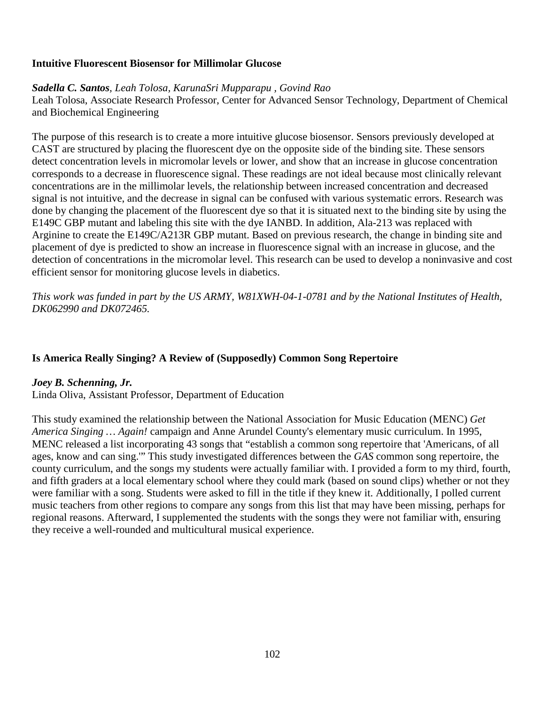### **Intuitive Fluorescent Biosensor for Millimolar Glucose**

### *Sadella C. Santos, Leah Tolosa, KarunaSri Mupparapu , Govind Rao*

Leah Tolosa, Associate Research Professor, Center for Advanced Sensor Technology, Department of Chemical and Biochemical Engineering

The purpose of this research is to create a more intuitive glucose biosensor. Sensors previously developed at CAST are structured by placing the fluorescent dye on the opposite side of the binding site. These sensors detect concentration levels in micromolar levels or lower, and show that an increase in glucose concentration corresponds to a decrease in fluorescence signal. These readings are not ideal because most clinically relevant concentrations are in the millimolar levels, the relationship between increased concentration and decreased signal is not intuitive, and the decrease in signal can be confused with various systematic errors. Research was done by changing the placement of the fluorescent dye so that it is situated next to the binding site by using the E149C GBP mutant and labeling this site with the dye IANBD. In addition, Ala-213 was replaced with Arginine to create the E149C/A213R GBP mutant. Based on previous research, the change in binding site and placement of dye is predicted to show an increase in fluorescence signal with an increase in glucose, and the detection of concentrations in the micromolar level. This research can be used to develop a noninvasive and cost efficient sensor for monitoring glucose levels in diabetics.

*This work was funded in part by the US ARMY, W81XWH-04-1-0781 and by the National Institutes of Health, DK062990 and DK072465.*

# **Is America Really Singing? A Review of (Supposedly) Common Song Repertoire**

#### *Joey B. Schenning, Jr.*

Linda Oliva, Assistant Professor, Department of Education

This study examined the relationship between the National Association for Music Education (MENC) *Get America Singing … Again!* campaign and Anne Arundel County's elementary music curriculum. In 1995, MENC released a list incorporating 43 songs that "establish a common song repertoire that 'Americans, of all ages, know and can sing.'" This study investigated differences between the *GAS* common song repertoire, the county curriculum, and the songs my students were actually familiar with. I provided a form to my third, fourth, and fifth graders at a local elementary school where they could mark (based on sound clips) whether or not they were familiar with a song. Students were asked to fill in the title if they knew it. Additionally, I polled current music teachers from other regions to compare any songs from this list that may have been missing, perhaps for regional reasons. Afterward, I supplemented the students with the songs they were not familiar with, ensuring they receive a well-rounded and multicultural musical experience.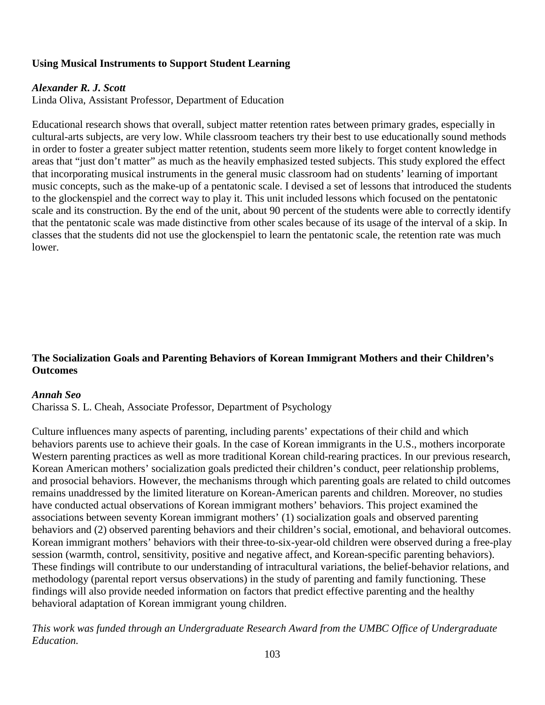# **Using Musical Instruments to Support Student Learning**

### *Alexander R. J. Scott*

Linda Oliva, Assistant Professor, Department of Education

Educational research shows that overall, subject matter retention rates between primary grades, especially in cultural-arts subjects, are very low. While classroom teachers try their best to use educationally sound methods in order to foster a greater subject matter retention, students seem more likely to forget content knowledge in areas that "just don't matter" as much as the heavily emphasized tested subjects. This study explored the effect that incorporating musical instruments in the general music classroom had on students' learning of important music concepts, such as the make-up of a pentatonic scale. I devised a set of lessons that introduced the students to the glockenspiel and the correct way to play it. This unit included lessons which focused on the pentatonic scale and its construction. By the end of the unit, about 90 percent of the students were able to correctly identify that the pentatonic scale was made distinctive from other scales because of its usage of the interval of a skip. In classes that the students did not use the glockenspiel to learn the pentatonic scale, the retention rate was much lower.

# **The Socialization Goals and Parenting Behaviors of Korean Immigrant Mothers and their Children's Outcomes**

#### *Annah Seo*

Charissa S. L. Cheah, Associate Professor, Department of Psychology

Culture influences many aspects of parenting, including parents' expectations of their child and which behaviors parents use to achieve their goals. In the case of Korean immigrants in the U.S., mothers incorporate Western parenting practices as well as more traditional Korean child-rearing practices. In our previous research, Korean American mothers' socialization goals predicted their children's conduct, peer relationship problems, and prosocial behaviors. However, the mechanisms through which parenting goals are related to child outcomes remains unaddressed by the limited literature on Korean-American parents and children. Moreover, no studies have conducted actual observations of Korean immigrant mothers' behaviors. This project examined the associations between seventy Korean immigrant mothers' (1) socialization goals and observed parenting behaviors and (2) observed parenting behaviors and their children's social, emotional, and behavioral outcomes. Korean immigrant mothers' behaviors with their three-to-six-year-old children were observed during a free-play session (warmth, control, sensitivity, positive and negative affect, and Korean-specific parenting behaviors). These findings will contribute to our understanding of intracultural variations, the belief-behavior relations, and methodology (parental report versus observations) in the study of parenting and family functioning. These findings will also provide needed information on factors that predict effective parenting and the healthy behavioral adaptation of Korean immigrant young children.

*This work was funded through an Undergraduate Research Award from the UMBC Office of Undergraduate Education.*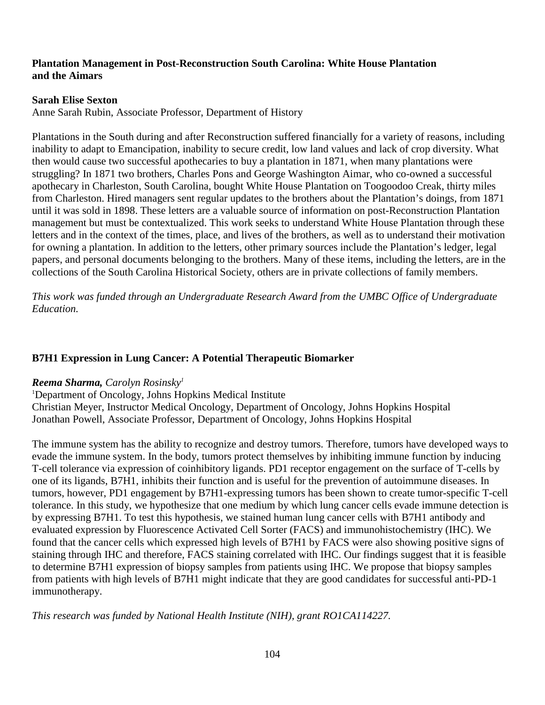### **Plantation Management in Post-Reconstruction South Carolina: White House Plantation and the Aimars**

#### **Sarah Elise Sexton**

Anne Sarah Rubin, Associate Professor, Department of History

Plantations in the South during and after Reconstruction suffered financially for a variety of reasons, including inability to adapt to Emancipation, inability to secure credit, low land values and lack of crop diversity. What then would cause two successful apothecaries to buy a plantation in 1871, when many plantations were struggling? In 1871 two brothers, Charles Pons and George Washington Aimar, who co-owned a successful apothecary in Charleston, South Carolina, bought White House Plantation on Toogoodoo Creak, thirty miles from Charleston. Hired managers sent regular updates to the brothers about the Plantation's doings, from 1871 until it was sold in 1898. These letters are a valuable source of information on post-Reconstruction Plantation management but must be contextualized. This work seeks to understand White House Plantation through these letters and in the context of the times, place, and lives of the brothers, as well as to understand their motivation for owning a plantation. In addition to the letters, other primary sources include the Plantation's ledger, legal papers, and personal documents belonging to the brothers. Many of these items, including the letters, are in the collections of the South Carolina Historical Society, others are in private collections of family members.

*This work was funded through an Undergraduate Research Award from the UMBC Office of Undergraduate Education.*

### **B7H1 Expression in Lung Cancer: A Potential Therapeutic Biomarker**

#### *Reema Sharma, Carolyn Rosinsky1*

1 Department of Oncology, Johns Hopkins Medical Institute Christian Meyer, Instructor Medical Oncology, Department of Oncology, Johns Hopkins Hospital Jonathan Powell, Associate Professor, Department of Oncology, Johns Hopkins Hospital

The immune system has the ability to recognize and destroy tumors. Therefore, tumors have developed ways to evade the immune system. In the body, tumors protect themselves by inhibiting immune function by inducing T-cell tolerance via expression of coinhibitory ligands. PD1 receptor engagement on the surface of T-cells by one of its ligands, B7H1, inhibits their function and is useful for the prevention of autoimmune diseases. In tumors, however, PD1 engagement by B7H1-expressing tumors has been shown to create tumor-specific T-cell tolerance. In this study, we hypothesize that one medium by which lung cancer cells evade immune detection is by expressing B7H1. To test this hypothesis, we stained human lung cancer cells with B7H1 antibody and evaluated expression by Fluorescence Activated Cell Sorter (FACS) and immunohistochemistry (IHC). We found that the cancer cells which expressed high levels of B7H1 by FACS were also showing positive signs of staining through IHC and therefore, FACS staining correlated with IHC. Our findings suggest that it is feasible to determine B7H1 expression of biopsy samples from patients using IHC. We propose that biopsy samples from patients with high levels of B7H1 might indicate that they are good candidates for successful anti-PD-1 immunotherapy.

*This research was funded by National Health Institute (NIH), grant RO1CA114227.*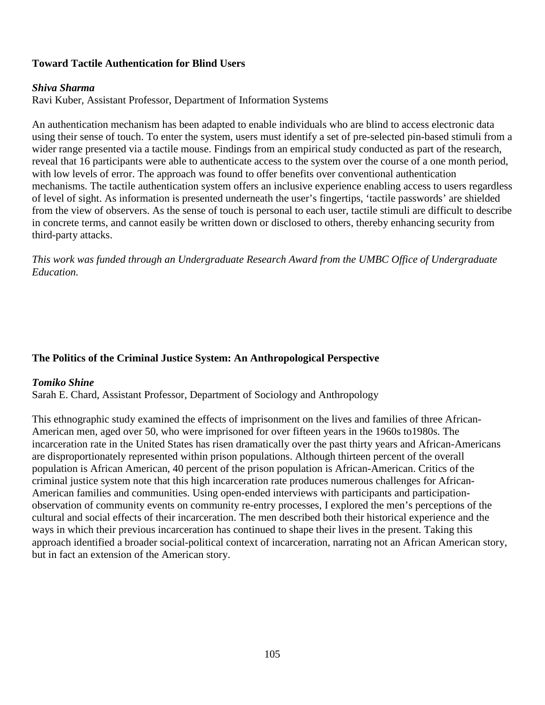### **Toward Tactile Authentication for Blind Users**

#### *Shiva Sharma*

Ravi Kuber, Assistant Professor, Department of Information Systems

An authentication mechanism has been adapted to enable individuals who are blind to access electronic data using their sense of touch. To enter the system, users must identify a set of pre-selected pin-based stimuli from a wider range presented via a tactile mouse. Findings from an empirical study conducted as part of the research, reveal that 16 participants were able to authenticate access to the system over the course of a one month period, with low levels of error. The approach was found to offer benefits over conventional authentication mechanisms. The tactile authentication system offers an inclusive experience enabling access to users regardless of level of sight. As information is presented underneath the user's fingertips, 'tactile passwords' are shielded from the view of observers. As the sense of touch is personal to each user, tactile stimuli are difficult to describe in concrete terms, and cannot easily be written down or disclosed to others, thereby enhancing security from third-party attacks.

*This work was funded through an Undergraduate Research Award from the UMBC Office of Undergraduate Education.*

#### **The Politics of the Criminal Justice System: An Anthropological Perspective**

#### *Tomiko Shine*

Sarah E. Chard, Assistant Professor, Department of Sociology and Anthropology

This ethnographic study examined the effects of imprisonment on the lives and families of three African-American men, aged over 50, who were imprisoned for over fifteen years in the 1960s to1980s. The incarceration rate in the United States has risen dramatically over the past thirty years and African-Americans are disproportionately represented within prison populations. Although thirteen percent of the overall population is African American, 40 percent of the prison population is African-American. Critics of the criminal justice system note that this high incarceration rate produces numerous challenges for African-American families and communities. Using open-ended interviews with participants and participationobservation of community events on community re-entry processes, I explored the men's perceptions of the cultural and social effects of their incarceration. The men described both their historical experience and the ways in which their previous incarceration has continued to shape their lives in the present. Taking this approach identified a broader social-political context of incarceration, narrating not an African American story, but in fact an extension of the American story.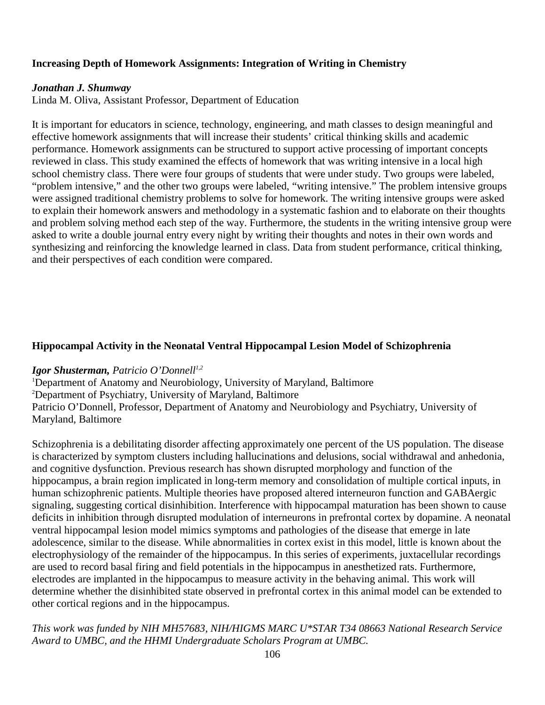#### **Increasing Depth of Homework Assignments: Integration of Writing in Chemistry**

#### *Jonathan J. Shumway*

Linda M. Oliva, Assistant Professor, Department of Education

It is important for educators in science, technology, engineering, and math classes to design meaningful and effective homework assignments that will increase their students' critical thinking skills and academic performance. Homework assignments can be structured to support active processing of important concepts reviewed in class. This study examined the effects of homework that was writing intensive in a local high school chemistry class. There were four groups of students that were under study. Two groups were labeled, "problem intensive," and the other two groups were labeled, "writing intensive." The problem intensive groups were assigned traditional chemistry problems to solve for homework. The writing intensive groups were asked to explain their homework answers and methodology in a systematic fashion and to elaborate on their thoughts and problem solving method each step of the way. Furthermore, the students in the writing intensive group were asked to write a double journal entry every night by writing their thoughts and notes in their own words and synthesizing and reinforcing the knowledge learned in class. Data from student performance, critical thinking, and their perspectives of each condition were compared.

#### **Hippocampal Activity in the Neonatal Ventral Hippocampal Lesion Model of Schizophrenia**

#### *<i>Igor Shusterman, Patricio O'Donnell<sup>1,2</sup>*

<sup>1</sup>Department of Anatomy and Neurobiology, University of Maryland, Baltimore 2 Department of Psychiatry, University of Maryland, Baltimore Patricio O'Donnell, Professor, Department of Anatomy and Neurobiology and Psychiatry, University of Maryland, Baltimore

Schizophrenia is a debilitating disorder affecting approximately one percent of the US population. The disease is characterized by symptom clusters including hallucinations and delusions, social withdrawal and anhedonia, and cognitive dysfunction. Previous research has shown disrupted morphology and function of the hippocampus, a brain region implicated in long-term memory and consolidation of multiple cortical inputs, in human schizophrenic patients. Multiple theories have proposed altered interneuron function and GABAergic signaling, suggesting cortical disinhibition. Interference with hippocampal maturation has been shown to cause deficits in inhibition through disrupted modulation of interneurons in prefrontal cortex by dopamine. A neonatal ventral hippocampal lesion model mimics symptoms and pathologies of the disease that emerge in late adolescence, similar to the disease. While abnormalities in cortex exist in this model, little is known about the electrophysiology of the remainder of the hippocampus. In this series of experiments, juxtacellular recordings are used to record basal firing and field potentials in the hippocampus in anesthetized rats. Furthermore, electrodes are implanted in the hippocampus to measure activity in the behaving animal. This work will determine whether the disinhibited state observed in prefrontal cortex in this animal model can be extended to other cortical regions and in the hippocampus.

*This work was funded by NIH MH57683, NIH/HIGMS MARC U\*STAR T34 08663 National Research Service Award to UMBC, and the HHMI Undergraduate Scholars Program at UMBC.*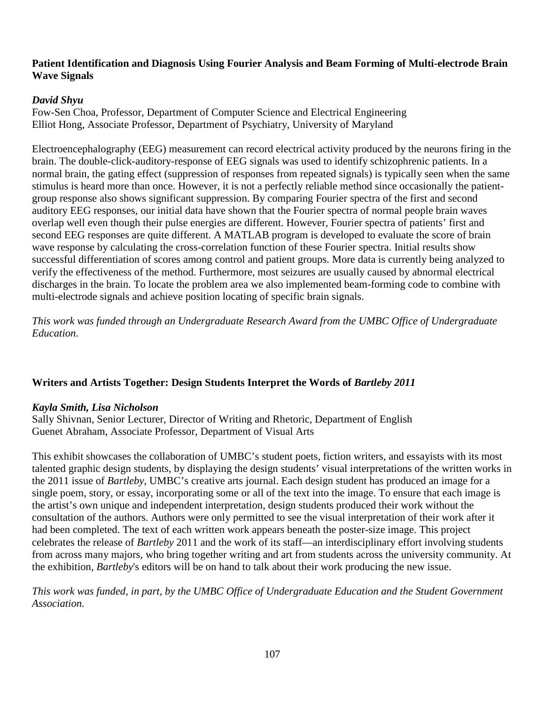#### **Patient Identification and Diagnosis Using Fourier Analysis and Beam Forming of Multi-electrode Brain Wave Signals**

### *David Shyu*

Fow-Sen Choa, Professor, Department of Computer Science and Electrical Engineering Elliot Hong, Associate Professor, Department of Psychiatry, University of Maryland

Electroencephalography (EEG) measurement can record electrical activity produced by the neurons firing in the brain. The double-click-auditory-response of EEG signals was used to identify schizophrenic patients. In a normal brain, the gating effect (suppression of responses from repeated signals) is typically seen when the same stimulus is heard more than once. However, it is not a perfectly reliable method since occasionally the patientgroup response also shows significant suppression. By comparing Fourier spectra of the first and second auditory EEG responses, our initial data have shown that the Fourier spectra of normal people brain waves overlap well even though their pulse energies are different. However, Fourier spectra of patients' first and second EEG responses are quite different. A MATLAB program is developed to evaluate the score of brain wave response by calculating the cross-correlation function of these Fourier spectra. Initial results show successful differentiation of scores among control and patient groups. More data is currently being analyzed to verify the effectiveness of the method. Furthermore, most seizures are usually caused by abnormal electrical discharges in the brain. To locate the problem area we also implemented beam-forming code to combine with multi-electrode signals and achieve position locating of specific brain signals.

*This work was funded through an Undergraduate Research Award from the UMBC Office of Undergraduate Education.*

# **Writers and Artists Together: Design Students Interpret the Words of** *Bartleby 2011*

### *Kayla Smith, Lisa Nicholson*

Sally Shivnan, Senior Lecturer, Director of Writing and Rhetoric, Department of English Guenet Abraham, Associate Professor, Department of Visual Arts

This exhibit showcases the collaboration of UMBC's student poets, fiction writers, and essayists with its most talented graphic design students, by displaying the design students' visual interpretations of the written works in the 2011 issue of *Bartleby*, UMBC's creative arts journal. Each design student has produced an image for a single poem, story, or essay, incorporating some or all of the text into the image. To ensure that each image is the artist's own unique and independent interpretation, design students produced their work without the consultation of the authors. Authors were only permitted to see the visual interpretation of their work after it had been completed. The text of each written work appears beneath the poster-size image. This project celebrates the release of *Bartleby* 2011 and the work of its staff—an interdisciplinary effort involving students from across many majors, who bring together writing and art from students across the university community. At the exhibition, *Bartleby*'s editors will be on hand to talk about their work producing the new issue.

*This work was funded, in part, by the UMBC Office of Undergraduate Education and the Student Government Association.*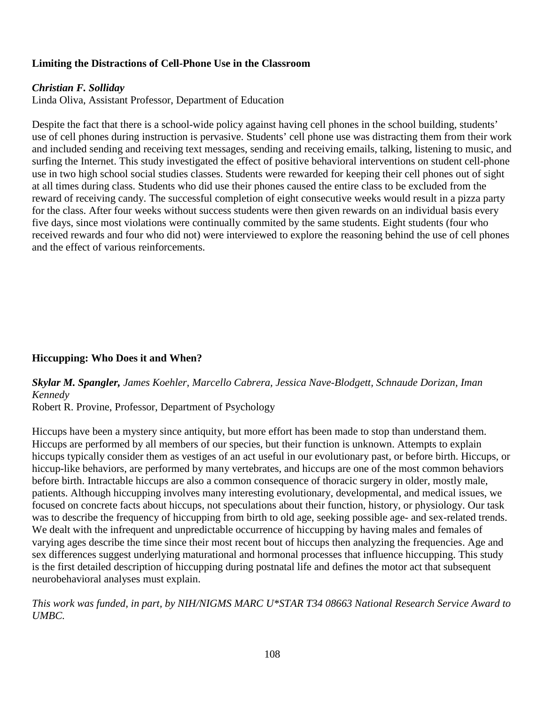## **Limiting the Distractions of Cell-Phone Use in the Classroom**

#### *Christian F. Solliday*

Linda Oliva, Assistant Professor, Department of Education

Despite the fact that there is a school-wide policy against having cell phones in the school building, students' use of cell phones during instruction is pervasive. Students' cell phone use was distracting them from their work and included sending and receiving text messages, sending and receiving emails, talking, listening to music, and surfing the Internet. This study investigated the effect of positive behavioral interventions on student cell-phone use in two high school social studies classes. Students were rewarded for keeping their cell phones out of sight at all times during class. Students who did use their phones caused the entire class to be excluded from the reward of receiving candy. The successful completion of eight consecutive weeks would result in a pizza party for the class. After four weeks without success students were then given rewards on an individual basis every five days, since most violations were continually commited by the same students. Eight students (four who received rewards and four who did not) were interviewed to explore the reasoning behind the use of cell phones and the effect of various reinforcements.

### **Hiccupping: Who Does it and When?**

*Skylar M. Spangler, James Koehler, Marcello Cabrera, Jessica Nave-Blodgett, Schnaude Dorizan, Iman Kennedy*

Robert R. Provine, Professor, Department of Psychology

Hiccups have been a mystery since antiquity, but more effort has been made to stop than understand them. Hiccups are performed by all members of our species, but their function is unknown. Attempts to explain hiccups typically consider them as vestiges of an act useful in our evolutionary past, or before birth. Hiccups, or hiccup-like behaviors, are performed by many vertebrates, and hiccups are one of the most common behaviors before birth. Intractable hiccups are also a common consequence of thoracic surgery in older, mostly male, patients. Although hiccupping involves many interesting evolutionary, developmental, and medical issues, we focused on concrete facts about hiccups, not speculations about their function, history, or physiology. Our task was to describe the frequency of hiccupping from birth to old age, seeking possible age- and sex-related trends. We dealt with the infrequent and unpredictable occurrence of hiccupping by having males and females of varying ages describe the time since their most recent bout of hiccups then analyzing the frequencies. Age and sex differences suggest underlying maturational and hormonal processes that influence hiccupping. This study is the first detailed description of hiccupping during postnatal life and defines the motor act that subsequent neurobehavioral analyses must explain.

*This work was funded, in part, by NIH/NIGMS MARC U\*STAR T34 08663 National Research Service Award to UMBC.*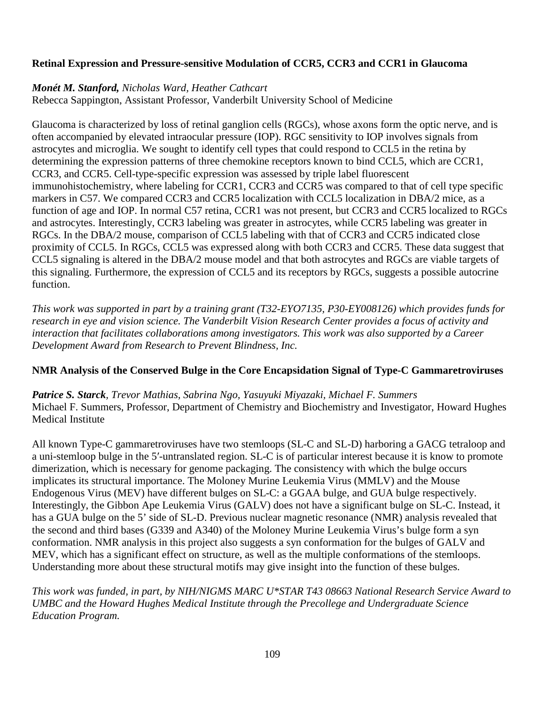### **Retinal Expression and Pressure-sensitive Modulation of CCR5, CCR3 and CCR1 in Glaucoma**

### *Monét M. Stanford, Nicholas Ward, Heather Cathcart*

Rebecca Sappington, Assistant Professor, Vanderbilt University School of Medicine

Glaucoma is characterized by loss of retinal ganglion cells (RGCs), whose axons form the optic nerve, and is often accompanied by elevated intraocular pressure (IOP). RGC sensitivity to IOP involves signals from astrocytes and microglia. We sought to identify cell types that could respond to CCL5 in the retina by determining the expression patterns of three chemokine receptors known to bind CCL5, which are CCR1, CCR3, and CCR5. Cell-type-specific expression was assessed by triple label fluorescent immunohistochemistry, where labeling for CCR1, CCR3 and CCR5 was compared to that of cell type specific markers in C57. We compared CCR3 and CCR5 localization with CCL5 localization in DBA/2 mice, as a function of age and IOP. In normal C57 retina, CCR1 was not present, but CCR3 and CCR5 localized to RGCs and astrocytes. Interestingly, CCR3 labeling was greater in astrocytes, while CCR5 labeling was greater in RGCs. In the DBA/2 mouse, comparison of CCL5 labeling with that of CCR3 and CCR5 indicated close proximity of CCL5. In RGCs, CCL5 was expressed along with both CCR3 and CCR5. These data suggest that CCL5 signaling is altered in the DBA/2 mouse model and that both astrocytes and RGCs are viable targets of this signaling. Furthermore, the expression of CCL5 and its receptors by RGCs, suggests a possible autocrine function.

*This work was supported in part by a training grant (T32-EYO7135, P30-EY008126) which provides funds for research in eye and vision science. The Vanderbilt Vision Research Center provides a focus of activity and interaction that facilitates collaborations among investigators. This work was also supported by a Career Development Award from Research to Prevent Blindness, Inc.*

### **NMR Analysis of the Conserved Bulge in the Core Encapsidation Signal of Type-C Gammaretroviruses**

*Patrice S. Starck, Trevor Mathias, Sabrina Ngo, Yasuyuki Miyazaki, Michael F. Summers* Michael F. Summers, Professor, Department of Chemistry and Biochemistry and Investigator, Howard Hughes Medical Institute

All known Type-C gammaretroviruses have two stemloops (SL-C and SL-D) harboring a GACG tetraloop and a uni-stemloop bulge in the 5′-untranslated region. SL-C is of particular interest because it is know to promote dimerization, which is necessary for genome packaging. The consistency with which the bulge occurs implicates its structural importance. The Moloney Murine Leukemia Virus (MMLV) and the Mouse Endogenous Virus (MEV) have different bulges on SL-C: a GGAA bulge, and GUA bulge respectively. Interestingly, the Gibbon Ape Leukemia Virus (GALV) does not have a significant bulge on SL-C. Instead, it has a GUA bulge on the 5' side of SL-D. Previous nuclear magnetic resonance (NMR) analysis revealed that the second and third bases (G339 and A340) of the Moloney Murine Leukemia Virus's bulge form a syn conformation. NMR analysis in this project also suggests a syn conformation for the bulges of GALV and MEV, which has a significant effect on structure, as well as the multiple conformations of the stemloops. Understanding more about these structural motifs may give insight into the function of these bulges.

*This work was funded, in part, by NIH/NIGMS MARC U\*STAR T43 08663 National Research Service Award to UMBC and the Howard Hughes Medical Institute through the Precollege and Undergraduate Science Education Program.*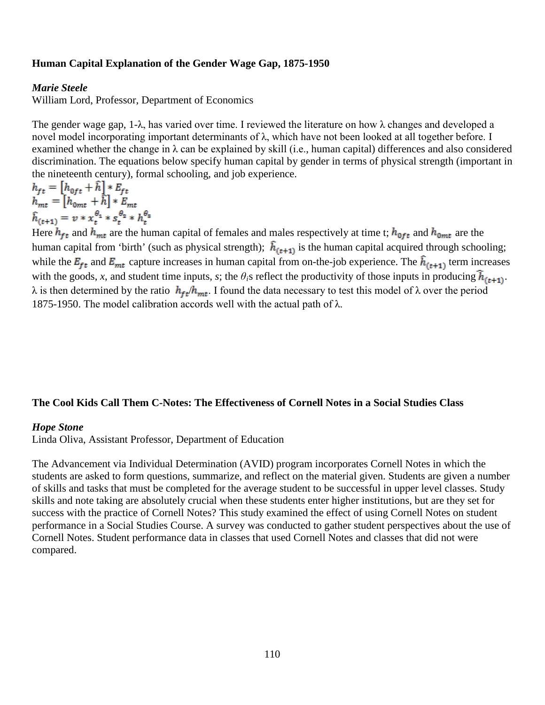#### **Human Capital Explanation of the Gender Wage Gap, 1875-1950**

#### *Marie Steele*

William Lord, Professor, Department of Economics

The gender wage gap, 1- $\lambda$ , has varied over time. I reviewed the literature on how  $\lambda$  changes and developed a novel model incorporating important determinants of λ, which have not been looked at all together before. I examined whether the change in  $\lambda$  can be explained by skill (i.e., human capital) differences and also considered discrimination. The equations below specify human capital by gender in terms of physical strength (important in the nineteenth century), formal schooling, and job experience.

 $h_{ft} = [h_{0ft} + \hat{h}] * E_{ft}$  $h_{mt} = [h_{0mt} + \hat{h}] * E_{mt}$ <br>  $\hat{h}_{(t+1)} = v * x_t^{\theta_1} * s_t^{\theta_2} * h_t^{\theta_3}$ 

Here  $h_{ft}$  and  $h_{mt}$  are the human capital of females and males respectively at time t;  $h_{0ft}$  and  $h_{0mt}$  are the human capital from 'birth' (such as physical strength);  $\hat{h}_{(t+1)}$  is the human capital acquired through schooling; while the  $E_{ft}$  and  $E_{mt}$  capture increases in human capital from on-the-job experience. The  $\hat{h}_{(t+1)}$  term increases with the goods, *x*, and student time inputs, *s*; the  $\theta_i$ s reflect the productivity of those inputs in producing  $\hat{h}_{(t+1)}$ .  $λ$  is then determined by the ratio  $h_{ft}/h_{mt}$ . I found the data necessary to test this model of  $λ$  over the period 1875-1950. The model calibration accords well with the actual path of  $\lambda$ .

#### **The Cool Kids Call Them C-Notes: The Effectiveness of Cornell Notes in a Social Studies Class**

#### *Hope Stone*

Linda Oliva, Assistant Professor, Department of Education

The Advancement via Individual Determination (AVID) program incorporates Cornell Notes in which the students are asked to form questions, summarize, and reflect on the material given. Students are given a number of skills and tasks that must be completed for the average student to be successful in upper level classes. Study skills and note taking are absolutely crucial when these students enter higher institutions, but are they set for success with the practice of Cornell Notes? This study examined the effect of using Cornell Notes on student performance in a Social Studies Course. A survey was conducted to gather student perspectives about the use of Cornell Notes. Student performance data in classes that used Cornell Notes and classes that did not were compared.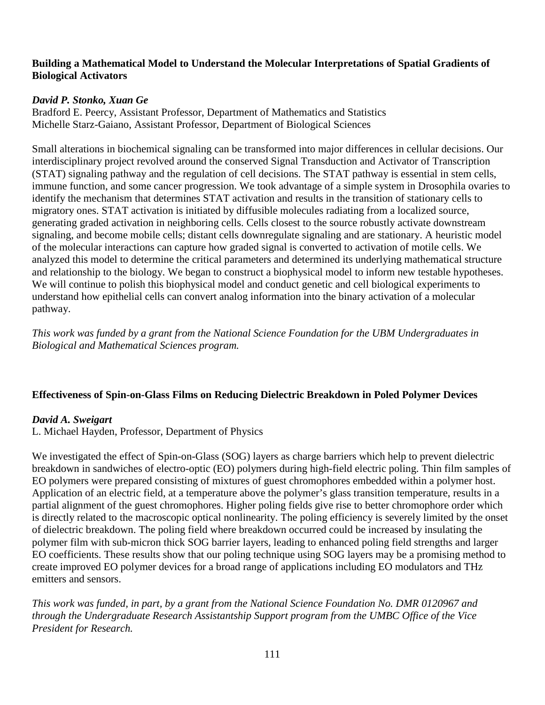#### **Building a Mathematical Model to Understand the Molecular Interpretations of Spatial Gradients of Biological Activators**

## *David P. Stonko, Xuan Ge*

Bradford E. Peercy, Assistant Professor, Department of Mathematics and Statistics Michelle Starz-Gaiano, Assistant Professor, Department of Biological Sciences

Small alterations in biochemical signaling can be transformed into major differences in cellular decisions. Our interdisciplinary project revolved around the conserved Signal Transduction and Activator of Transcription (STAT) signaling pathway and the regulation of cell decisions. The STAT pathway is essential in stem cells, immune function, and some cancer progression. We took advantage of a simple system in Drosophila ovaries to identify the mechanism that determines STAT activation and results in the transition of stationary cells to migratory ones. STAT activation is initiated by diffusible molecules radiating from a localized source, generating graded activation in neighboring cells. Cells closest to the source robustly activate downstream signaling, and become mobile cells; distant cells downregulate signaling and are stationary. A heuristic model of the molecular interactions can capture how graded signal is converted to activation of motile cells. We analyzed this model to determine the critical parameters and determined its underlying mathematical structure and relationship to the biology. We began to construct a biophysical model to inform new testable hypotheses. We will continue to polish this biophysical model and conduct genetic and cell biological experiments to understand how epithelial cells can convert analog information into the binary activation of a molecular pathway.

*This work was funded by a grant from the National Science Foundation for the UBM Undergraduates in Biological and Mathematical Sciences program.* 

### **Effectiveness of Spin-on-Glass Films on Reducing Dielectric Breakdown in Poled Polymer Devices**

### *David A. Sweigart*

L. Michael Hayden, Professor, Department of Physics

We investigated the effect of Spin-on-Glass (SOG) layers as charge barriers which help to prevent dielectric breakdown in sandwiches of electro-optic (EO) polymers during high-field electric poling. Thin film samples of EO polymers were prepared consisting of mixtures of guest chromophores embedded within a polymer host. Application of an electric field, at a temperature above the polymer's glass transition temperature, results in a partial alignment of the guest chromophores. Higher poling fields give rise to better chromophore order which is directly related to the macroscopic optical nonlinearity. The poling efficiency is severely limited by the onset of dielectric breakdown. The poling field where breakdown occurred could be increased by insulating the polymer film with sub-micron thick SOG barrier layers, leading to enhanced poling field strengths and larger EO coefficients. These results show that our poling technique using SOG layers may be a promising method to create improved EO polymer devices for a broad range of applications including EO modulators and THz emitters and sensors.

*This work was funded, in part, by a grant from the National Science Foundation No. DMR 0120967 and through the Undergraduate Research Assistantship Support program from the UMBC Office of the Vice President for Research.*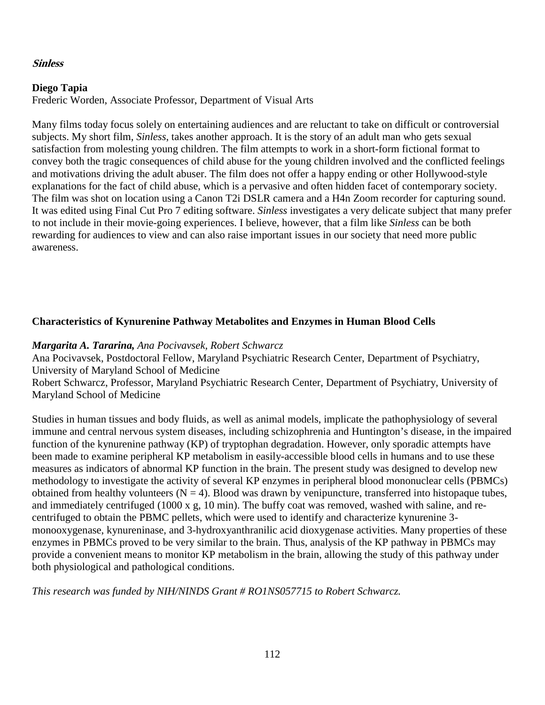#### **Sinless**

#### **Diego Tapia**

Frederic Worden, Associate Professor, Department of Visual Arts

Many films today focus solely on entertaining audiences and are reluctant to take on difficult or controversial subjects. My short film, *Sinless*, takes another approach. It is the story of an adult man who gets sexual satisfaction from molesting young children. The film attempts to work in a short-form fictional format to convey both the tragic consequences of child abuse for the young children involved and the conflicted feelings and motivations driving the adult abuser. The film does not offer a happy ending or other Hollywood-style explanations for the fact of child abuse, which is a pervasive and often hidden facet of contemporary society. The film was shot on location using a Canon T2i DSLR camera and a H4n Zoom recorder for capturing sound. It was edited using Final Cut Pro 7 editing software. *Sinless* investigates a very delicate subject that many prefer to not include in their movie-going experiences. I believe, however, that a film like *Sinless* can be both rewarding for audiences to view and can also raise important issues in our society that need more public awareness.

## **Characteristics of Kynurenine Pathway Metabolites and Enzymes in Human Blood Cells**

### *Margarita A. Tararina, Ana Pocivavsek, Robert Schwarcz*

Ana Pocivavsek, Postdoctoral Fellow, Maryland Psychiatric Research Center, Department of Psychiatry, University of Maryland School of Medicine

Robert Schwarcz, Professor, Maryland Psychiatric Research Center, Department of Psychiatry, University of Maryland School of Medicine

Studies in human tissues and body fluids, as well as animal models, implicate the pathophysiology of several immune and central nervous system diseases, including schizophrenia and Huntington's disease, in the impaired function of the kynurenine pathway (KP) of tryptophan degradation. However, only sporadic attempts have been made to examine peripheral KP metabolism in easily-accessible blood cells in humans and to use these measures as indicators of abnormal KP function in the brain. The present study was designed to develop new methodology to investigate the activity of several KP enzymes in peripheral blood mononuclear cells (PBMCs) obtained from healthy volunteers  $(N = 4)$ . Blood was drawn by venipuncture, transferred into histopaque tubes, and immediately centrifuged (1000 x g, 10 min). The buffy coat was removed, washed with saline, and recentrifuged to obtain the PBMC pellets, which were used to identify and characterize kynurenine 3 monooxygenase, kynureninase, and 3-hydroxyanthranilic acid dioxygenase activities. Many properties of these enzymes in PBMCs proved to be very similar to the brain. Thus, analysis of the KP pathway in PBMCs may provide a convenient means to monitor KP metabolism in the brain, allowing the study of this pathway under both physiological and pathological conditions.

*This research was funded by NIH/NINDS Grant # RO1NS057715 to Robert Schwarcz.*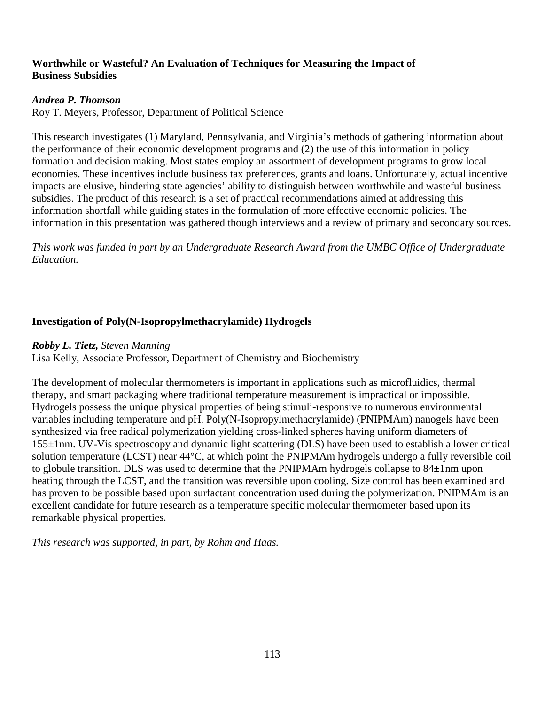### **Worthwhile or Wasteful? An Evaluation of Techniques for Measuring the Impact of Business Subsidies**

### *Andrea P. Thomson*

Roy T. Meyers, Professor, Department of Political Science

This research investigates (1) Maryland, Pennsylvania, and Virginia's methods of gathering information about the performance of their economic development programs and (2) the use of this information in policy formation and decision making. Most states employ an assortment of development programs to grow local economies. These incentives include business tax preferences, grants and loans. Unfortunately, actual incentive impacts are elusive, hindering state agencies' ability to distinguish between worthwhile and wasteful business subsidies. The product of this research is a set of practical recommendations aimed at addressing this information shortfall while guiding states in the formulation of more effective economic policies. The information in this presentation was gathered though interviews and a review of primary and secondary sources.

*This work was funded in part by an Undergraduate Research Award from the UMBC Office of Undergraduate Education.* 

### **Investigation of Poly(N-Isopropylmethacrylamide) Hydrogels**

#### *Robby L. Tietz, Steven Manning*

Lisa Kelly, Associate Professor, Department of Chemistry and Biochemistry

The development of molecular thermometers is important in applications such as microfluidics, thermal therapy, and smart packaging where traditional temperature measurement is impractical or impossible. Hydrogels possess the unique physical properties of being stimuli-responsive to numerous environmental variables including temperature and pH. Poly(N-Isopropylmethacrylamide) (PNIPMAm) nanogels have been synthesized via free radical polymerization yielding cross-linked spheres having uniform diameters of 155±1nm. UV-Vis spectroscopy and dynamic light scattering (DLS) have been used to establish a lower critical solution temperature (LCST) near 44°C, at which point the PNIPMAm hydrogels undergo a fully reversible coil to globule transition. DLS was used to determine that the PNIPMAm hydrogels collapse to 84±1nm upon heating through the LCST, and the transition was reversible upon cooling. Size control has been examined and has proven to be possible based upon surfactant concentration used during the polymerization. PNIPMAm is an excellent candidate for future research as a temperature specific molecular thermometer based upon its remarkable physical properties.

*This research was supported, in part, by Rohm and Haas.*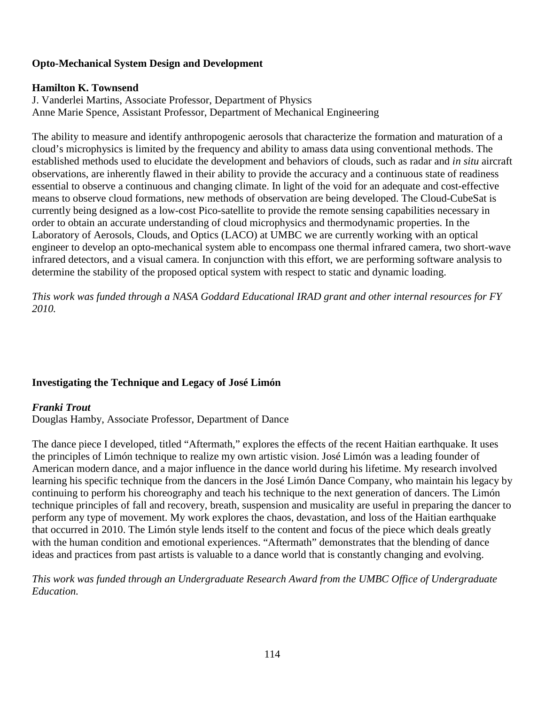### **Opto-Mechanical System Design and Development**

#### **Hamilton K. Townsend**

J. Vanderlei Martins, Associate Professor, Department of Physics Anne Marie Spence, Assistant Professor, Department of Mechanical Engineering

The ability to measure and identify anthropogenic aerosols that characterize the formation and maturation of a cloud's microphysics is limited by the frequency and ability to amass data using conventional methods. The established methods used to elucidate the development and behaviors of clouds, such as radar and *in situ* aircraft observations, are inherently flawed in their ability to provide the accuracy and a continuous state of readiness essential to observe a continuous and changing climate. In light of the void for an adequate and cost-effective means to observe cloud formations, new methods of observation are being developed. The Cloud-CubeSat is currently being designed as a low-cost Pico-satellite to provide the remote sensing capabilities necessary in order to obtain an accurate understanding of cloud microphysics and thermodynamic properties. In the Laboratory of Aerosols, Clouds, and Optics (LACO) at UMBC we are currently working with an optical engineer to develop an opto-mechanical system able to encompass one thermal infrared camera, two short-wave infrared detectors, and a visual camera. In conjunction with this effort, we are performing software analysis to determine the stability of the proposed optical system with respect to static and dynamic loading.

*This work was funded through a NASA Goddard Educational IRAD grant and other internal resources for FY 2010.*

### **Investigating the Technique and Legacy of José Limón**

### *Franki Trout*

Douglas Hamby, Associate Professor, Department of Dance

The dance piece I developed, titled "Aftermath," explores the effects of the recent Haitian earthquake. It uses the principles of Limón technique to realize my own artistic vision. José Limón was a leading founder of American modern dance, and a major influence in the dance world during his lifetime. My research involved learning his specific technique from the dancers in the José Limón Dance Company, who maintain his legacy by continuing to perform his choreography and teach his technique to the next generation of dancers. The Limón technique principles of fall and recovery, breath, suspension and musicality are useful in preparing the dancer to perform any type of movement. My work explores the chaos, devastation, and loss of the Haitian earthquake that occurred in 2010. The Limón style lends itself to the content and focus of the piece which deals greatly with the human condition and emotional experiences. "Aftermath" demonstrates that the blending of dance ideas and practices from past artists is valuable to a dance world that is constantly changing and evolving.

*This work was funded through an Undergraduate Research Award from the UMBC Office of Undergraduate Education.*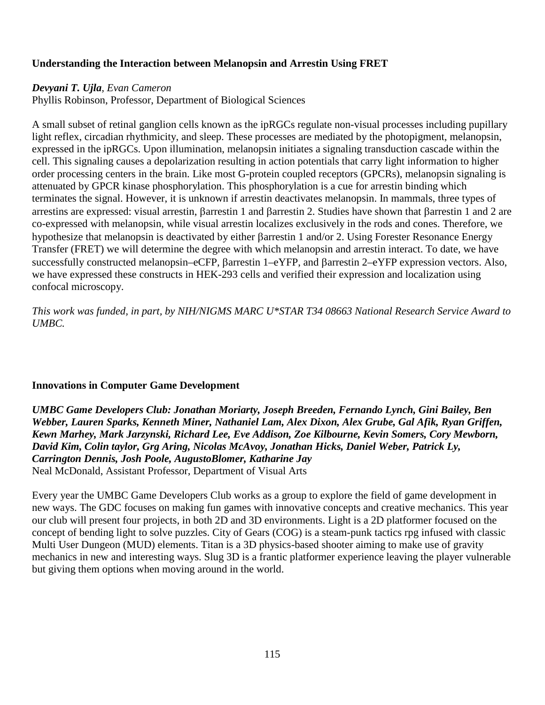### **Understanding the Interaction between Melanopsin and Arrestin Using FRET**

#### *Devyani T. Ujla, Evan Cameron*

Phyllis Robinson, Professor, Department of Biological Sciences

A small subset of retinal ganglion cells known as the ipRGCs regulate non-visual processes including pupillary light reflex, circadian rhythmicity, and sleep. These processes are mediated by the photopigment, melanopsin, expressed in the ipRGCs. Upon illumination, melanopsin initiates a signaling transduction cascade within the cell. This signaling causes a depolarization resulting in action potentials that carry light information to higher order processing centers in the brain. Like most G-protein coupled receptors (GPCRs), melanopsin signaling is attenuated by GPCR kinase phosphorylation. This phosphorylation is a cue for arrestin binding which terminates the signal. However, it is unknown if arrestin deactivates melanopsin. In mammals, three types of arrestins are expressed: visual arrestin, βarrestin 1 and βarrestin 2. Studies have shown that βarrestin 1 and 2 are co-expressed with melanopsin, while visual arrestin localizes exclusively in the rods and cones. Therefore, we hypothesize that melanopsin is deactivated by either βarrestin 1 and/or 2. Using Forester Resonance Energy Transfer (FRET) we will determine the degree with which melanopsin and arrestin interact. To date, we have successfully constructed melanopsin–eCFP, βarrestin 1–eYFP, and βarrestin 2–eYFP expression vectors. Also, we have expressed these constructs in HEK-293 cells and verified their expression and localization using confocal microscopy.

*This work was funded, in part, by NIH/NIGMS MARC U\*STAR T34 08663 National Research Service Award to UMBC.*

### **Innovations in Computer Game Development**

*UMBC Game Developers Club: Jonathan Moriarty, Joseph Breeden, Fernando Lynch, Gini Bailey, Ben Webber, Lauren Sparks, Kenneth Miner, Nathaniel Lam, Alex Dixon, Alex Grube, Gal Afik, Ryan Griffen, Kewn Marhey, Mark Jarzynski, Richard Lee, Eve Addison, Zoe Kilbourne, Kevin Somers, Cory Mewborn, David Kim, Colin taylor, Grg Aring, Nicolas McAvoy, Jonathan Hicks, Daniel Weber, Patrick Ly, Carrington Dennis, Josh Poole, AugustoBlomer, Katharine Jay*  Neal McDonald, Assistant Professor, Department of Visual Arts

Every year the UMBC Game Developers Club works as a group to explore the field of game development in new ways. The GDC focuses on making fun games with innovative concepts and creative mechanics. This year our club will present four projects, in both 2D and 3D environments. Light is a 2D platformer focused on the concept of bending light to solve puzzles. City of Gears (COG) is a steam-punk tactics rpg infused with classic Multi User Dungeon (MUD) elements. Titan is a 3D physics-based shooter aiming to make use of gravity mechanics in new and interesting ways. Slug 3D is a frantic platformer experience leaving the player vulnerable but giving them options when moving around in the world.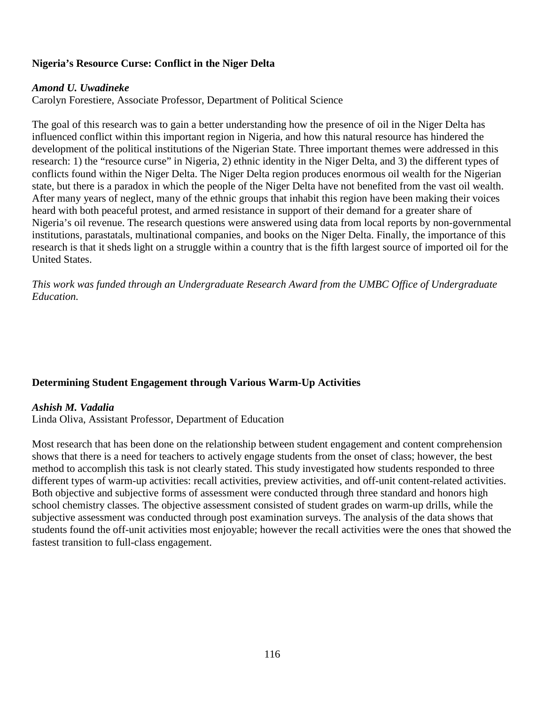### **Nigeria's Resource Curse: Conflict in the Niger Delta**

#### *Amond U. Uwadineke*

Carolyn Forestiere, Associate Professor, Department of Political Science

The goal of this research was to gain a better understanding how the presence of oil in the Niger Delta has influenced conflict within this important region in Nigeria, and how this natural resource has hindered the development of the political institutions of the Nigerian State. Three important themes were addressed in this research: 1) the "resource curse" in Nigeria, 2) ethnic identity in the Niger Delta, and 3) the different types of conflicts found within the Niger Delta. The Niger Delta region produces enormous oil wealth for the Nigerian state, but there is a paradox in which the people of the Niger Delta have not benefited from the vast oil wealth. After many years of neglect, many of the ethnic groups that inhabit this region have been making their voices heard with both peaceful protest, and armed resistance in support of their demand for a greater share of Nigeria's oil revenue. The research questions were answered using data from local reports by non-governmental institutions, parastatals, multinational companies, and books on the Niger Delta. Finally, the importance of this research is that it sheds light on a struggle within a country that is the fifth largest source of imported oil for the United States.

*This work was funded through an Undergraduate Research Award from the UMBC Office of Undergraduate Education.*

### **Determining Student Engagement through Various Warm-Up Activities**

#### *Ashish M. Vadalia*

Linda Oliva, Assistant Professor, Department of Education

Most research that has been done on the relationship between student engagement and content comprehension shows that there is a need for teachers to actively engage students from the onset of class; however, the best method to accomplish this task is not clearly stated. This study investigated how students responded to three different types of warm-up activities: recall activities, preview activities, and off-unit content-related activities. Both objective and subjective forms of assessment were conducted through three standard and honors high school chemistry classes. The objective assessment consisted of student grades on warm-up drills, while the subjective assessment was conducted through post examination surveys. The analysis of the data shows that students found the off-unit activities most enjoyable; however the recall activities were the ones that showed the fastest transition to full-class engagement.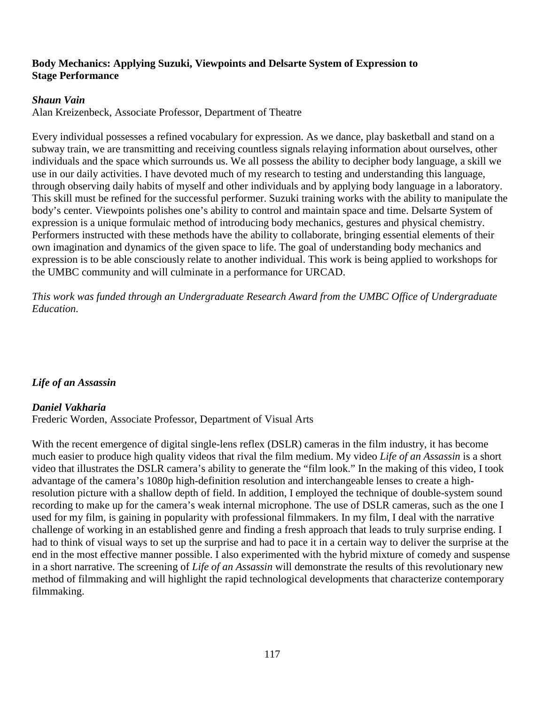### **Body Mechanics: Applying Suzuki, Viewpoints and Delsarte System of Expression to Stage Performance**

### *Shaun Vain*

Alan Kreizenbeck, Associate Professor, Department of Theatre

Every individual possesses a refined vocabulary for expression. As we dance, play basketball and stand on a subway train, we are transmitting and receiving countless signals relaying information about ourselves, other individuals and the space which surrounds us. We all possess the ability to decipher body language, a skill we use in our daily activities. I have devoted much of my research to testing and understanding this language, through observing daily habits of myself and other individuals and by applying body language in a laboratory. This skill must be refined for the successful performer. Suzuki training works with the ability to manipulate the body's center. Viewpoints polishes one's ability to control and maintain space and time. Delsarte System of expression is a unique formulaic method of introducing body mechanics, gestures and physical chemistry. Performers instructed with these methods have the ability to collaborate, bringing essential elements of their own imagination and dynamics of the given space to life. The goal of understanding body mechanics and expression is to be able consciously relate to another individual. This work is being applied to workshops for the UMBC community and will culminate in a performance for URCAD.

*This work was funded through an Undergraduate Research Award from the UMBC Office of Undergraduate Education.*

# *Life of an Assassin*

### *Daniel Vakharia*

Frederic Worden, Associate Professor, Department of Visual Arts

With the recent emergence of digital single-lens reflex (DSLR) cameras in the film industry, it has become much easier to produce high quality videos that rival the film medium. My video *Life of an Assassin* is a short video that illustrates the DSLR camera's ability to generate the "film look." In the making of this video, I took advantage of the camera's 1080p high-definition resolution and interchangeable lenses to create a highresolution picture with a shallow depth of field. In addition, I employed the technique of double-system sound recording to make up for the camera's weak internal microphone. The use of DSLR cameras, such as the one I used for my film, is gaining in popularity with professional filmmakers. In my film, I deal with the narrative challenge of working in an established genre and finding a fresh approach that leads to truly surprise ending. I had to think of visual ways to set up the surprise and had to pace it in a certain way to deliver the surprise at the end in the most effective manner possible. I also experimented with the hybrid mixture of comedy and suspense in a short narrative. The screening of *Life of an Assassin* will demonstrate the results of this revolutionary new method of filmmaking and will highlight the rapid technological developments that characterize contemporary filmmaking.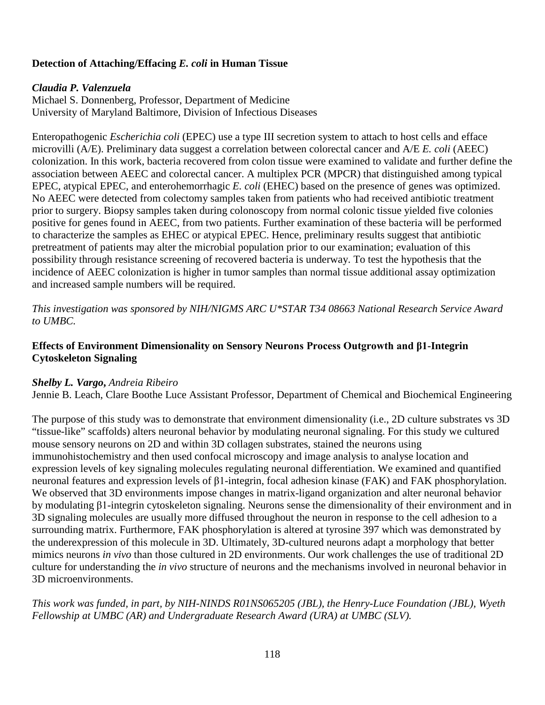# **Detection of Attaching/Effacing** *E. coli* **in Human Tissue**

#### *Claudia P. Valenzuela*

Michael S. Donnenberg, Professor, Department of Medicine University of Maryland Baltimore, Division of Infectious Diseases

Enteropathogenic *Escherichia coli* (EPEC) use a type III secretion system to attach to host cells and efface microvilli (A/E). Preliminary data suggest a correlation between colorectal cancer and A/E *E. coli* (AEEC) colonization. In this work, bacteria recovered from colon tissue were examined to validate and further define the association between AEEC and colorectal cancer. A multiplex PCR (MPCR) that distinguished among typical EPEC, atypical EPEC, and enterohemorrhagic *E. coli* (EHEC) based on the presence of genes was optimized. No AEEC were detected from colectomy samples taken from patients who had received antibiotic treatment prior to surgery. Biopsy samples taken during colonoscopy from normal colonic tissue yielded five colonies positive for genes found in AEEC, from two patients. Further examination of these bacteria will be performed to characterize the samples as EHEC or atypical EPEC. Hence, preliminary results suggest that antibiotic pretreatment of patients may alter the microbial population prior to our examination; evaluation of this possibility through resistance screening of recovered bacteria is underway. To test the hypothesis that the incidence of AEEC colonization is higher in tumor samples than normal tissue additional assay optimization and increased sample numbers will be required.

*This investigation was sponsored by NIH/NIGMS ARC U\*STAR T34 08663 National Research Service Award to UMBC.*

### **Effects of Environment Dimensionality on Sensory Neurons Process Outgrowth and β1-Integrin Cytoskeleton Signaling**

#### *Shelby L. Vargo***,** *Andreia Ribeiro*

Jennie B. Leach, Clare Boothe Luce Assistant Professor, Department of Chemical and Biochemical Engineering

The purpose of this study was to demonstrate that environment dimensionality (i.e., 2D culture substrates vs 3D "tissue-like" scaffolds) alters neuronal behavior by modulating neuronal signaling. For this study we cultured mouse sensory neurons on 2D and within 3D collagen substrates, stained the neurons using immunohistochemistry and then used confocal microscopy and image analysis to analyse location and expression levels of key signaling molecules regulating neuronal differentiation. We examined and quantified neuronal features and expression levels of β1-integrin, focal adhesion kinase (FAK) and FAK phosphorylation. We observed that 3D environments impose changes in matrix-ligand organization and alter neuronal behavior by modulating β1-integrin cytoskeleton signaling. Neurons sense the dimensionality of their environment and in 3D signaling molecules are usually more diffused throughout the neuron in response to the cell adhesion to a surrounding matrix. Furthermore, FAK phosphorylation is altered at tyrosine 397 which was demonstrated by the underexpression of this molecule in 3D. Ultimately, 3D-cultured neurons adapt a morphology that better mimics neurons *in vivo* than those cultured in 2D environments. Our work challenges the use of traditional 2D culture for understanding the *in vivo* structure of neurons and the mechanisms involved in neuronal behavior in 3D microenvironments.

*This work was funded, in part, by NIH-NINDS R01NS065205 (JBL), the Henry-Luce Foundation (JBL), Wyeth Fellowship at UMBC (AR) and Undergraduate Research Award (URA) at UMBC (SLV).*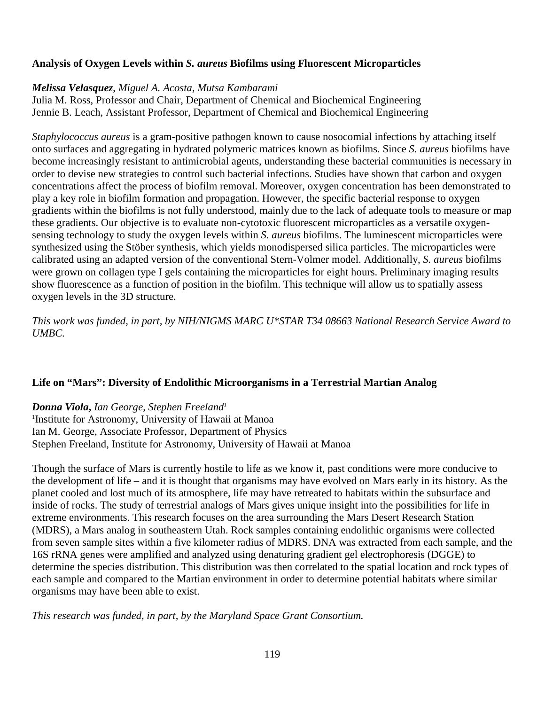### **Analysis of Oxygen Levels within** *S. aureus* **Biofilms using Fluorescent Microparticles**

#### *Melissa Velasquez*, *Miguel A. Acosta, Mutsa Kambarami*

Julia M. Ross, Professor and Chair, Department of Chemical and Biochemical Engineering Jennie B. Leach, Assistant Professor, Department of Chemical and Biochemical Engineering

*Staphylococcus aureus* is a gram-positive pathogen known to cause nosocomial infections by attaching itself onto surfaces and aggregating in hydrated polymeric matrices known as biofilms. Since *S. aureus* biofilms have become increasingly resistant to antimicrobial agents, understanding these bacterial communities is necessary in order to devise new strategies to control such bacterial infections. Studies have shown that carbon and oxygen concentrations affect the process of biofilm removal. Moreover, oxygen concentration has been demonstrated to play a key role in biofilm formation and propagation. However, the specific bacterial response to oxygen gradients within the biofilms is not fully understood, mainly due to the lack of adequate tools to measure or map these gradients. Our objective is to evaluate non-cytotoxic fluorescent microparticles as a versatile oxygensensing technology to study the oxygen levels within *S. aureus* biofilms. The luminescent microparticles were synthesized using the Stöber synthesis, which yields monodispersed silica particles. The microparticles were calibrated using an adapted version of the conventional Stern-Volmer model. Additionally, *S. aureus* biofilms were grown on collagen type I gels containing the microparticles for eight hours. Preliminary imaging results show fluorescence as a function of position in the biofilm. This technique will allow us to spatially assess oxygen levels in the 3D structure.

*This work was funded, in part, by NIH/NIGMS MARC U\*STAR T34 08663 National Research Service Award to UMBC.*

#### **Life on "Mars": Diversity of Endolithic Microorganisms in a Terrestrial Martian Analog**

### *Donna Viola***,** *Ian George, Stephen Freeland1*

<sup>1</sup>Institute for Astronomy, University of Hawaii at Manoa Ian M. George, Associate Professor, Department of Physics Stephen Freeland, Institute for Astronomy, University of Hawaii at Manoa

Though the surface of Mars is currently hostile to life as we know it, past conditions were more conducive to the development of life – and it is thought that organisms may have evolved on Mars early in its history. As the planet cooled and lost much of its atmosphere, life may have retreated to habitats within the subsurface and inside of rocks. The study of terrestrial analogs of Mars gives unique insight into the possibilities for life in extreme environments. This research focuses on the area surrounding the Mars Desert Research Station (MDRS), a Mars analog in southeastern Utah. Rock samples containing endolithic organisms were collected from seven sample sites within a five kilometer radius of MDRS. DNA was extracted from each sample, and the 16S rRNA genes were amplified and analyzed using denaturing gradient gel electrophoresis (DGGE) to determine the species distribution. This distribution was then correlated to the spatial location and rock types of each sample and compared to the Martian environment in order to determine potential habitats where similar organisms may have been able to exist.

*This research was funded, in part, by the Maryland Space Grant Consortium.*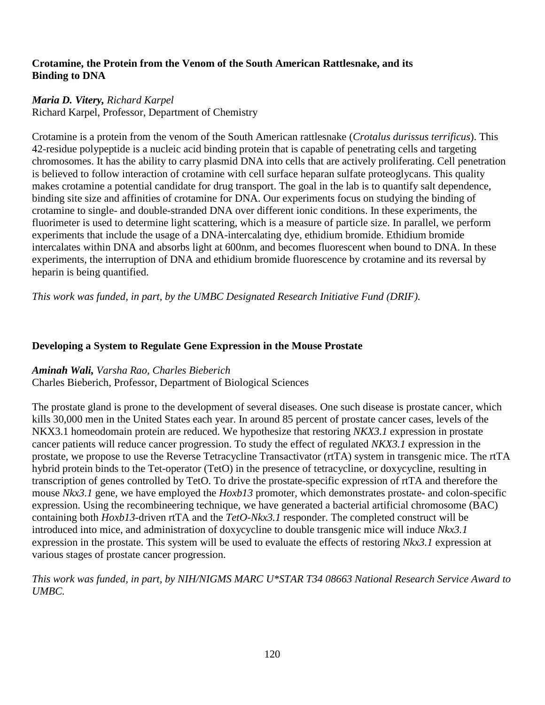### **Crotamine, the Protein from the Venom of the South American Rattlesnake, and its Binding to DNA**

# *Maria D. Vitery, Richard Karpel*

Richard Karpel, Professor, Department of Chemistry

Crotamine is a protein from the venom of the South American rattlesnake (*Crotalus durissus terrificus*). This 42-residue polypeptide is a nucleic acid binding protein that is capable of penetrating cells and targeting chromosomes. It has the ability to carry plasmid DNA into cells that are actively proliferating. Cell penetration is believed to follow interaction of crotamine with cell surface heparan sulfate proteoglycans. This quality makes crotamine a potential candidate for drug transport. The goal in the lab is to quantify salt dependence, binding site size and affinities of crotamine for DNA. Our experiments focus on studying the binding of crotamine to single- and double-stranded DNA over different ionic conditions. In these experiments, the fluorimeter is used to determine light scattering, which is a measure of particle size. In parallel, we perform experiments that include the usage of a DNA-intercalating dye, ethidium bromide. Ethidium bromide intercalates within DNA and absorbs light at 600nm, and becomes fluorescent when bound to DNA. In these experiments, the interruption of DNA and ethidium bromide fluorescence by crotamine and its reversal by heparin is being quantified.

*This work was funded, in part, by the UMBC Designated Research Initiative Fund (DRIF).*

## **Developing a System to Regulate Gene Expression in the Mouse Prostate**

### *Aminah Wali, Varsha Rao, Charles Bieberich*

Charles Bieberich, Professor, Department of Biological Sciences

The prostate gland is prone to the development of several diseases. One such disease is prostate cancer, which kills 30,000 men in the United States each year. In around 85 percent of prostate cancer cases, levels of the NKX3.1 homeodomain protein are reduced. We hypothesize that restoring *NKX3.1* expression in prostate cancer patients will reduce cancer progression. To study the effect of regulated *NKX3.1* expression in the prostate, we propose to use the Reverse Tetracycline Transactivator (rtTA) system in transgenic mice. The rtTA hybrid protein binds to the Tet-operator (TetO) in the presence of tetracycline, or doxycycline, resulting in transcription of genes controlled by TetO. To drive the prostate-specific expression of rtTA and therefore the mouse *Nkx3.1* gene, we have employed the *Hoxb13* promoter, which demonstrates prostate- and colon-specific expression. Using the recombineering technique, we have generated a bacterial artificial chromosome (BAC) containing both *Hoxb13*-driven rtTA and the *TetO-Nkx3.1* responder. The completed construct will be introduced into mice, and administration of doxycycline to double transgenic mice will induce *Nkx3.1* expression in the prostate. This system will be used to evaluate the effects of restoring *Nkx3.1* expression at various stages of prostate cancer progression.

*This work was funded, in part, by NIH/NIGMS MARC U\*STAR T34 08663 National Research Service Award to UMBC.*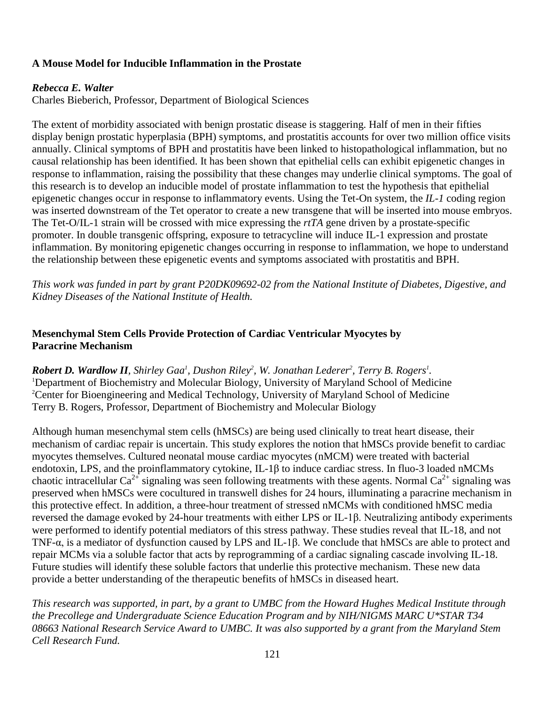### **A Mouse Model for Inducible Inflammation in the Prostate**

#### *Rebecca E. Walter*

Charles Bieberich, Professor, Department of Biological Sciences

The extent of morbidity associated with benign prostatic disease is staggering. Half of men in their fifties display benign prostatic hyperplasia (BPH) symptoms, and prostatitis accounts for over two million office visits annually. Clinical symptoms of BPH and prostatitis have been linked to histopathological inflammation, but no causal relationship has been identified. It has been shown that epithelial cells can exhibit epigenetic changes in response to inflammation, raising the possibility that these changes may underlie clinical symptoms. The goal of this research is to develop an inducible model of prostate inflammation to test the hypothesis that epithelial epigenetic changes occur in response to inflammatory events. Using the Tet-On system, the *IL-1* coding region was inserted downstream of the Tet operator to create a new transgene that will be inserted into mouse embryos. The Tet-O/IL-1 strain will be crossed with mice expressing the *rtTA* gene driven by a prostate-specific promoter. In double transgenic offspring, exposure to tetracycline will induce IL-1 expression and prostate inflammation. By monitoring epigenetic changes occurring in response to inflammation, we hope to understand the relationship between these epigenetic events and symptoms associated with prostatitis and BPH.

*This work was funded in part by grant P20DK09692-02 from the National Institute of Diabetes, Digestive, and Kidney Diseases of the National Institute of Health.*

### **Mesenchymal Stem Cells Provide Protection of Cardiac Ventricular Myocytes by Paracrine Mechanism**

*Robert D. Wardlow II, Shirley Gaa<sup>l</sup>, Dushon Riley<sup>2</sup>, W. Jonathan Lederer<sup>2</sup>, Terry B. Rogers<sup>1</sup>.* <sup>1</sup>Department of Biochemistry and Molecular Biology, University of Maryland School of Medicine <sup>2</sup>Center for Bioengineering and Medical Technology, University of Maryland School of Medicine Terry B. Rogers, Professor, Department of Biochemistry and Molecular Biology

Although human mesenchymal stem cells (hMSCs) are being used clinically to treat heart disease, their mechanism of cardiac repair is uncertain. This study explores the notion that hMSCs provide benefit to cardiac myocytes themselves. Cultured neonatal mouse cardiac myocytes (nMCM) were treated with bacterial endotoxin, LPS, and the proinflammatory cytokine, IL-1β to induce cardiac stress. In fluo-3 loaded nMCMs chaotic intracellular  $Ca^{2+}$  signaling was seen following treatments with these agents. Normal  $Ca^{2+}$  signaling was preserved when hMSCs were cocultured in transwell dishes for 24 hours, illuminating a paracrine mechanism in this protective effect. In addition, a three-hour treatment of stressed nMCMs with conditioned hMSC media reversed the damage evoked by 24-hour treatments with either LPS or IL-1β. Neutralizing antibody experiments were performed to identify potential mediators of this stress pathway. These studies reveal that IL-18, and not TNF-α, is a mediator of dysfunction caused by LPS and IL-1β. We conclude that hMSCs are able to protect and repair MCMs via a soluble factor that acts by reprogramming of a cardiac signaling cascade involving IL-18. Future studies will identify these soluble factors that underlie this protective mechanism. These new data provide a better understanding of the therapeutic benefits of hMSCs in diseased heart.

*This research was supported, in part, by a grant to UMBC from the Howard Hughes Medical Institute through the Precollege and Undergraduate Science Education Program and by NIH/NIGMS MARC U\*STAR T34 08663 National Research Service Award to UMBC. It was also supported by a grant from the Maryland Stem Cell Research Fund.*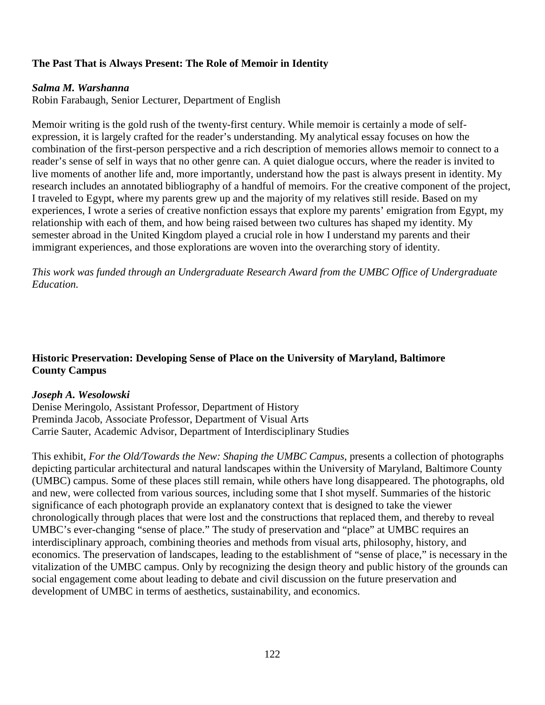## **The Past That is Always Present: The Role of Memoir in Identity**

#### *Salma M. Warshanna*

Robin Farabaugh, Senior Lecturer, Department of English

Memoir writing is the gold rush of the twenty-first century. While memoir is certainly a mode of selfexpression, it is largely crafted for the reader's understanding. My analytical essay focuses on how the combination of the first-person perspective and a rich description of memories allows memoir to connect to a reader's sense of self in ways that no other genre can. A quiet dialogue occurs, where the reader is invited to live moments of another life and, more importantly, understand how the past is always present in identity. My research includes an annotated bibliography of a handful of memoirs. For the creative component of the project, I traveled to Egypt, where my parents grew up and the majority of my relatives still reside. Based on my experiences, I wrote a series of creative nonfiction essays that explore my parents' emigration from Egypt, my relationship with each of them, and how being raised between two cultures has shaped my identity. My semester abroad in the United Kingdom played a crucial role in how I understand my parents and their immigrant experiences, and those explorations are woven into the overarching story of identity.

*This work was funded through an Undergraduate Research Award from the UMBC Office of Undergraduate Education.*

### **Historic Preservation: Developing Sense of Place on the University of Maryland, Baltimore County Campus**

### *Joseph A. Wesolowski*

Denise Meringolo, Assistant Professor, Department of History Preminda Jacob, Associate Professor, Department of Visual Arts Carrie Sauter, Academic Advisor, Department of Interdisciplinary Studies

This exhibit, *For the Old/Towards the New: Shaping the UMBC Campus*, presents a collection of photographs depicting particular architectural and natural landscapes within the University of Maryland, Baltimore County (UMBC) campus. Some of these places still remain, while others have long disappeared. The photographs, old and new, were collected from various sources, including some that I shot myself. Summaries of the historic significance of each photograph provide an explanatory context that is designed to take the viewer chronologically through places that were lost and the constructions that replaced them, and thereby to reveal UMBC's ever-changing "sense of place." The study of preservation and "place" at UMBC requires an interdisciplinary approach, combining theories and methods from visual arts, philosophy, history, and economics. The preservation of landscapes, leading to the establishment of "sense of place," is necessary in the vitalization of the UMBC campus. Only by recognizing the design theory and public history of the grounds can social engagement come about leading to debate and civil discussion on the future preservation and development of UMBC in terms of aesthetics, sustainability, and economics.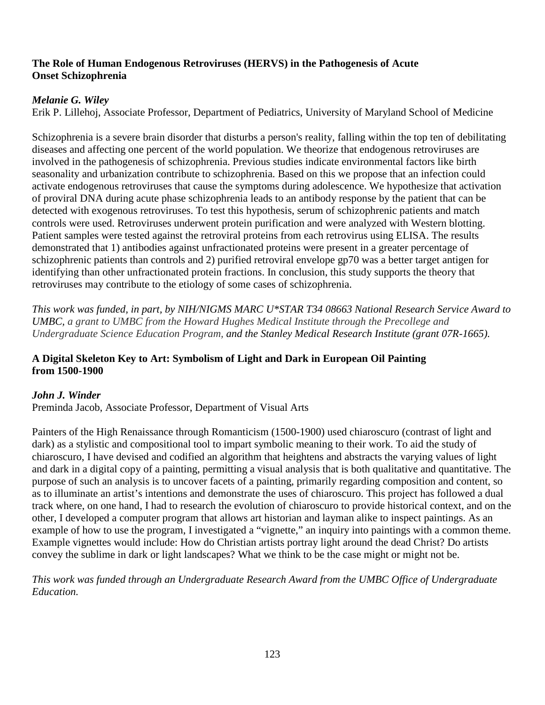### **The Role of Human Endogenous Retroviruses (HERVS) in the Pathogenesis of Acute Onset Schizophrenia**

## *Melanie G. Wiley*

Erik P. Lillehoj, Associate Professor, Department of Pediatrics, University of Maryland School of Medicine

Schizophrenia is a severe brain disorder that disturbs a person's reality, falling within the top ten of debilitating diseases and affecting one percent of the world population. We theorize that endogenous retroviruses are involved in the pathogenesis of schizophrenia. Previous studies indicate environmental factors like birth seasonality and urbanization contribute to schizophrenia. Based on this we propose that an infection could activate endogenous retroviruses that cause the symptoms during adolescence. We hypothesize that activation of proviral DNA during acute phase schizophrenia leads to an antibody response by the patient that can be detected with exogenous retroviruses. To test this hypothesis, serum of schizophrenic patients and match controls were used. Retroviruses underwent protein purification and were analyzed with Western blotting. Patient samples were tested against the retroviral proteins from each retrovirus using ELISA. The results demonstrated that 1) antibodies against unfractionated proteins were present in a greater percentage of schizophrenic patients than controls and 2) purified retroviral envelope gp70 was a better target antigen for identifying than other unfractionated protein fractions. In conclusion, this study supports the theory that retroviruses may contribute to the etiology of some cases of schizophrenia.

*This work was funded, in part, by NIH/NIGMS MARC U\*STAR T34 08663 National Research Service Award to UMBC, a grant to UMBC from the Howard Hughes Medical Institute through the Precollege and Undergraduate Science Education Program, and the Stanley Medical Research Institute (grant 07R-1665).*

### **A Digital Skeleton Key to Art: Symbolism of Light and Dark in European Oil Painting from 1500-1900**

# *John J. Winder*

Preminda Jacob, Associate Professor, Department of Visual Arts

Painters of the High Renaissance through Romanticism (1500-1900) used chiaroscuro (contrast of light and dark) as a stylistic and compositional tool to impart symbolic meaning to their work. To aid the study of chiaroscuro, I have devised and codified an algorithm that heightens and abstracts the varying values of light and dark in a digital copy of a painting, permitting a visual analysis that is both qualitative and quantitative. The purpose of such an analysis is to uncover facets of a painting, primarily regarding composition and content, so as to illuminate an artist's intentions and demonstrate the uses of chiaroscuro. This project has followed a dual track where, on one hand, I had to research the evolution of chiaroscuro to provide historical context, and on the other, I developed a computer program that allows art historian and layman alike to inspect paintings. As an example of how to use the program, I investigated a "vignette," an inquiry into paintings with a common theme. Example vignettes would include: How do Christian artists portray light around the dead Christ? Do artists convey the sublime in dark or light landscapes? What we think to be the case might or might not be.

*This work was funded through an Undergraduate Research Award from the UMBC Office of Undergraduate Education.*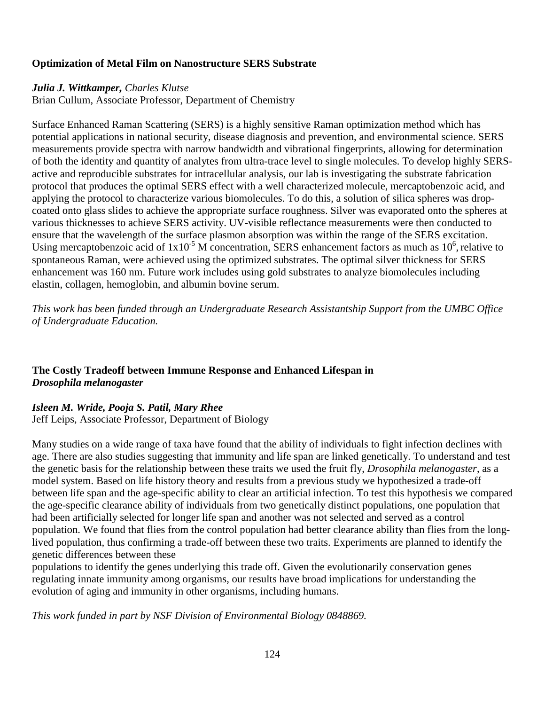### **Optimization of Metal Film on Nanostructure SERS Substrate**

#### *Julia J. Wittkamper, Charles Klutse*

Brian Cullum, Associate Professor, Department of Chemistry

Surface Enhanced Raman Scattering (SERS) is a highly sensitive Raman optimization method which has potential applications in national security, disease diagnosis and prevention, and environmental science. SERS measurements provide spectra with narrow bandwidth and vibrational fingerprints, allowing for determination of both the identity and quantity of analytes from ultra-trace level to single molecules. To develop highly SERSactive and reproducible substrates for intracellular analysis, our lab is investigating the substrate fabrication protocol that produces the optimal SERS effect with a well characterized molecule, mercaptobenzoic acid, and applying the protocol to characterize various biomolecules. To do this, a solution of silica spheres was dropcoated onto glass slides to achieve the appropriate surface roughness. Silver was evaporated onto the spheres at various thicknesses to achieve SERS activity. UV-visible reflectance measurements were then conducted to ensure that the wavelength of the surface plasmon absorption was within the range of the SERS excitation. Using mercaptobenzoic acid of  $1x10^{-5}$  M concentration, SERS enhancement factors as much as  $10^6$ , relative to spontaneous Raman, were achieved using the optimized substrates. The optimal silver thickness for SERS enhancement was 160 nm. Future work includes using gold substrates to analyze biomolecules including elastin, collagen, hemoglobin, and albumin bovine serum.

*This work has been funded through an Undergraduate Research Assistantship Support from the UMBC Office of Undergraduate Education.*

## **The Costly Tradeoff between Immune Response and Enhanced Lifespan in**  *Drosophila melanogaster*

### *Isleen M. Wride, Pooja S. Patil, Mary Rhee*

Jeff Leips, Associate Professor, Department of Biology

Many studies on a wide range of taxa have found that the ability of individuals to fight infection declines with age. There are also studies suggesting that immunity and life span are linked genetically. To understand and test the genetic basis for the relationship between these traits we used the fruit fly, *Drosophila melanogaster*, as a model system. Based on life history theory and results from a previous study we hypothesized a trade-off between life span and the age-specific ability to clear an artificial infection. To test this hypothesis we compared the age-specific clearance ability of individuals from two genetically distinct populations, one population that had been artificially selected for longer life span and another was not selected and served as a control population. We found that flies from the control population had better clearance ability than flies from the longlived population, thus confirming a trade-off between these two traits. Experiments are planned to identify the genetic differences between these

populations to identify the genes underlying this trade off. Given the evolutionarily conservation genes regulating innate immunity among organisms, our results have broad implications for understanding the evolution of aging and immunity in other organisms, including humans.

*This work funded in part by NSF Division of Environmental Biology 0848869.*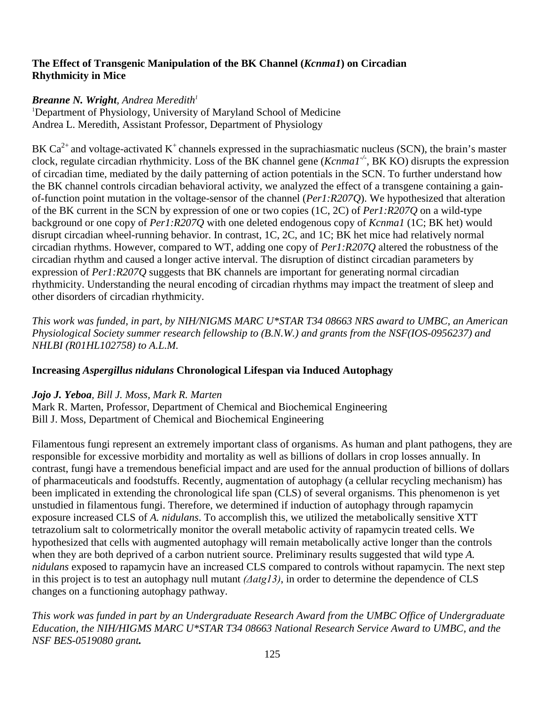### **The Effect of Transgenic Manipulation of the BK Channel (***Kcnma1***) on Circadian Rhythmicity in Mice**

## *Breanne N. Wright, Andrea Meredith1*

<sup>1</sup>Department of Physiology, University of Maryland School of Medicine Andrea L. Meredith, Assistant Professor, Department of Physiology

BK  $Ca^{2+}$  and voltage-activated K<sup>+</sup> channels expressed in the suprachiasmatic nucleus (SCN), the brain's master clock, regulate circadian rhythmicity. Loss of the BK channel gene (*Kcnma1-/-* , BK KO) disrupts the expression of circadian time, mediated by the daily patterning of action potentials in the SCN. To further understand how the BK channel controls circadian behavioral activity, we analyzed the effect of a transgene containing a gainof-function point mutation in the voltage-sensor of the channel (*Per1:R207Q*). We hypothesized that alteration of the BK current in the SCN by expression of one or two copies (1C, 2C) of *Per1:R207Q* on a wild-type background or one copy of *Per1:R207Q* with one deleted endogenous copy of *Kcnma1* (1C; BK het) would disrupt circadian wheel-running behavior. In contrast, 1C, 2C, and 1C; BK het mice had relatively normal circadian rhythms. However, compared to WT, adding one copy of *Per1:R207Q* altered the robustness of the circadian rhythm and caused a longer active interval. The disruption of distinct circadian parameters by expression of *Per1:R207Q* suggests that BK channels are important for generating normal circadian rhythmicity. Understanding the neural encoding of circadian rhythms may impact the treatment of sleep and other disorders of circadian rhythmicity.

*This work was funded, in part, by NIH/NIGMS MARC U\*STAR T34 08663 NRS award to UMBC, an American Physiological Society summer research fellowship to (B.N.W.) and grants from the NSF(IOS-0956237) and NHLBI (R01HL102758) to A.L.M.*

# **Increasing** *Aspergillus nidulans* **Chronological Lifespan via Induced Autophagy**

### *Jojo J. Yeboa, Bill J. Moss, Mark R. Marten*

Mark R. Marten, Professor, Department of Chemical and Biochemical Engineering Bill J. Moss, Department of Chemical and Biochemical Engineering

Filamentous fungi represent an extremely important class of organisms. As human and plant pathogens, they are responsible for excessive morbidity and mortality as well as billions of dollars in crop losses annually. In contrast, fungi have a tremendous beneficial impact and are used for the annual production of billions of dollars of pharmaceuticals and foodstuffs. Recently, augmentation of autophagy (a cellular recycling mechanism) has been implicated in extending the chronological life span (CLS) of several organisms. This phenomenon is yet unstudied in filamentous fungi. Therefore, we determined if induction of autophagy through rapamycin exposure increased CLS of *A. nidulans*. To accomplish this, we utilized the metabolically sensitive XTT tetrazolium salt to colormetrically monitor the overall metabolic activity of rapamycin treated cells. We hypothesized that cells with augmented autophagy will remain metabolically active longer than the controls when they are both deprived of a carbon nutrient source. Preliminary results suggested that wild type *A*. *nidulans* exposed to rapamycin have an increased CLS compared to controls without rapamycin. The next step in this project is to test an autophagy null mutant *(Δatg13)*, in order to determine the dependence of CLS changes on a functioning autophagy pathway.

*This work was funded in part by an Undergraduate Research Award from the UMBC Office of Undergraduate Education, the NIH/HIGMS MARC U\*STAR T34 08663 National Research Service Award to UMBC, and the NSF BES-0519080 grant.*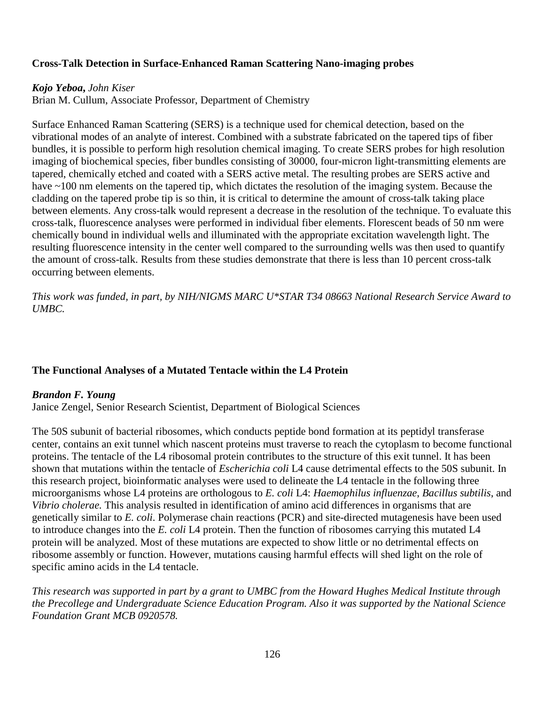### **Cross-Talk Detection in Surface-Enhanced Raman Scattering Nano-imaging probes**

#### *Kojo Yeboa***,** *John Kiser*

Brian M. Cullum, Associate Professor, Department of Chemistry

Surface Enhanced Raman Scattering (SERS) is a technique used for chemical detection, based on the vibrational modes of an analyte of interest. Combined with a substrate fabricated on the tapered tips of fiber bundles, it is possible to perform high resolution chemical imaging. To create SERS probes for high resolution imaging of biochemical species, fiber bundles consisting of 30000, four-micron light-transmitting elements are tapered, chemically etched and coated with a SERS active metal. The resulting probes are SERS active and have ~100 nm elements on the tapered tip, which dictates the resolution of the imaging system. Because the cladding on the tapered probe tip is so thin, it is critical to determine the amount of cross-talk taking place between elements. Any cross-talk would represent a decrease in the resolution of the technique. To evaluate this cross-talk, fluorescence analyses were performed in individual fiber elements. Florescent beads of 50 nm were chemically bound in individual wells and illuminated with the appropriate excitation wavelength light. The resulting fluorescence intensity in the center well compared to the surrounding wells was then used to quantify the amount of cross-talk. Results from these studies demonstrate that there is less than 10 percent cross-talk occurring between elements.

*This work was funded, in part, by NIH/NIGMS MARC U\*STAR T34 08663 National Research Service Award to UMBC.*

### **The Functional Analyses of a Mutated Tentacle within the L4 Protein**

#### *Brandon F. Young*

Janice Zengel, Senior Research Scientist, Department of Biological Sciences

The 50S subunit of bacterial ribosomes, which conducts peptide bond formation at its peptidyl transferase center, contains an exit tunnel which nascent proteins must traverse to reach the cytoplasm to become functional proteins. The tentacle of the L4 ribosomal protein contributes to the structure of this exit tunnel. It has been shown that mutations within the tentacle of *Escherichia coli* L4 cause detrimental effects to the 50S subunit. In this research project, bioinformatic analyses were used to delineate the L4 tentacle in the following three microorganisms whose L4 proteins are orthologous to *E. coli* L4: *Haemophilus influenzae*, *Bacillus subtilis*, and *Vibrio cholerae.* This analysis resulted in identification of amino acid differences in organisms that are genetically similar to *E. coli*. Polymerase chain reactions (PCR) and site-directed mutagenesis have been used to introduce changes into the *E. coli* L4 protein. Then the function of ribosomes carrying this mutated L4 protein will be analyzed. Most of these mutations are expected to show little or no detrimental effects on ribosome assembly or function. However, mutations causing harmful effects will shed light on the role of specific amino acids in the L4 tentacle.

*This research was supported in part by a grant to UMBC from the Howard Hughes Medical Institute through the Precollege and Undergraduate Science Education Program. Also it was supported by the National Science Foundation Grant MCB 0920578.*